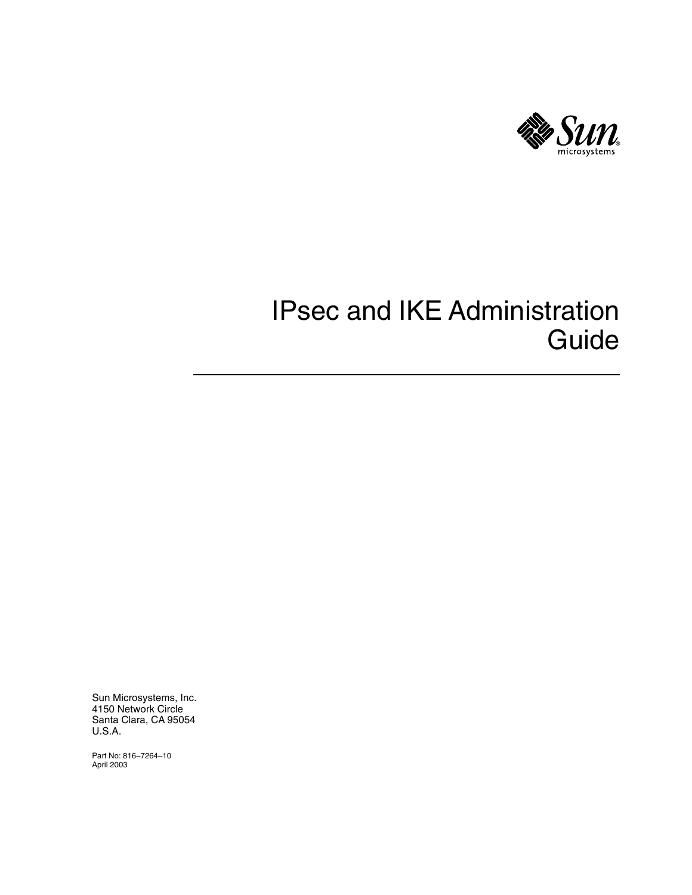

# IPsec and IKE Administration Guide

Sun Microsystems, Inc. 4150 Network Circle Santa Clara, CA 95054 U.S.A.

Part No: 816–7264–10 April 2003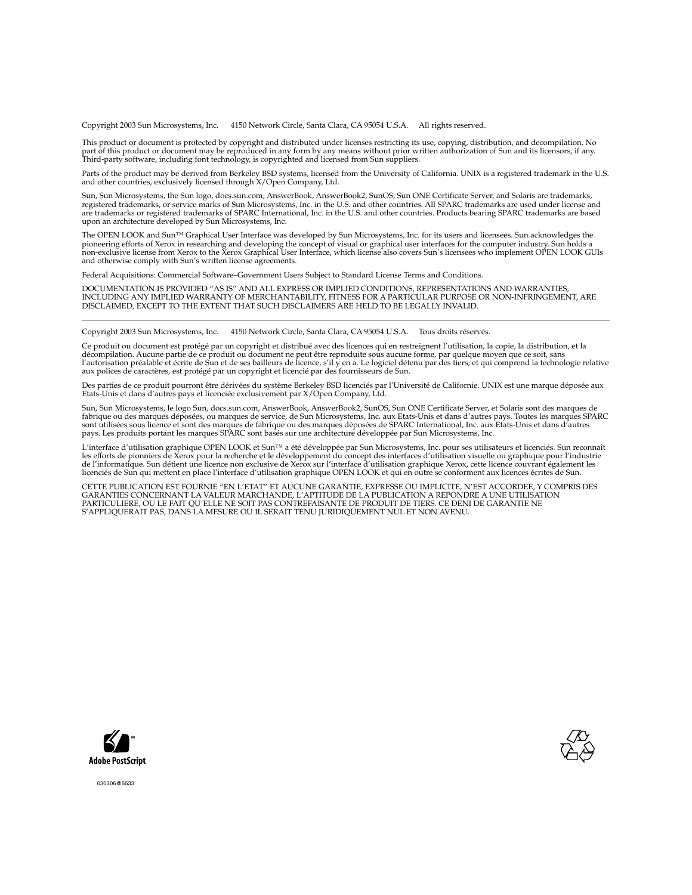Copyright 2003 Sun Microsystems, Inc. 4150 Network Circle, Santa Clara, CA 95054 U.S.A. All rights reserved.

This product or document is protected by copyright and distributed under licenses restricting its use, copying, distribution, and decompilation. No part of this product or document may be reproduced in any form by any means without prior written authorization of Sun and its licensors, if any.<br>Third-party software, including font technology, is copyrighted and licensed

Parts of the product may be derived from Berkeley BSD systems, licensed from the University of California. UNIX is a registered trademark in the U.S. and other countries, exclusively licensed through X/Open Company, Ltd.

Sun, Sun Microsystems, the Sun logo, docs.sun.com, AnswerBook, AnswerBook2, SunOS, Sun ONE Certificate Server, and Solaris are trademarks,<br>registered trademarks, or service marks of Sun Microsystems, Inc. in the U.S. and o upon an architecture developed by Sun Microsystems, Inc.

The OPEN LOOK and Sun™ Graphical User Interface was developed by Sun Microsystems, Inc. for its users and licensees. Sun acknowledges the pioneering efforts of Xerox in researching and developing the concept of visual or graphical user interfaces for the computer industry. Sun holds a<br>non-exclusive license from Xerox to the Xerox Graphical User Interface, wh and otherwise comply with Sun's written license agreements.

Federal Acquisitions: Commercial Software–Government Users Subject to Standard License Terms and Conditions.

DOCUMENTATION IS PROVIDED "AS IS" AND ALL EXPRESS OR IMPLIED CONDITIONS, REPRESENTATIONS AND WARRANTIES,<br>INCLUDING ANY IMPLIED WARRANTY OF MERCHANTABILITY, FITNESS FOR A PARTICULAR PURPOSE OR NON-INFRINGEMENT, ARE<br>DISCLAIM

Copyright 2003 Sun Microsystems, Inc. 4150 Network Circle, Santa Clara, CA 95054 U.S.A. Tous droits réservés.

Ce produit ou document est protégé par un copyright et distribué avec des licences qui en restreignent l'utilisation, la copie, la distribution, et la décompilation. Aucune partie de ce produit ou document ne peut être reproduite sous aucune forme, par quelque moyen que ce soit, sans<br>l'autorisation préalable et écrite de Sun et de ses bailleurs de licence, s'il y en a. L aux polices de caractères, est protégé par un copyright et licencié par des fournisseurs de Sun.

Des parties de ce produit pourront être dérivées du système Berkeley BSD licenciés par l'Université de Californie. UNIX est une marque déposée aux Etats-Unis et dans d'autres pays et licenciée exclusivement par X/Open Company, Ltd.

Sun, Sun Microsystems, le logo Sun, docs.sun.com, AnswerBook, AnswerBook2, SunOS, Sun ONE Certificate Server, et Solaris sont des marques de<br>fabrique ou des marques déposées, ou marques de service, de Sun Microsystems, Inc

L'interface d'utilisation graphique OPEN LOOK et Sun™ a été développée par Sun Microsystems, Inc. pour ses utilisateurs et licenciés. Sun reconnaît les efforts de pionniers de Xerox pour la recherche et le développement du concept des interfaces d'utilisation visuelle ou graphique pour l'industrie de l'informatique. Sun détient une licence non exclusive de Xerox sur l'interface d'utilisation graphique Xerox, cette licence couvrant également les<br>licenciés de Sun qui mettent en place l'interface d'utilisation graphiqu

CETTE PUBLICATION EST FOURNIE "EN L'ETAT" ET AUCUNE GARANTIE, EXPRESSE OU IMPLICITE, N'EST ACCORDEE, Y COMPRIS DES GARANTIES CONCERNANT LA VALEUR MARCHANDE, L'APTITUDE DE LA PUBLICATION A REPONDRE A UNE UTILISATION PARTICULIERE, OU LE FAIT QU'ELLE NE SOIT PAS CONTREFAISANTE DE PRODUIT DE TIERS. CE DENI DE GARANTIE NE S'APPLIQUERAIT PAS, DANS LA MESURE OU IL SERAIT TENU JURIDIQUEMENT NUL ET NON AVENU.





030306@5533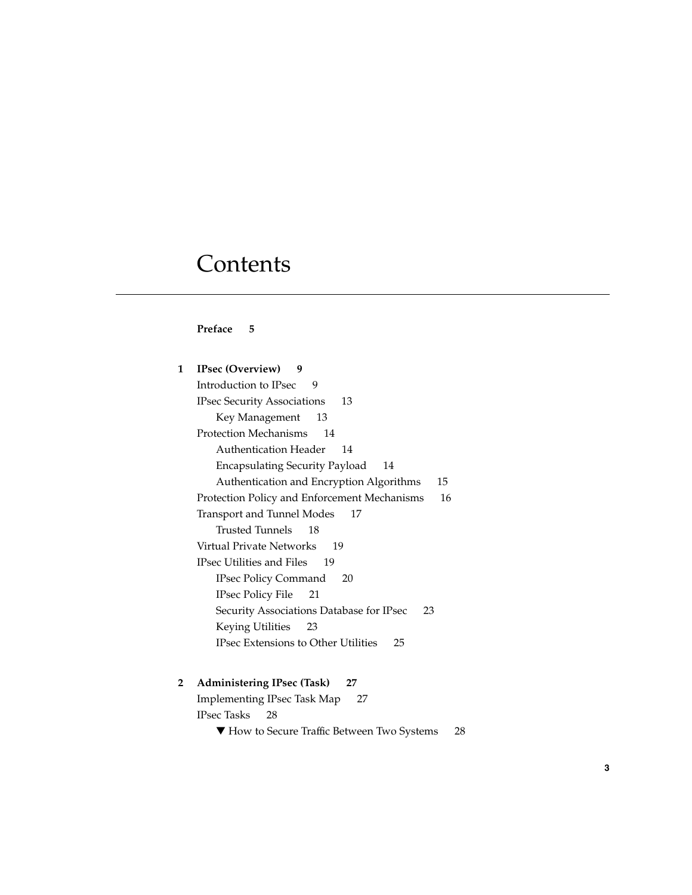## **Contents**

#### **[Preface 5](#page-4-0)**

**[1 IPsec \(Overview\) 9](#page-8-0)** [Introduction to IPsec 9](#page-8-0) [IPsec Security Associations 13](#page-12-0) [Key Management 13](#page-12-0) [Protection Mechanisms 14](#page-13-0) [Authentication Header 14](#page-13-0) [Encapsulating Security Payload 14](#page-13-0) [Authentication and Encryption Algorithms 15](#page-14-0) [Protection Policy and Enforcement Mechanisms 16](#page-15-0) [Transport and Tunnel Modes 17](#page-16-0) [Trusted Tunnels 18](#page-17-0) [Virtual Private Networks 19](#page-18-0) [IPsec Utilities and Files 19](#page-18-0) [IPsec Policy Command 20](#page-19-0) [IPsec Policy File 21](#page-20-0) [Security Associations Database for IPsec 23](#page-22-0) [Keying Utilities 23](#page-22-0) [IPsec Extensions to Other Utilities 25](#page-24-0)

**[2 Administering IPsec \(Task\) 27](#page-26-0)** [Implementing IPsec Task Map 27](#page-26-0) [IPsec Tasks 28](#page-27-0)

▼ [How to Secure Traffic Between Two Systems 28](#page-27-0)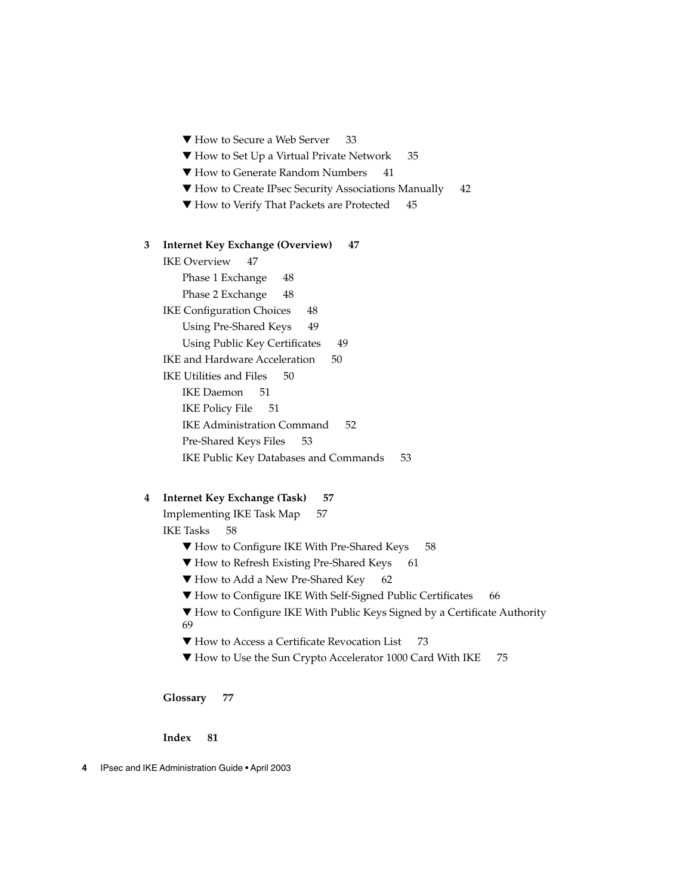▼ [How to Secure a Web Server 33](#page-32-0)

▼ [How to Set Up a Virtual Private Network 35](#page-34-0)

▼ [How to Generate Random Numbers 41](#page-40-0)

▼ [How to Create IPsec Security Associations Manually 42](#page-41-0)

▼ [How to Verify That Packets are Protected 45](#page-44-0)

**[3 Internet Key Exchange \(Overview\) 47](#page-46-0)**

[IKE Overview 47](#page-46-0) [Phase 1 Exchange 48](#page-47-0) [Phase 2 Exchange 48](#page-47-0) [IKE Configuration Choices 48](#page-47-0) [Using Pre-Shared Keys 49](#page-48-0) [Using Public Key Certificates 49](#page-48-0) [IKE and Hardware Acceleration 50](#page-49-0) [IKE Utilities and Files 50](#page-49-0) [IKE Daemon 51](#page-50-0) [IKE Policy File 51](#page-50-0) [IKE Administration Command 52](#page-51-0) [Pre-Shared Keys Files 53](#page-52-0) [IKE Public Key Databases and Commands 53](#page-52-0)

#### **[4 Internet Key Exchange \(Task\) 57](#page-56-0)**

[Implementing IKE Task Map 57](#page-56-0) [IKE Tasks 58](#page-57-0)

▼ [How to Configure IKE With Pre-Shared Keys 58](#page-57-0)

▼ [How to Refresh Existing Pre-Shared Keys 61](#page-60-0)

▼ [How to Add a New Pre-Shared Key 62](#page-61-0)

▼ [How to Configure IKE With Self-Signed Public Certificates 66](#page-65-0)

▼ [How to Configure IKE With Public Keys Signed by a Certificate Authority](#page-68-0) [69](#page-68-0)

▼ [How to Access a Certificate Revocation List 73](#page-72-0)

▼ [How to Use the Sun Crypto Accelerator 1000 Card With IKE 75](#page-74-0)

**[Glossary 77](#page-76-0)**

**Index 81**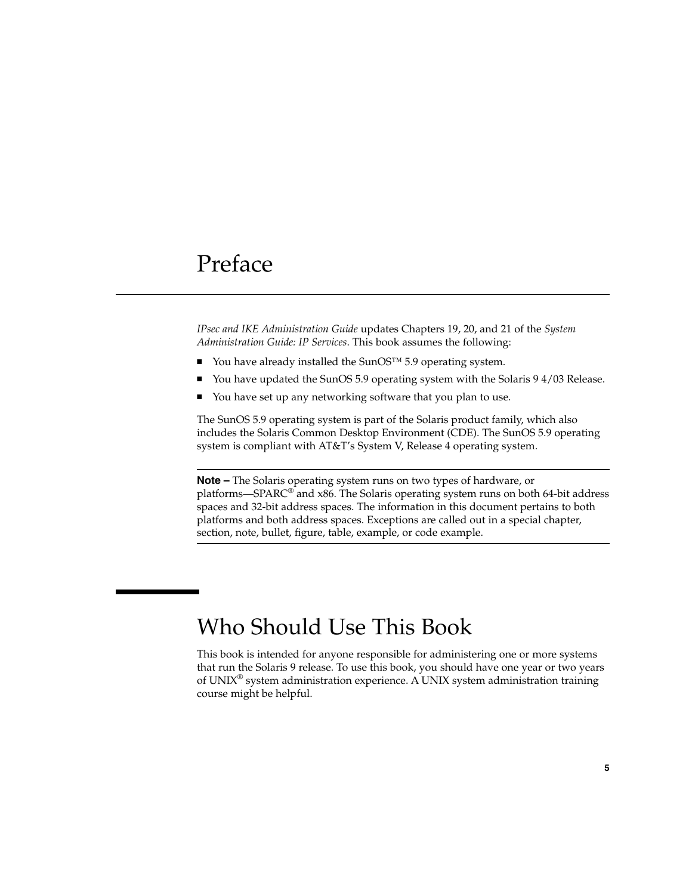## <span id="page-4-0"></span>Preface

*IPsec and IKE Administration Guide* updates Chapters 19, 20, and 21 of the *System Administration Guide: IP Services*. This book assumes the following:

- You have already installed the SunOS™ 5.9 operating system.
- You have updated the SunOS 5.9 operating system with the Solaris 9 4/03 Release.
- You have set up any networking software that you plan to use.

The SunOS 5.9 operating system is part of the Solaris product family, which also includes the Solaris Common Desktop Environment (CDE). The SunOS 5.9 operating system is compliant with AT&T's System V, Release 4 operating system.

**Note –** The Solaris operating system runs on two types of hardware, or platforms—SPARC® and x86. The Solaris operating system runs on both 64-bit address spaces and 32-bit address spaces. The information in this document pertains to both platforms and both address spaces. Exceptions are called out in a special chapter, section, note, bullet, figure, table, example, or code example.

# Who Should Use This Book

This book is intended for anyone responsible for administering one or more systems that run the Solaris 9 release. To use this book, you should have one year or two years of UNIX® system administration experience. A UNIX system administration training course might be helpful.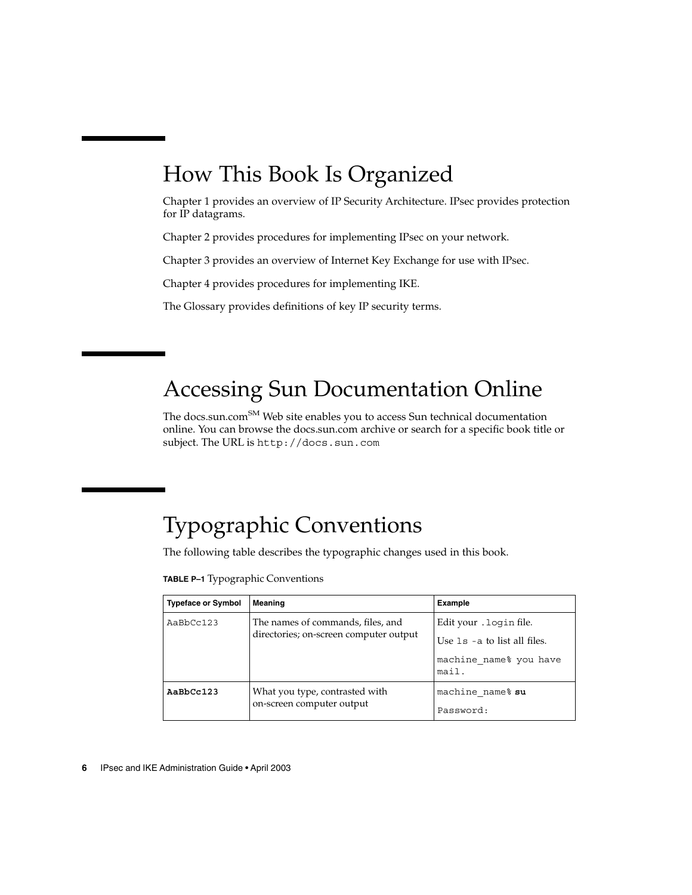## How This Book Is Organized

[Chapter 1](#page-8-0) provides an overview of IP Security Architecture. IPsec provides protection for IP datagrams.

[Chapter 2](#page-26-0) provides procedures for implementing IPsec on your network.

[Chapter 3](#page-46-0) provides an overview of Internet Key Exchange for use with IPsec.

[Chapter 4](#page-56-0) provides procedures for implementing IKE.

The [Glossary](#page-76-0) provides definitions of key IP security terms.

# Accessing Sun Documentation Online

The docs.sun.com $^{SM}$  Web site enables you to access Sun technical documentation online. You can browse the docs.sun.com archive or search for a specific book title or subject. The URL is <http://docs.sun.com>.

# Typographic Conventions

The following table describes the typographic changes used in this book.

| <b>Typeface or Symbol</b> | Meaning                                | Example                         |
|---------------------------|----------------------------------------|---------------------------------|
| AaBbCc123                 | The names of commands, files, and      | Edit your . login file.         |
|                           | directories; on-screen computer output | Use $1s - a$ to list all files. |
|                           |                                        | machine name% you have<br>mail. |
| AaBbCc123                 | What you type, contrasted with         | machine name% su                |
|                           | on-screen computer output              | Password:                       |

**TABLE P–1** Typographic Conventions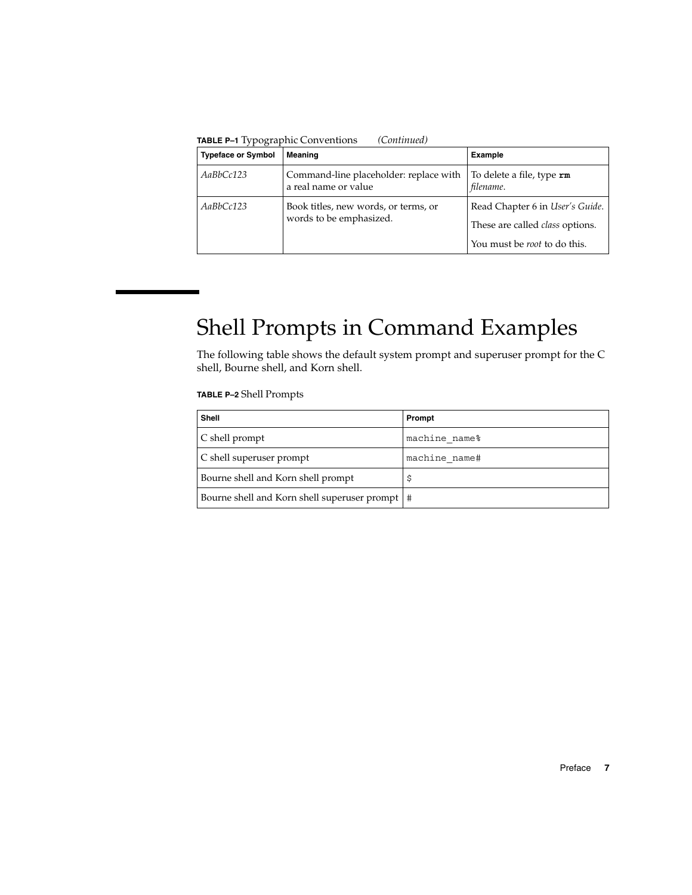**TABLE P–1** Typographic Conventions *(Continued)*

| <b>Typeface or Symbol</b> | <b>Meaning</b>                                                  | <b>Example</b>                                                                                                   |
|---------------------------|-----------------------------------------------------------------|------------------------------------------------------------------------------------------------------------------|
| AaBbCc123                 | Command-line placeholder: replace with<br>a real name or value  | To delete a file, type rm<br>filename.                                                                           |
| AaBbCc123                 | Book titles, new words, or terms, or<br>words to be emphasized. | Read Chapter 6 in User's Guide.<br>These are called <i>class</i> options.<br>You must be <i>root</i> to do this. |

# Shell Prompts in Command Examples

The following table shows the default system prompt and superuser prompt for the C shell, Bourne shell, and Korn shell.

**TABLE P–2** Shell Prompts

| <b>Shell</b>                                     | Prompt        |
|--------------------------------------------------|---------------|
| C shell prompt                                   | machine name% |
| C shell superuser prompt                         | machine name# |
| Bourne shell and Korn shell prompt               |               |
| Bourne shell and Korn shell superuser prompt   # |               |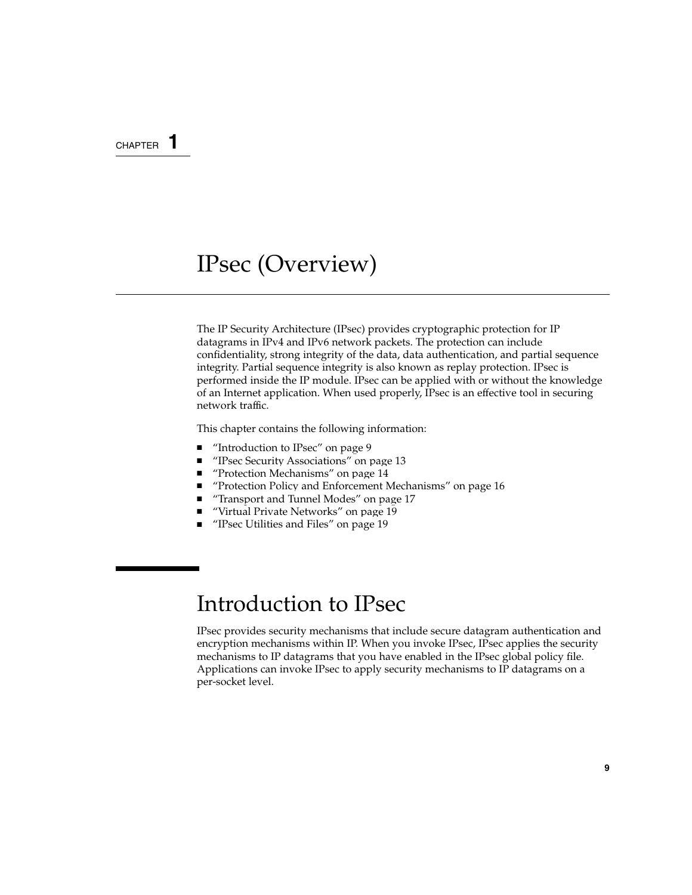### <span id="page-8-0"></span>CHAPTER **1**

## IPsec (Overview)

The IP Security Architecture (IPsec) provides cryptographic protection for IP datagrams in IPv4 and IPv6 network packets. The protection can include confidentiality, strong integrity of the data, data authentication, and partial sequence integrity. Partial sequence integrity is also known as replay protection. IPsec is performed inside the IP module. IPsec can be applied with or without the knowledge of an Internet application. When used properly, IPsec is an effective tool in securing network traffic.

This chapter contains the following information:

- "Introduction to IPsec" on page 9
- ["IPsec Security Associations"](#page-12-0) on page 13
- ["Protection Mechanisms"](#page-13-0) on page 14
- ["Protection Policy and Enforcement Mechanisms"](#page-15-0) on page 16
- ["Transport and Tunnel Modes"](#page-16-0) on page 17
- ["Virtual Private Networks"](#page-18-0) on page 19
- *"*IPsec Utilities and Files" on page 19

## Introduction to IPsec

IPsec provides security mechanisms that include secure datagram authentication and encryption mechanisms within IP. When you invoke IPsec, IPsec applies the security mechanisms to IP datagrams that you have enabled in the IPsec global policy file. Applications can invoke IPsec to apply security mechanisms to IP datagrams on a per-socket level.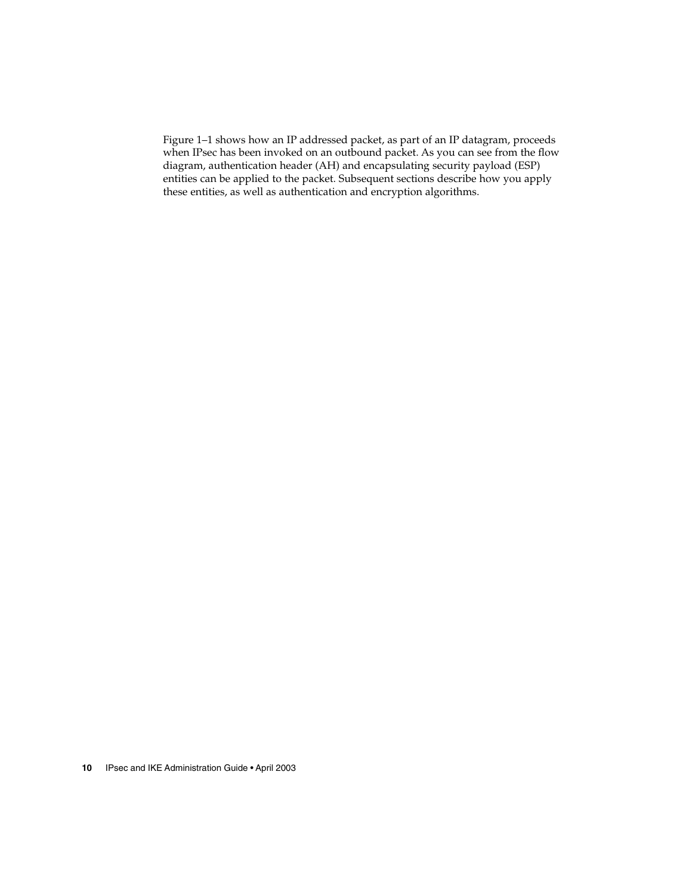Figure 1–1 shows how an IP addressed packet, as part of an IP datagram, proceeds when IPsec has been invoked on an outbound packet. As you can see from the flow diagram, authentication header (AH) and encapsulating security payload (ESP) entities can be applied to the packet. Subsequent sections describe how you apply these entities, as well as authentication and encryption algorithms.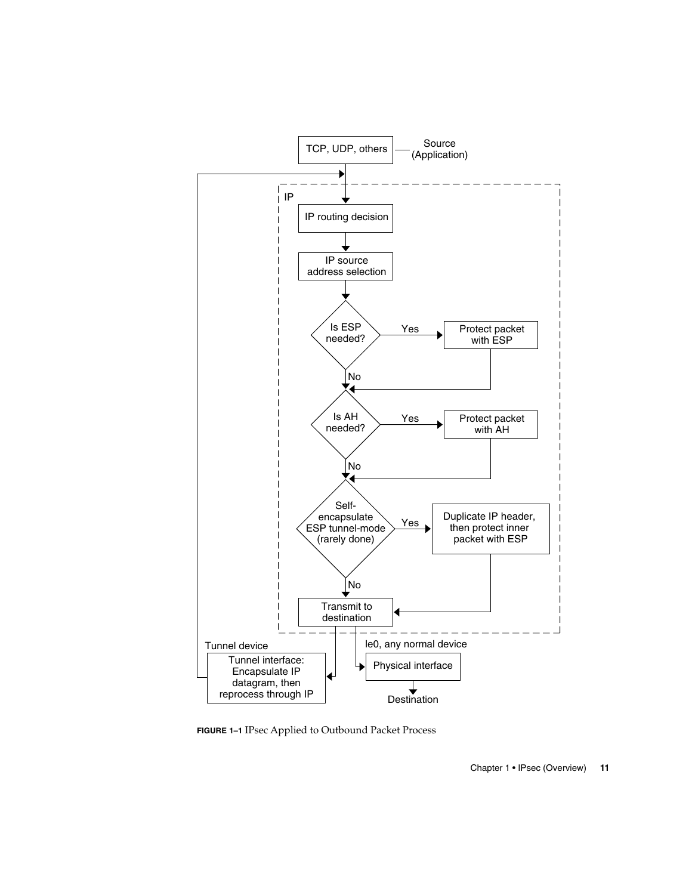

**FIGURE 1–1** IPsec Applied to Outbound Packet Process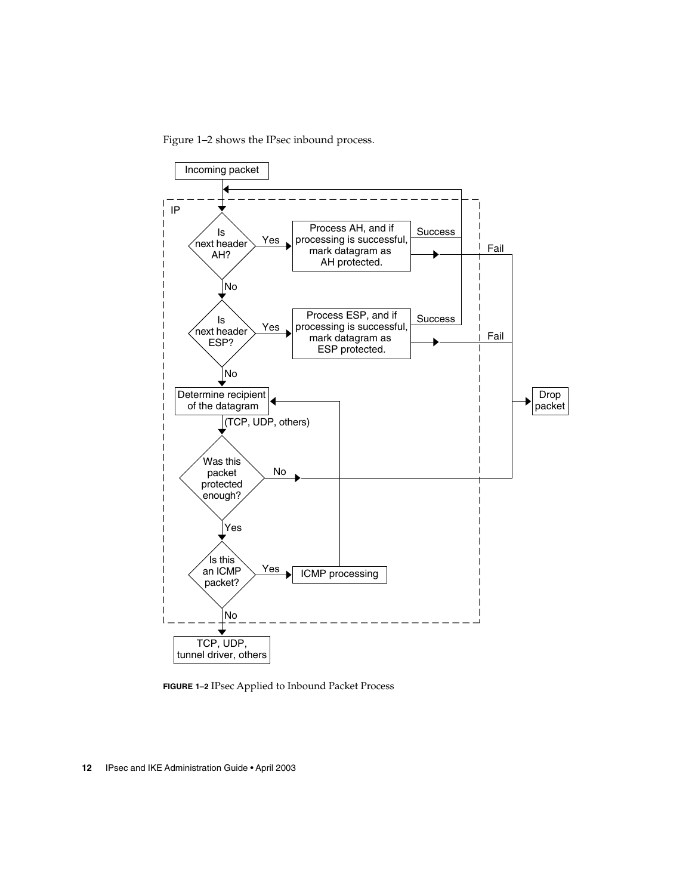Figure 1–2 shows the IPsec inbound process.



**FIGURE 1–2** IPsec Applied to Inbound Packet Process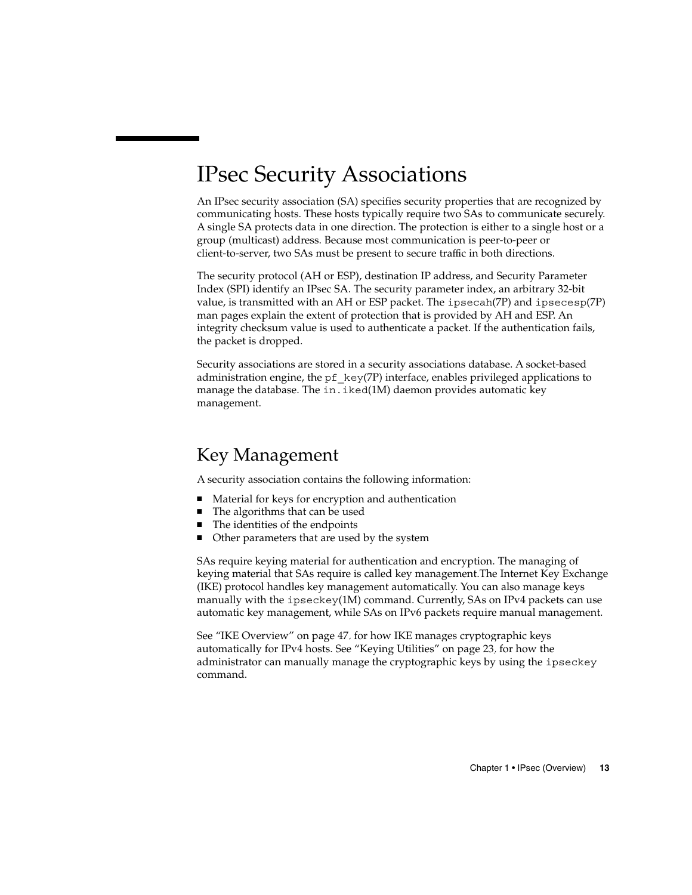## <span id="page-12-0"></span>IPsec Security Associations

An IPsec [security association](#page-78-0) (SA) specifies security properties that are recognized by communicating hosts. These hosts typically require two SAs to communicate securely. A single SA protects data in one direction. The protection is either to a single host or a group (multicast) address. Because most communication is peer-to-peer or client-to-server, two SAs must be present to secure traffic in both directions.

The security protocol (AH or ESP), destination IP address, and [Security Parameter](#page-78-0) [Index \(SPI\)](#page-78-0) identify an IPsec SA. The security parameter index, an arbitrary 32-bit value, is transmitted with an AH or ESP packet. The ipsecah(7P) and ipsecesp(7P) man pages explain the extent of protection that is provided by AH and ESP. An integrity checksum value is used to authenticate a packet. If the authentication fails, the packet is dropped.

Security associations are stored in a security associations database. A socket-based administration engine, the pf\_key(7P) interface, enables privileged applications to manage the database. The  $in.i$ ked $(1M)$  daemon provides automatic key management.

## Key Management

A security association contains the following information:

- Material for keys for encryption and authentication
- The algorithms that can be used
- The identities of the endpoints
- Other parameters that are used by the system

SAs require keying material for authentication and encryption. The managing of keying material that SAs require is called key management.The Internet Key Exchange (IKE) protocol handles key management automatically. You can also manage keys manually with the ipseckey(1M) command. Currently, SAs on IPv4 packets can use automatic key management, while SAs on IPv6 packets require manual management.

See ["IKE Overview"](#page-46-0) on page 47, for how IKE manages cryptographic keys automatically for IPv4 hosts. See ["Keying Utilities"](#page-22-0) on page 23, for how the administrator can manually manage the cryptographic keys by using the ipseckey command.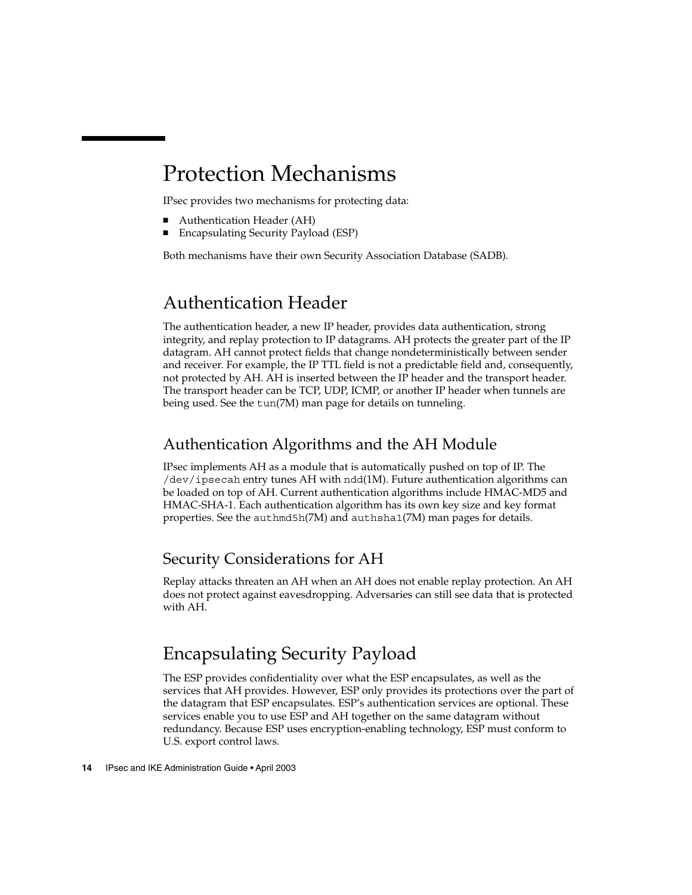## <span id="page-13-0"></span>Protection Mechanisms

IPsec provides two mechanisms for protecting data:

- Authentication Header (AH)
- Encapsulating Security Payload (ESP)

Both mechanisms have their own Security Association Database (SADB).

## Authentication Header

The authentication header, a new IP header, provides data authentication, strong integrity, and replay protection to IP datagrams. AH protects the greater part of the IP datagram. AH cannot protect fields that change nondeterministically between sender and receiver. For example, the IP TTL field is not a predictable field and, consequently, not protected by AH. AH is inserted between the IP header and the transport header. The transport header can be TCP, UDP, ICMP, or another IP header when tunnels are being used. See the tun(7M) man page for details on tunneling.

### Authentication Algorithms and the AH Module

IPsec implements AH as a module that is automatically pushed on top of IP. The /dev/ipsecah entry tunes AH with ndd(1M). Future authentication algorithms can be loaded on top of AH. Current authentication algorithms include HMAC-MD5 and HMAC-SHA-1. Each authentication algorithm has its own key size and key format properties. See the authmd5h(7M) and authsha1(7M) man pages for details.

### Security Considerations for AH

Replay attacks threaten an AH when an AH does not enable replay protection. An AH does not protect against eavesdropping. Adversaries can still see data that is protected with AH.

## Encapsulating Security Payload

The ESP provides confidentiality over what the ESP encapsulates, as well as the services that AH provides. However, ESP only provides its protections over the part of the datagram that ESP encapsulates. ESP's authentication services are optional. These services enable you to use ESP and AH together on the same datagram without redundancy. Because ESP uses encryption-enabling technology, ESP must conform to U.S. export control laws.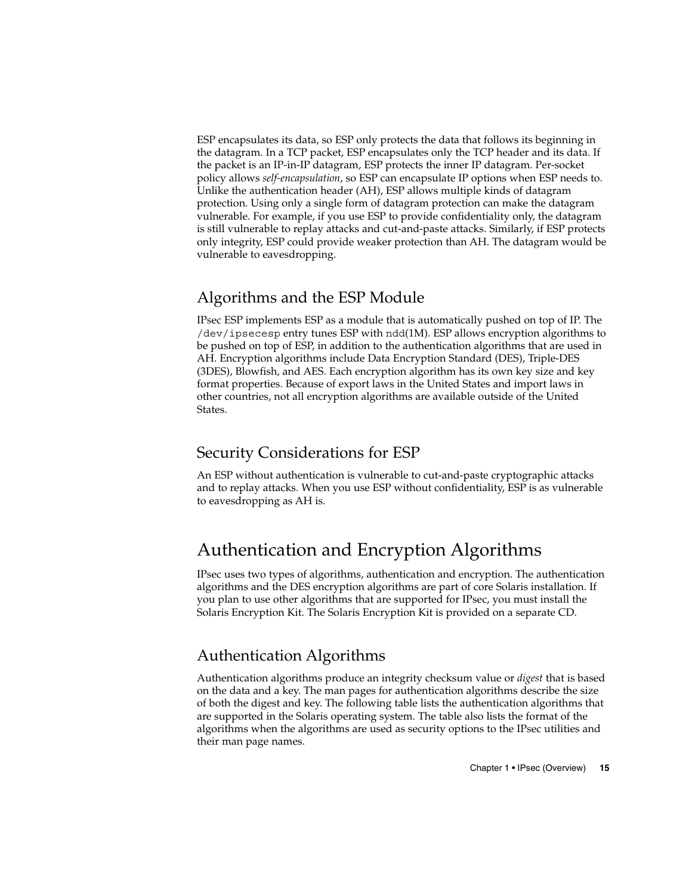<span id="page-14-0"></span>ESP encapsulates its data, so ESP only protects the data that follows its beginning in the datagram. In a TCP packet, ESP encapsulates only the TCP header and its data. If the packet is an IP-in-IP datagram, ESP protects the inner IP datagram. Per-socket policy allows *self-encapsulation*, so ESP can encapsulate IP options when ESP needs to. Unlike the authentication header (AH), ESP allows multiple kinds of datagram protection. Using only a single form of datagram protection can make the datagram vulnerable. For example, if you use ESP to provide confidentiality only, the datagram is still vulnerable to replay attacks and cut-and-paste attacks. Similarly, if ESP protects only integrity, ESP could provide weaker protection than AH. The datagram would be vulnerable to eavesdropping.

### Algorithms and the ESP Module

IPsec ESP implements ESP as a module that is automatically pushed on top of IP. The /dev/ipsecesp entry tunes ESP with ndd(1M). ESP allows encryption algorithms to be pushed on top of ESP, in addition to the authentication algorithms that are used in AH. Encryption algorithms include Data Encryption Standard (DES), Triple-DES (3DES), Blowfish, and AES. Each encryption algorithm has its own key size and key format properties. Because of export laws in the United States and import laws in other countries, not all encryption algorithms are available outside of the United States.

### Security Considerations for ESP

An ESP without authentication is vulnerable to cut-and-paste cryptographic attacks and to replay attacks. When you use ESP without confidentiality, ESP is as vulnerable to eavesdropping as AH is.

## Authentication and Encryption Algorithms

IPsec uses two types of algorithms, authentication and encryption. The authentication algorithms and the DES encryption algorithms are part of core Solaris installation. If you plan to use other algorithms that are supported for IPsec, you must install the Solaris Encryption Kit. The Solaris Encryption Kit is provided on a separate CD.

## Authentication Algorithms

Authentication algorithms produce an integrity checksum value or *digest* that is based on the data and a key. The man pages for authentication algorithms describe the size of both the digest and key. The following table lists the authentication algorithms that are supported in the Solaris operating system. The table also lists the format of the algorithms when the algorithms are used as security options to the IPsec utilities and their man page names.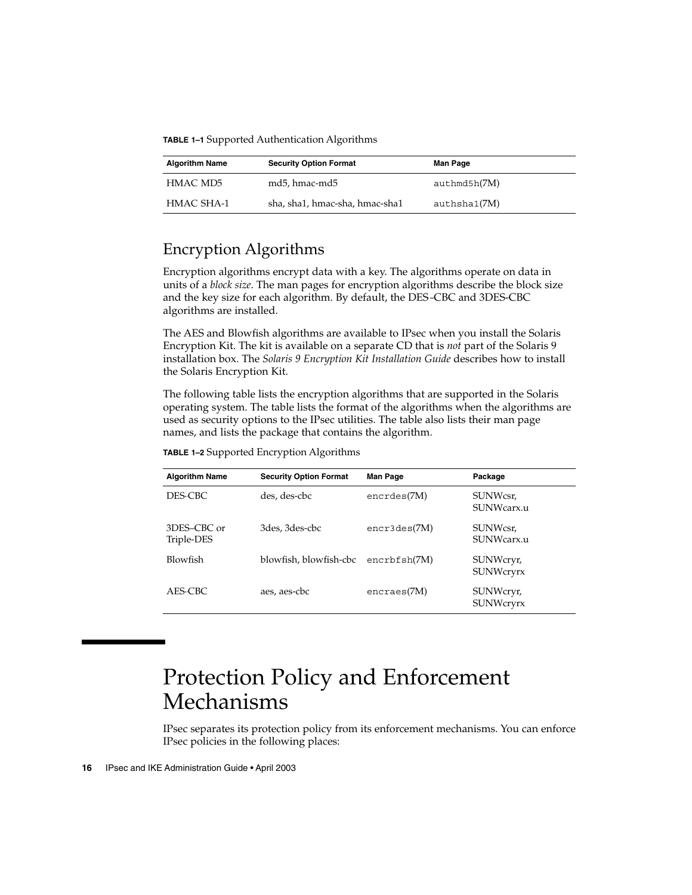<span id="page-15-0"></span>**TABLE 1–1** Supported Authentication Algorithms

| <b>Algorithm Name</b> | <b>Security Option Format</b>  | Man Page        |
|-----------------------|--------------------------------|-----------------|
| HMAC-MD5              | md5, hmac-md5                  | authmd5h(7M)    |
| HMAC-SHA-1            | sha, sha1, hmac-sha, hmac-sha1 | authsha $1(7M)$ |

### Encryption Algorithms

Encryption algorithms encrypt data with a key. The algorithms operate on data in units of a *block size*. The man pages for encryption algorithms describe the block size and the key size for each algorithm. By default, the [DES–](#page-76-0)CBC and 3DES-CBC algorithms are installed.

The [AES](#page-76-0) and [Blowfish](#page-76-0) algorithms are available to IPsec when you install the Solaris Encryption Kit. The kit is available on a separate CD that is *not* part of the Solaris 9 installation box. The *Solaris 9 Encryption Kit Installation Guide* describes how to install the Solaris Encryption Kit.

The following table lists the encryption algorithms that are supported in the Solaris operating system. The table lists the format of the algorithms when the algorithms are used as security options to the IPsec utilities. The table also lists their man page names, and lists the package that contains the algorithm.

| TABLE 1-2 Supported Encryption Algorithms |  |  |
|-------------------------------------------|--|--|
|-------------------------------------------|--|--|

| <b>Algorithm Name</b>     | <b>Security Option Format</b> | <b>Man Page</b> | Package                           |
|---------------------------|-------------------------------|-----------------|-----------------------------------|
| DES-CBC                   | des, des-cbc                  | encrdes(ZM)     | SUNW <sub>csr</sub><br>SUNWcarx.u |
| 3DES-CBC or<br>Triple-DES | 3des, 3des-cbc                | encr3des(ZM)    | SUNW <sub>csr</sub><br>SUNWcarx.u |
| <b>Blowfish</b>           | blowfish, blowfish-cbc        | encrbfsh(7M)    | SUNWcryr,<br><b>SUNWCryrx</b>     |
| AES-CBC                   | aes, aes-cbc                  | encraes(ZM)     | SUNWcryr,<br><b>SUNWcryrx</b>     |

## Protection Policy and Enforcement Mechanisms

IPsec separates its protection policy from its enforcement mechanisms. You can enforce IPsec policies in the following places: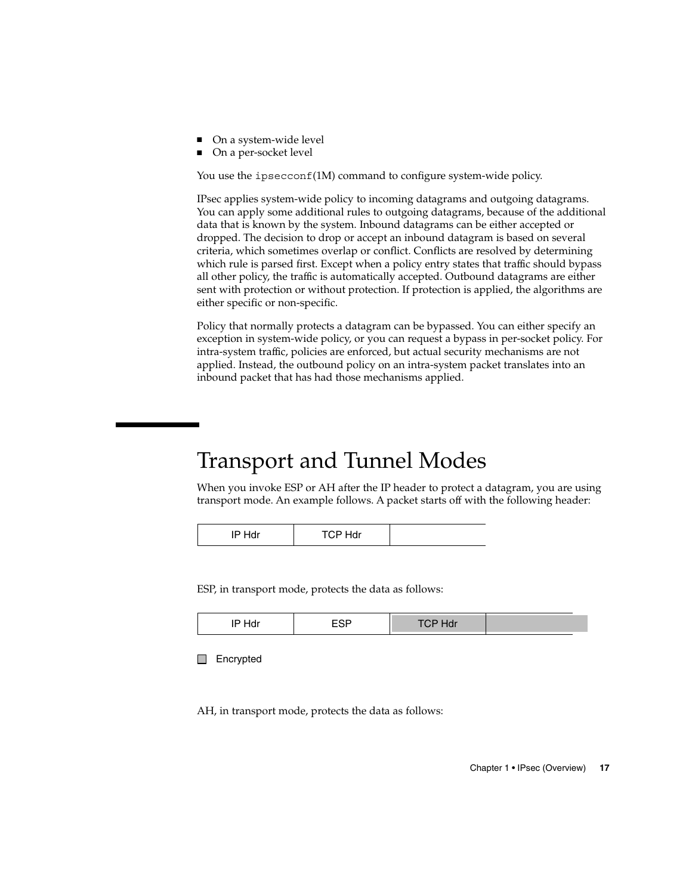- <span id="page-16-0"></span>■ On a system-wide level
- On a per-socket level

You use the ipsecconf(1M) command to configure system-wide policy.

IPsec applies system-wide policy to incoming datagrams and outgoing datagrams. You can apply some additional rules to outgoing datagrams, because of the additional data that is known by the system. Inbound datagrams can be either accepted or dropped. The decision to drop or accept an inbound datagram is based on several criteria, which sometimes overlap or conflict. Conflicts are resolved by determining which rule is parsed first. Except when a policy entry states that traffic should bypass all other policy, the traffic is automatically accepted. Outbound datagrams are either sent with protection or without protection. If protection is applied, the algorithms are either specific or non-specific.

Policy that normally protects a datagram can be bypassed. You can either specify an exception in system-wide policy, or you can request a bypass in per-socket policy. For intra-system traffic, policies are enforced, but actual security mechanisms are not applied. Instead, the outbound policy on an intra-system packet translates into an inbound packet that has had those mechanisms applied.

# Transport and Tunnel Modes

When you invoke ESP or AH after the IP header to protect a datagram, you are using transport mode. An example follows. A packet starts off with the following header:

| nur<br> | ∣∪г<br><b>TIUL</b> |  |
|---------|--------------------|--|
|---------|--------------------|--|

ESP, in transport mode, protects the data as follows:

| ---<br>IP Hdr<br>--- | <u>.</u><br>. |  |
|----------------------|---------------|--|
|----------------------|---------------|--|

Encrypted

AH, in transport mode, protects the data as follows: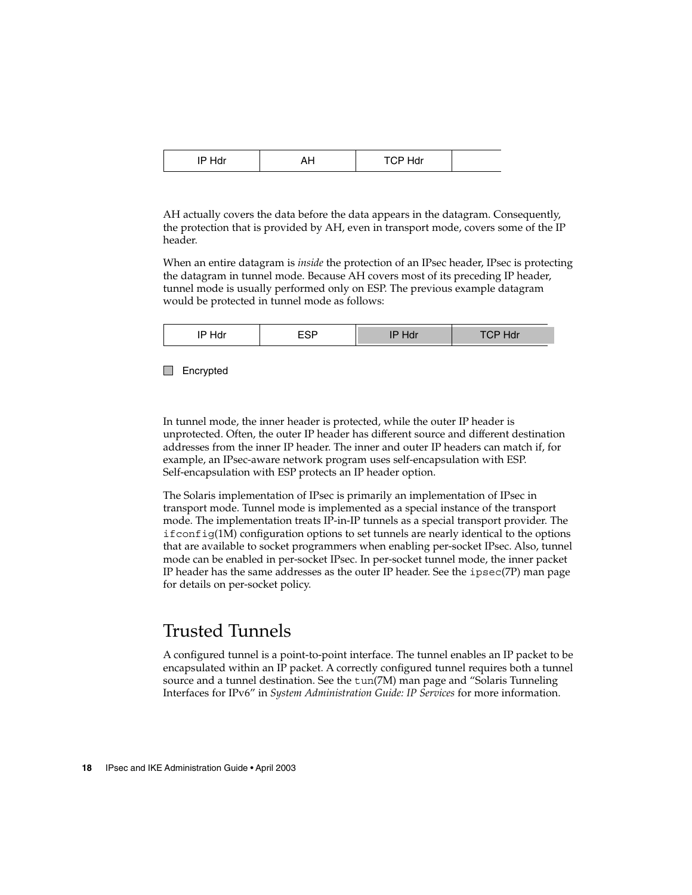<span id="page-17-0"></span>

| IF HUL | u<br>. | $\sim$ . $\sim$ . |  |
|--------|--------|-------------------|--|
|--------|--------|-------------------|--|

AH actually covers the data before the data appears in the datagram. Consequently, the protection that is provided by AH, even in transport mode, covers some of the IP header.

When an entire datagram is *inside* the protection of an IPsec header, IPsec is protecting the datagram in tunnel mode. Because AH covers most of its preceding IP header, tunnel mode is usually performed only on ESP. The previous example datagram would be protected in tunnel mode as follows:

| Har<br>Ш | $-0n$<br>$  -$<br>__ | Har<br>. . | Hdr |
|----------|----------------------|------------|-----|
|          |                      |            |     |

Encrypted

In tunnel mode, the inner header is protected, while the outer IP header is unprotected. Often, the outer IP header has different source and different destination addresses from the inner IP header. The inner and outer IP headers can match if, for example, an IPsec-aware network program uses self-encapsulation with ESP. Self-encapsulation with ESP protects an IP header option.

The Solaris implementation of IPsec is primarily an implementation of IPsec in transport mode. Tunnel mode is implemented as a special instance of the transport mode. The implementation treats IP-in-IP tunnels as a special transport provider. The ifconfig(1M) configuration options to set tunnels are nearly identical to the options that are available to socket programmers when enabling per-socket IPsec. Also, tunnel mode can be enabled in per-socket IPsec. In per-socket tunnel mode, the inner packet IP header has the same addresses as the outer IP header. See the ipsec(7P) man page for details on per-socket policy.

## Trusted Tunnels

A configured tunnel is a point-to-point interface. The tunnel enables an IP packet to be encapsulated within an IP packet. A correctly configured tunnel requires both a tunnel source and a tunnel destination. See the tun(7M) man page and "Solaris Tunneling Interfaces for IPv6" in *System Administration Guide: IP Services* for more information.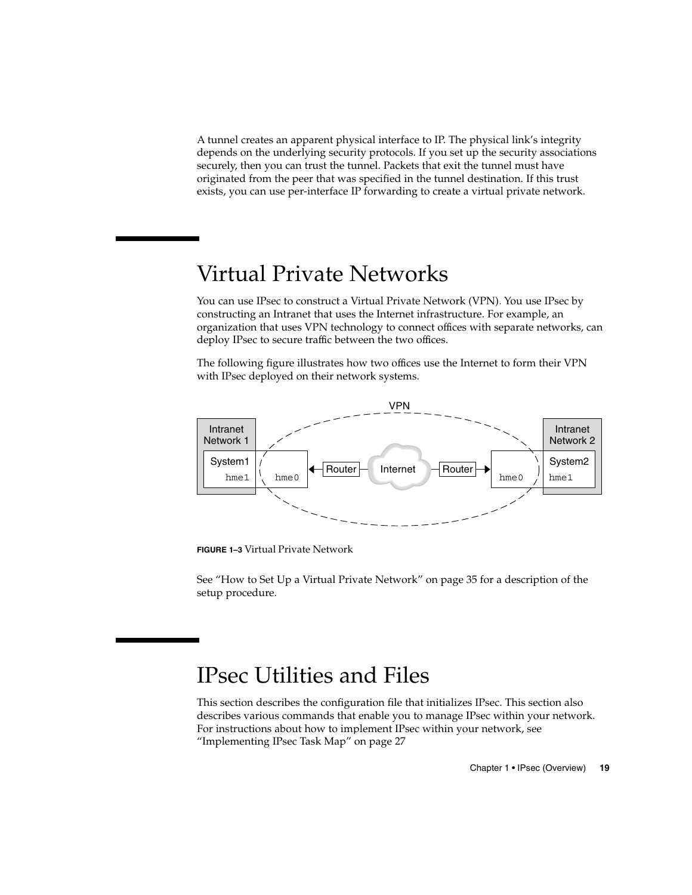<span id="page-18-0"></span>A tunnel creates an apparent physical interface to IP. The physical link's integrity depends on the underlying security protocols. If you set up the security associations securely, then you can trust the tunnel. Packets that exit the tunnel must have originated from the peer that was specified in the tunnel destination. If this trust exists, you can use per-interface IP forwarding to create a virtual private network.

## Virtual Private Networks

You can use IPsec to construct a [Virtual Private Network \(VPN\).](#page-78-0) You use IPsec by constructing an Intranet that uses the Internet infrastructure. For example, an organization that uses VPN technology to connect offices with separate networks, can deploy IPsec to secure traffic between the two offices.

The following figure illustrates how two offices use the Internet to form their VPN with IPsec deployed on their network systems.



**FIGURE 1–3** Virtual Private Network

See ["How to Set Up a Virtual Private Network"](#page-34-0) on page 35 for a description of the setup procedure.

## IPsec Utilities and Files

This section describes the configuration file that initializes IPsec. This section also describes various commands that enable you to manage IPsec within your network. For instructions about how to implement IPsec within your network, see ["Implementing IPsec Task Map"](#page-26-0) on page 27.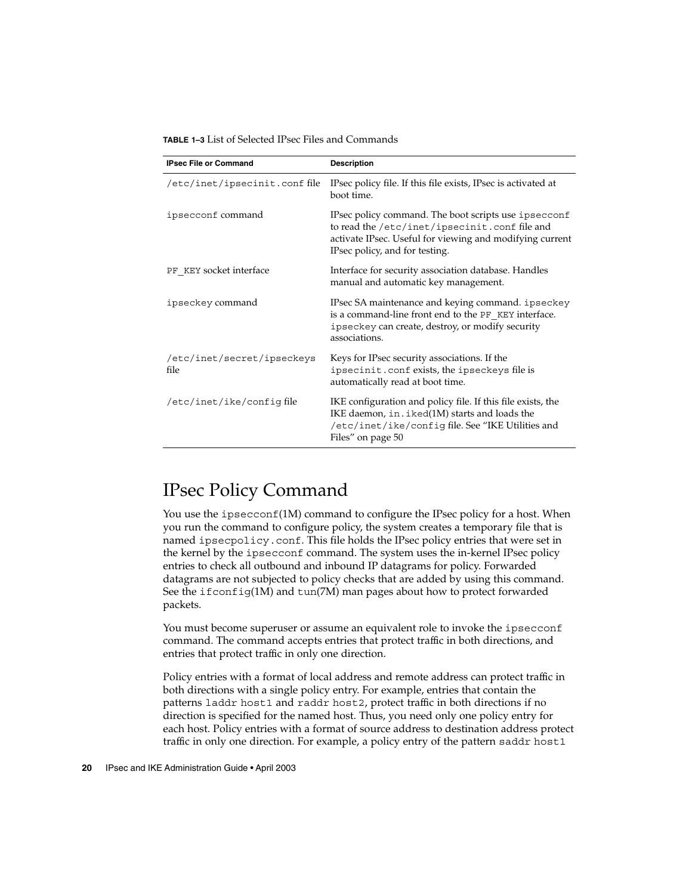<span id="page-19-0"></span>

| <b>IPsec File or Command</b>       | <b>Description</b>                                                                                                                                                                                  |
|------------------------------------|-----------------------------------------------------------------------------------------------------------------------------------------------------------------------------------------------------|
| /etc/inet/ipsecinit.conf file      | IPsec policy file. If this file exists, IPsec is activated at<br>boot time.                                                                                                                         |
| ipsecconf command                  | IPsec policy command. The boot scripts use ipsecconf<br>to read the /etc/inet/ipsecinit.conf file and<br>activate IPsec. Useful for viewing and modifying current<br>IPsec policy, and for testing. |
| PF KEY socket interface            | Interface for security association database. Handles<br>manual and automatic key management.                                                                                                        |
| ipseckey command                   | IPsec SA maintenance and keying command. ipseckey<br>is a command-line front end to the PF KEY interface.<br>ipseckey can create, destroy, or modify security<br>associations.                      |
| /etc/inet/secret/ipseckeys<br>file | Keys for IPsec security associations. If the<br>ipsecinit.conf exists, the ipseckeys file is<br>automatically read at boot time.                                                                    |
| /etc/inet/ike/configfile           | IKE configuration and policy file. If this file exists, the<br>IKE daemon, in. iked(1M) starts and loads the<br>/etc/inet/ike/config file. See "IKE Utilities and<br>Files" on page 50.             |

## IPsec Policy Command

You use the ipsecconf(1M) command to configure the IPsec policy for a host. When you run the command to configure policy, the system creates a temporary file that is named ipsecpolicy.conf. This file holds the IPsec policy entries that were set in the kernel by the ipsecconf command. The system uses the in-kernel IPsec policy entries to check all outbound and inbound IP datagrams for policy. Forwarded datagrams are not subjected to policy checks that are added by using this command. See the ifconfig(1M) and tun(7M) man pages about how to protect forwarded packets.

You must become superuser or assume an equivalent role to invoke the ipsecconf command. The command accepts entries that protect traffic in both directions, and entries that protect traffic in only one direction.

Policy entries with a format of local address and remote address can protect traffic in both directions with a single policy entry. For example, entries that contain the patterns laddr host1 and raddr host2, protect traffic in both directions if no direction is specified for the named host. Thus, you need only one policy entry for each host. Policy entries with a format of source address to destination address protect traffic in only one direction. For example, a policy entry of the pattern saddr host1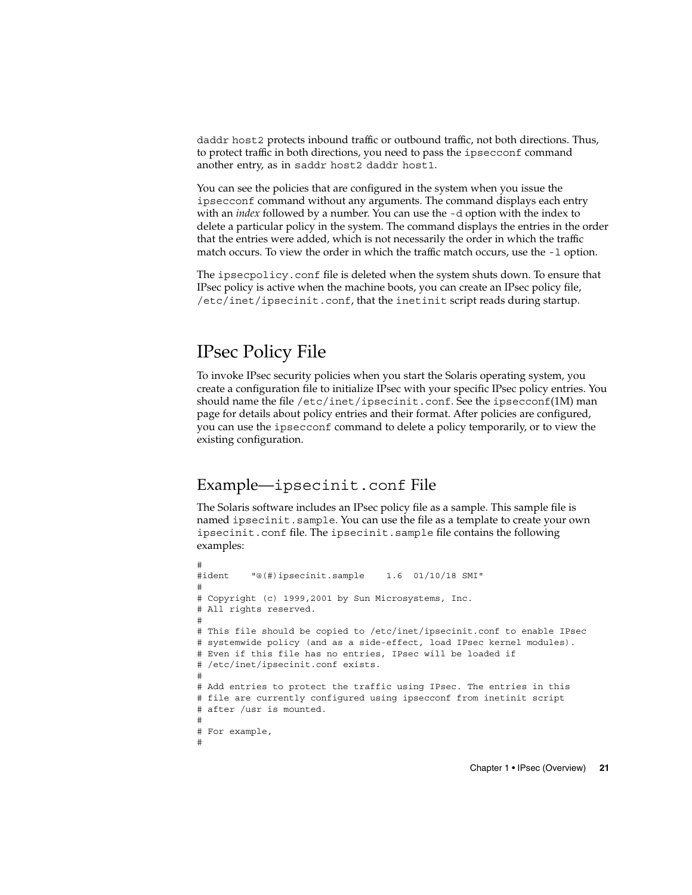<span id="page-20-0"></span>daddr host2 protects inbound traffic or outbound traffic, not both directions. Thus, to protect traffic in both directions, you need to pass the ipsecconf command another entry, as in saddr host2 daddr host1.

You can see the policies that are configured in the system when you issue the ipsecconf command without any arguments. The command displays each entry with an *index* followed by a number. You can use the -d option with the index to delete a particular policy in the system. The command displays the entries in the order that the entries were added, which is not necessarily the order in which the traffic match occurs. To view the order in which the traffic match occurs, use the -l option.

The ipsecpolicy.conf file is deleted when the system shuts down. To ensure that IPsec policy is active when the machine boots, you can create an IPsec policy file, /etc/inet/ipsecinit.conf, that the inetinit script reads during startup.

## IPsec Policy File

To invoke IPsec security policies when you start the Solaris operating system, you create a configuration file to initialize IPsec with your specific IPsec policy entries. You should name the file /etc/inet/ipsecinit.conf. See the ipsecconf(1M) man page for details about policy entries and their format. After policies are configured, you can use the ipsecconf command to delete a policy temporarily, or to view the existing configuration.

### Example—ipsecinit.conf File

The Solaris software includes an IPsec policy file as a sample. This sample file is named ipsecinit.sample. You can use the file as a template to create your own ipsecinit.conf file. The ipsecinit.sample file contains the following examples:

```
#
#ident "@(#)ipsecinit.sample 1.6 01/10/18 SMI"
#
# Copyright (c) 1999,2001 by Sun Microsystems, Inc.
# All rights reserved.
#
# This file should be copied to /etc/inet/ipsecinit.conf to enable IPsec
# systemwide policy (and as a side-effect, load IPsec kernel modules).
# Even if this file has no entries, IPsec will be loaded if
# /etc/inet/ipsecinit.conf exists.
#
# Add entries to protect the traffic using IPsec. The entries in this
# file are currently configured using ipsecconf from inetinit script
# after /usr is mounted.
#
# For example,
#
```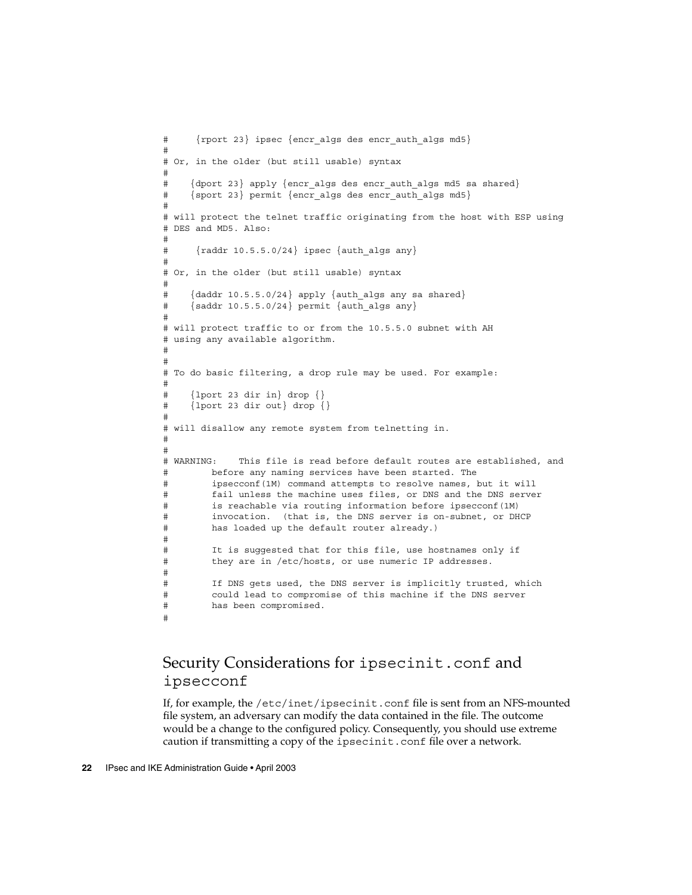```
# {rport 23} ipsec {encr_algs des encr_auth_algs md5}
#
# Or, in the older (but still usable) syntax
#
# {dport 23} apply {encr_algs des encr_auth_algs md5 sa shared}
# {sport 23} permit {encr_algs des encr_auth_algs md5}
#
# will protect the telnet traffic originating from the host with ESP using
# DES and MD5. Also:
#
# \{raddr 10.5.5.0/24\} ipsec \{auth \text{ }alqs \text{ any}\}#
# Or, in the older (but still usable) syntax
#
# {daddr 10.5.5.0/24} apply {auth_algs any sa shared}
# {saddr 10.5.5.0/24} permit {auth algs any
#
# will protect traffic to or from the 10.5.5.0 subnet with AH
# using any available algorithm.
#
#
# To do basic filtering, a drop rule may be used. For example:
#
# {lport 23 dir in} drop {}
# {lport 23 dir out} drop {}
#
# will disallow any remote system from telnetting in.
#
#
# WARNING: This file is read before default routes are established, and
# before any naming services have been started. The
# ipsecconf(1M) command attempts to resolve names, but it will
# fail unless the machine uses files, or DNS and the DNS server
# is reachable via routing information before ipsecconf(1M)
# invocation. (that is, the DNS server is on-subnet, or DHCP
# has loaded up the default router already.)
#
# It is suggested that for this file, use hostnames only if
# they are in /etc/hosts, or use numeric IP addresses.
#
# If DNS gets used, the DNS server is implicitly trusted, which
# could lead to compromise of this machine if the DNS server
# has been compromised.
#
```
## Security Considerations for ipsecinit.conf and ipsecconf

If, for example, the /etc/inet/ipsecinit.conf file is sent from an NFS-mounted file system, an adversary can modify the data contained in the file. The outcome would be a change to the configured policy. Consequently, you should use extreme caution if transmitting a copy of the ipsecinit.conf file over a network.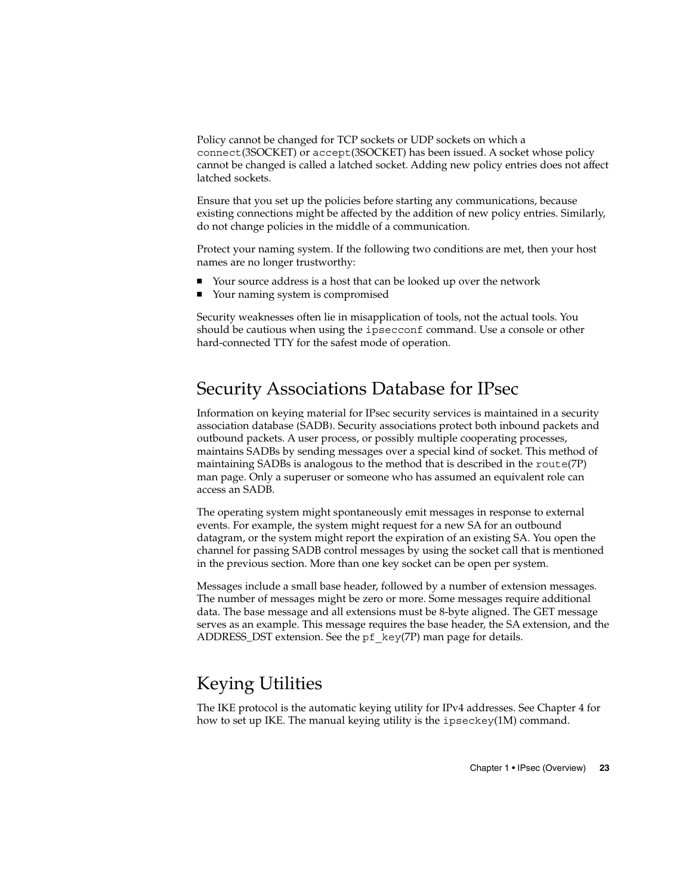<span id="page-22-0"></span>Policy cannot be changed for TCP sockets or UDP sockets on which a connect(3SOCKET) or accept(3SOCKET) has been issued. A socket whose policy cannot be changed is called a latched socket. Adding new policy entries does not affect latched sockets.

Ensure that you set up the policies before starting any communications, because existing connections might be affected by the addition of new policy entries. Similarly, do not change policies in the middle of a communication.

Protect your naming system. If the following two conditions are met, then your host names are no longer trustworthy:

- Your source address is a host that can be looked up over the network
- Your naming system is compromised

Security weaknesses often lie in misapplication of tools, not the actual tools. You should be cautious when using the ipsecconf command. Use a console or other hard-connected TTY for the safest mode of operation.

## Security Associations Database for IPsec

Information on keying material for IPsec security services is maintained in a security association database [\(SADB\)](#page-78-0). Security associations protect both inbound packets and outbound packets. A user process, or possibly multiple cooperating processes, maintains SADBs by sending messages over a special kind of socket. This method of maintaining SADBs is analogous to the method that is described in the route(7P) man page. Only a superuser or someone who has assumed an equivalent role can access an SADB.

The operating system might spontaneously emit messages in response to external events. For example, the system might request for a new SA for an outbound datagram, or the system might report the expiration of an existing SA. You open the channel for passing SADB control messages by using the socket call that is mentioned in the previous section. More than one key socket can be open per system.

Messages include a small base header, followed by a number of extension messages. The number of messages might be zero or more. Some messages require additional data. The base message and all extensions must be 8-byte aligned. The GET message serves as an example. This message requires the base header, the SA extension, and the ADDRESS\_DST extension. See the pf\_key(7P) man page for details.

## Keying Utilities

The IKE protocol is the automatic keying utility for IPv4 addresses. See [Chapter 4](#page-56-0) for how to set up IKE. The manual keying utility is the ipseckey(1M) command.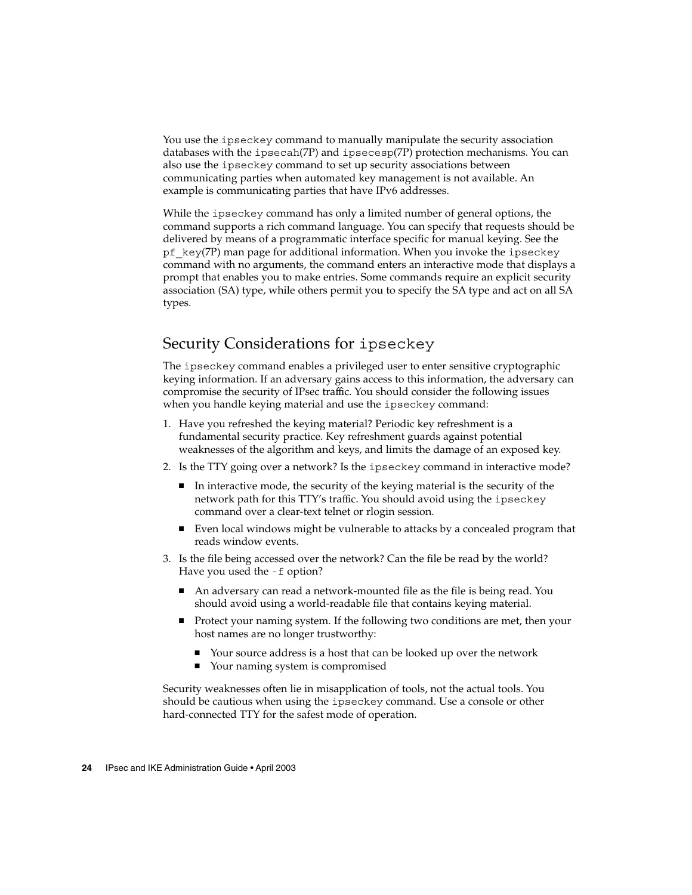You use the ipseckey command to manually manipulate the security association databases with the ipsecah(7P) and ipsecesp(7P) protection mechanisms. You can also use the ipseckey command to set up security associations between communicating parties when automated key management is not available. An example is communicating parties that have IPv6 addresses.

While the ipseckey command has only a limited number of general options, the command supports a rich command language. You can specify that requests should be delivered by means of a programmatic interface specific for manual keying. See the pf\_key(7P) man page for additional information. When you invoke the ipseckey command with no arguments, the command enters an interactive mode that displays a prompt that enables you to make entries. Some commands require an explicit security association (SA) type, while others permit you to specify the SA type and act on all SA types.

## Security Considerations for ipseckey

The ipseckey command enables a privileged user to enter sensitive cryptographic keying information. If an adversary gains access to this information, the adversary can compromise the security of IPsec traffic. You should consider the following issues when you handle keying material and use the ipseckey command:

- 1. Have you refreshed the keying material? Periodic key refreshment is a fundamental security practice. Key refreshment guards against potential weaknesses of the algorithm and keys, and limits the damage of an exposed key.
- 2. Is the TTY going over a network? Is the ipseckey command in interactive mode?
	- In interactive mode, the security of the keying material is the security of the network path for this TTY's traffic. You should avoid using the ipseckey command over a clear-text telnet or rlogin session.
	- Even local windows might be vulnerable to attacks by a concealed program that reads window events.
- 3. Is the file being accessed over the network? Can the file be read by the world? Have you used the -f option?
	- An adversary can read a network-mounted file as the file is being read. You should avoid using a world-readable file that contains keying material.
	- Protect your naming system. If the following two conditions are met, then your host names are no longer trustworthy:
		- Your source address is a host that can be looked up over the network
		- Your naming system is compromised

Security weaknesses often lie in misapplication of tools, not the actual tools. You should be cautious when using the ipseckey command. Use a console or other hard-connected TTY for the safest mode of operation.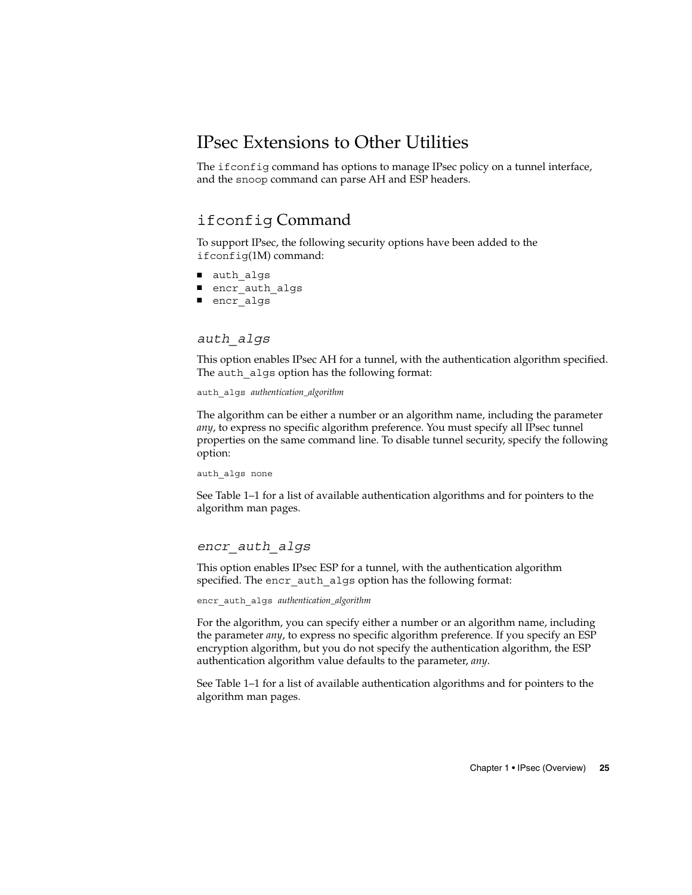## <span id="page-24-0"></span>IPsec Extensions to Other Utilities

The ifconfig command has options to manage IPsec policy on a tunnel interface, and the snoop command can parse AH and ESP headers.

### ifconfig Command

To support IPsec, the following security options have been added to the ifconfig(1M) command:

- auth\_algs
- encr\_auth\_algs
- encr\_algs

#### *auth\_algs*

This option enables IPsec AH for a tunnel, with the authentication algorithm specified. The auth\_algs option has the following format:

auth\_algs *authentication\_algorithm*

The algorithm can be either a number or an algorithm name, including the parameter *any*, to express no specific algorithm preference. You must specify all IPsec tunnel properties on the same command line. To disable tunnel security, specify the following option:

auth\_algs none

See [Table 1–1](#page-15-0) for a list of available authentication algorithms and for pointers to the algorithm man pages.

#### *encr\_auth\_algs*

This option enables IPsec ESP for a tunnel, with the authentication algorithm specified. The encr auth algs option has the following format:

encr\_auth\_algs *authentication\_algorithm*

For the algorithm, you can specify either a number or an algorithm name, including the parameter *any*, to express no specific algorithm preference. If you specify an ESP encryption algorithm, but you do not specify the authentication algorithm, the ESP authentication algorithm value defaults to the parameter, *any*.

See [Table 1–1](#page-15-0) for a list of available authentication algorithms and for pointers to the algorithm man pages.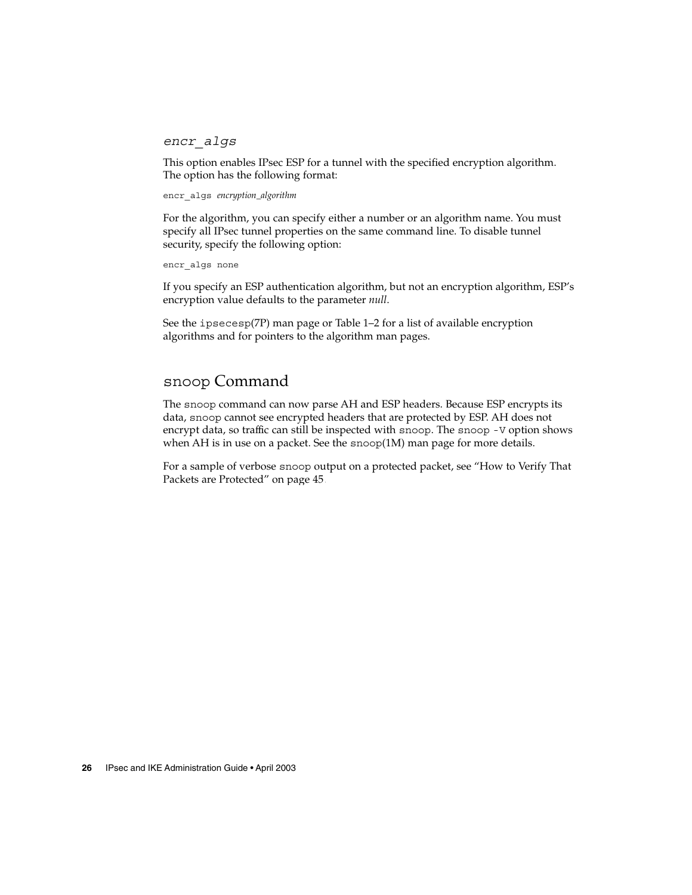*encr\_algs*

This option enables IPsec ESP for a tunnel with the specified encryption algorithm. The option has the following format:

encr\_algs *encryption\_algorithm*

For the algorithm, you can specify either a number or an algorithm name. You must specify all IPsec tunnel properties on the same command line. To disable tunnel security, specify the following option:

encr\_algs none

If you specify an ESP authentication algorithm, but not an encryption algorithm, ESP's encryption value defaults to the parameter *null*.

See the ipsecesp(7P) man page or [Table 1–2](#page-15-0) for a list of available encryption algorithms and for pointers to the algorithm man pages.

### snoop Command

The snoop command can now parse AH and ESP headers. Because ESP encrypts its data, snoop cannot see encrypted headers that are protected by ESP. AH does not encrypt data, so traffic can still be inspected with snoop. The snoop -V option shows when  $AH$  is in use on a packet. See the  $\mathsf{smooth}(1M)$  man page for more details.

For a sample of verbose snoop output on a protected packet, see ["How to Verify That](#page-44-0) [Packets are Protected"](#page-44-0) on page 45.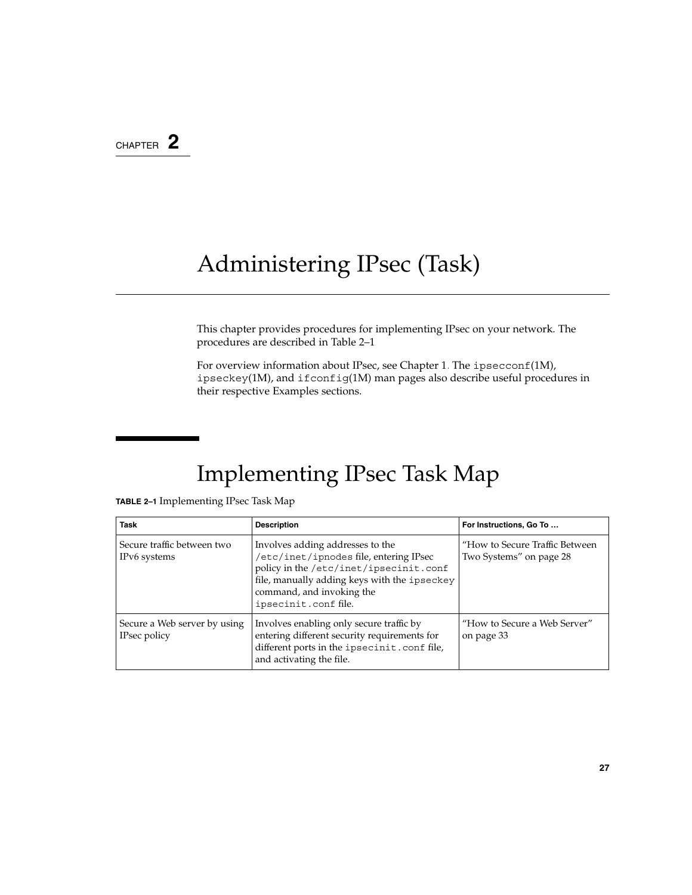## <span id="page-26-0"></span>CHAPTER **2**

# Administering IPsec (Task)

This chapter provides procedures for implementing IPsec on your network. The procedures are described in Table 2–1.

For overview information about IPsec, see [Chapter 1.](#page-8-0) The ipsecconf(1M), ipseckey(1M), and ifconfig(1M) man pages also describe useful procedures in their respective Examples sections.

# Implementing IPsec Task Map

| <b>TABLE 2-1</b> Implementing IPsec Task Map |  |  |  |
|----------------------------------------------|--|--|--|
|----------------------------------------------|--|--|--|

| Task                                         | <b>Description</b>                                                                                                                                                                                                        | For Instructions, Go To                                   |
|----------------------------------------------|---------------------------------------------------------------------------------------------------------------------------------------------------------------------------------------------------------------------------|-----------------------------------------------------------|
| Secure traffic between two<br>IPv6 systems   | Involves adding addresses to the<br>/etc/inet/ipnodes file, entering IPsec<br>policy in the /etc/inet/ipsecinit.conf<br>file, manually adding keys with the ipseckey<br>command, and invoking the<br>ipsecinit.conf file. | "How to Secure Traffic Between<br>Two Systems" on page 28 |
| Secure a Web server by using<br>IPsec policy | Involves enabling only secure traffic by<br>entering different security requirements for<br>different ports in the ipsecinit.conf file,<br>and activating the file.                                                       | "How to Secure a Web Server"<br>on page 33                |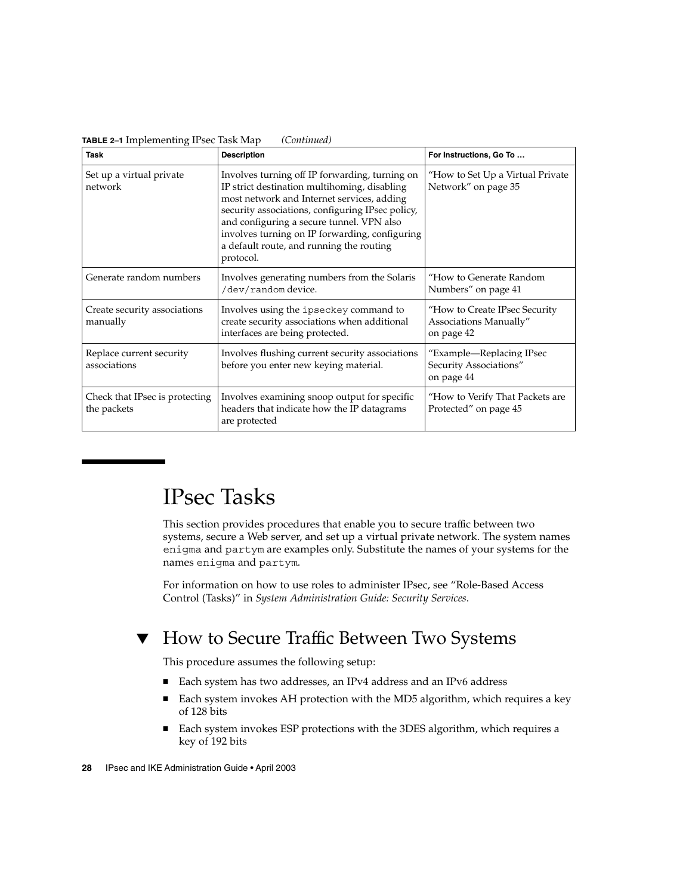| <b>Task</b>                                   | <b>Description</b>                                                                                                                                                                                                                                                                                                                                       | For Instructions, Go To                                               |
|-----------------------------------------------|----------------------------------------------------------------------------------------------------------------------------------------------------------------------------------------------------------------------------------------------------------------------------------------------------------------------------------------------------------|-----------------------------------------------------------------------|
| Set up a virtual private<br>network           | Involves turning off IP forwarding, turning on<br>IP strict destination multihoming, disabling<br>most network and Internet services, adding<br>security associations, configuring IPsec policy,<br>and configuring a secure tunnel. VPN also<br>involves turning on IP forwarding, configuring<br>a default route, and running the routing<br>protocol. | "How to Set Up a Virtual Private<br>Network" on page 35               |
| Generate random numbers                       | Involves generating numbers from the Solaris<br>/dev/random device.                                                                                                                                                                                                                                                                                      | "How to Generate Random<br>Numbers" on page 41                        |
| Create security associations<br>manually      | Involves using the ipseckey command to<br>create security associations when additional<br>interfaces are being protected.                                                                                                                                                                                                                                | "How to Create IPsec Security<br>Associations Manually"<br>on page 42 |
| Replace current security<br>associations      | Involves flushing current security associations<br>before you enter new keying material.                                                                                                                                                                                                                                                                 | "Example—Replacing IPsec<br>Security Associations"<br>on page 44      |
| Check that IPsec is protecting<br>the packets | Involves examining snoop output for specific<br>headers that indicate how the IP datagrams<br>are protected                                                                                                                                                                                                                                              | "How to Verify That Packets are<br>Protected" on page 45              |

<span id="page-27-0"></span>

|  |  | TABLE 2-1 Implementing IPsec Task Map | (Continued) |
|--|--|---------------------------------------|-------------|
|--|--|---------------------------------------|-------------|

# IPsec Tasks

This section provides procedures that enable you to secure traffic between two systems, secure a Web server, and set up a virtual private network. The system names enigma and partym are examples only. Substitute the names of your systems for the names enigma and partym.

For information on how to use roles to administer IPsec, see "Role-Based Access Control (Tasks)" in *System Administration Guide: Security Services*.

▼ How to Secure Traffic Between Two Systems

This procedure assumes the following setup:

- Each system has two addresses, an IPv4 address and an IPv6 address
- Each system invokes AH protection with the MD5 algorithm, which requires a key of 128 bits
- Each system invokes ESP protections with the 3DES algorithm, which requires a key of 192 bits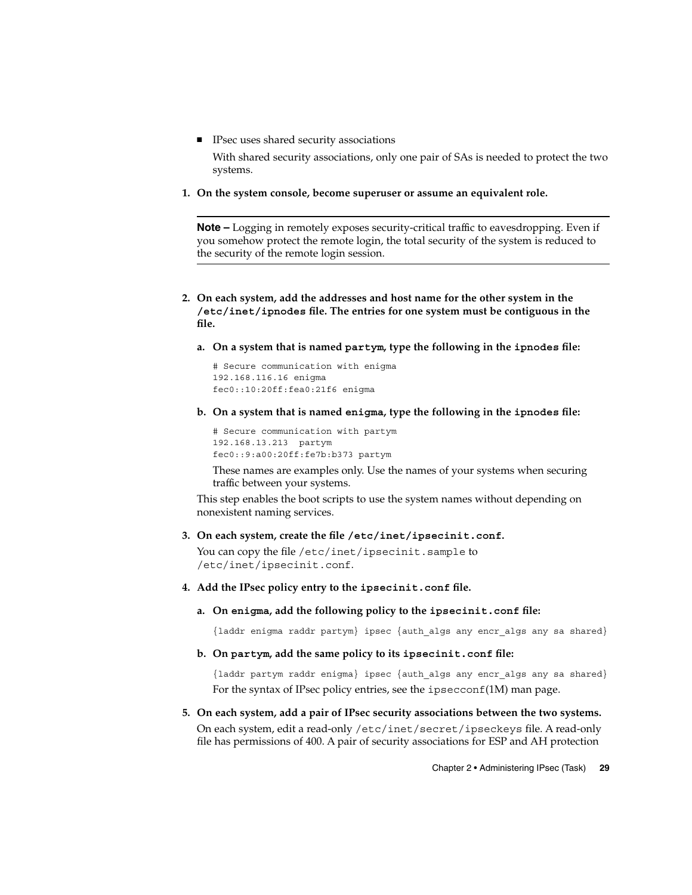<span id="page-28-0"></span>■ IPsec uses shared security associations

With shared security associations, only one pair of SAs is needed to protect the two systems.

**1. On the system console, become superuser or assume an equivalent role.**

**Note –** Logging in remotely exposes security-critical traffic to eavesdropping. Even if you somehow protect the remote login, the total security of the system is reduced to the security of the remote login session.

- **2. On each system, add the addresses and host name for the other system in the /etc/inet/ipnodes file. The entries for one system must be contiguous in the file.**
	- **a. On a system that is named partym, type the following in the ipnodes file:**

# Secure communication with enigma 192.168.116.16 enigma fec0::10:20ff:fea0:21f6 enigma

**b. On a system that is named enigma, type the following in the ipnodes file:**

# Secure communication with partym 192.168.13.213 partym fec0::9:a00:20ff:fe7b:b373 partym

These names are examples only. Use the names of your systems when securing traffic between your systems.

This step enables the boot scripts to use the system names without depending on nonexistent naming services.

#### **3. On each system, create the file /etc/inet/ipsecinit.conf.**

You can copy the file /etc/inet/ipsecinit.sample to /etc/inet/ipsecinit.conf.

- **4. Add the IPsec policy entry to the ipsecinit.conf file.**
	- **a. On enigma, add the following policy to the ipsecinit.conf file:**

{laddr enigma raddr partym} ipsec {auth\_algs any encr\_algs any sa shared}

**b. On partym, add the same policy to its ipsecinit.conf file:**

{laddr partym raddr enigma} ipsec {auth\_algs any encr\_algs any sa shared} For the syntax of IPsec policy entries, see the ipsecconf(1M) man page.

**5. On each system, add a pair of IPsec security associations between the two systems.**

On each system, edit a read-only /etc/inet/secret/ipseckeys file. A read-only file has permissions of 400. A pair of security associations for ESP and AH protection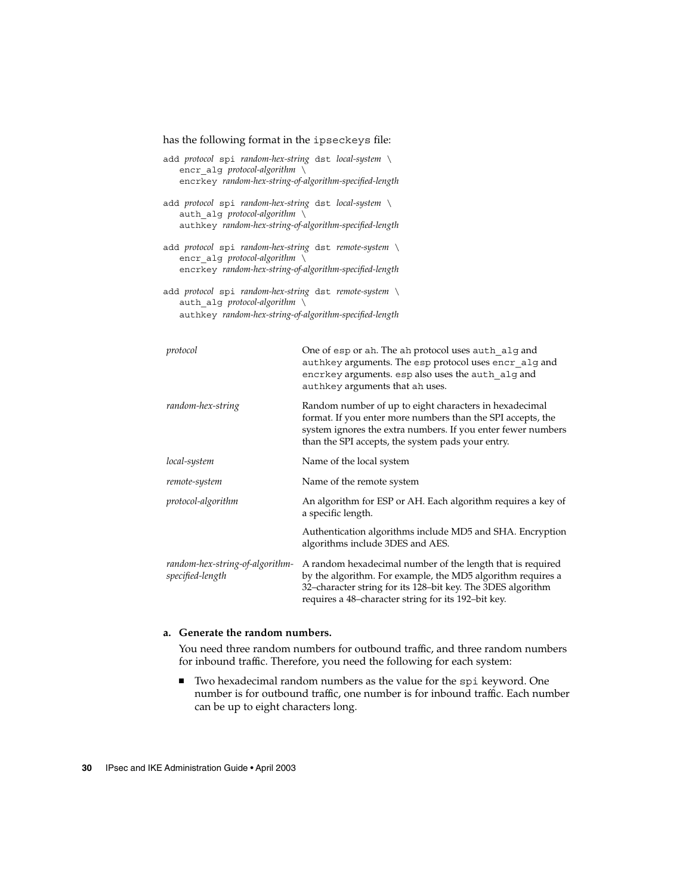#### has the following format in the ipseckeys file:

| add protocol spi random-hex-string dst local-system \<br>encr alg protocol-algorithm $\setminus$<br>encrkey random-hex-string-of-algorithm-specified-length                       |
|-----------------------------------------------------------------------------------------------------------------------------------------------------------------------------------|
| add <i>protocol</i> spi <i>random-hex-string</i> dst <i>local-system</i> \<br>auth_alg protocol-algorithm \<br>authkey random-hex-string-of-algorithm-specified-length            |
| add <i>protocol</i> spi <i>random-hex-string</i> dst <i>remote-system</i> \<br>encr alg protocol-algorithm $\setminus$<br>encrkey random-hex-string-of-algorithm-specified-length |
| add protocol spi random-hex-string dst remote-system \<br>auth_alg protocol-algorithm \<br>authkey random-hex-string-of-algorithm-specified-length                                |

| protocol                                            | One of esp or ah. The ah protocol uses auth alg and<br>authkey arguments. The esp protocol uses encr_alg and<br>encrkey arguments. esp also uses the auth alg and<br>authkey arguments that ah uses.                                            |
|-----------------------------------------------------|-------------------------------------------------------------------------------------------------------------------------------------------------------------------------------------------------------------------------------------------------|
| random-hex-string                                   | Random number of up to eight characters in hexadecimal<br>format. If you enter more numbers than the SPI accepts, the<br>system ignores the extra numbers. If you enter fewer numbers<br>than the SPI accepts, the system pads your entry.      |
| local-system                                        | Name of the local system                                                                                                                                                                                                                        |
| remote-system                                       | Name of the remote system                                                                                                                                                                                                                       |
| protocol-algorithm                                  | An algorithm for ESP or AH. Each algorithm requires a key of<br>a specific length.                                                                                                                                                              |
|                                                     | Authentication algorithms include MD5 and SHA. Encryption<br>algorithms include 3DES and AES.                                                                                                                                                   |
| random-hex-string-of-algorithm-<br>specified-length | A random hexadecimal number of the length that is required<br>by the algorithm. For example, the MD5 algorithm requires a<br>32-character string for its 128-bit key. The 3DES algorithm<br>requires a 48-character string for its 192-bit key. |

#### **a. Generate the random numbers.**

You need three random numbers for outbound traffic, and three random numbers for inbound traffic. Therefore, you need the following for each system:

■ Two hexadecimal random numbers as the value for the spi keyword. One number is for outbound traffic, one number is for inbound traffic. Each number can be up to eight characters long.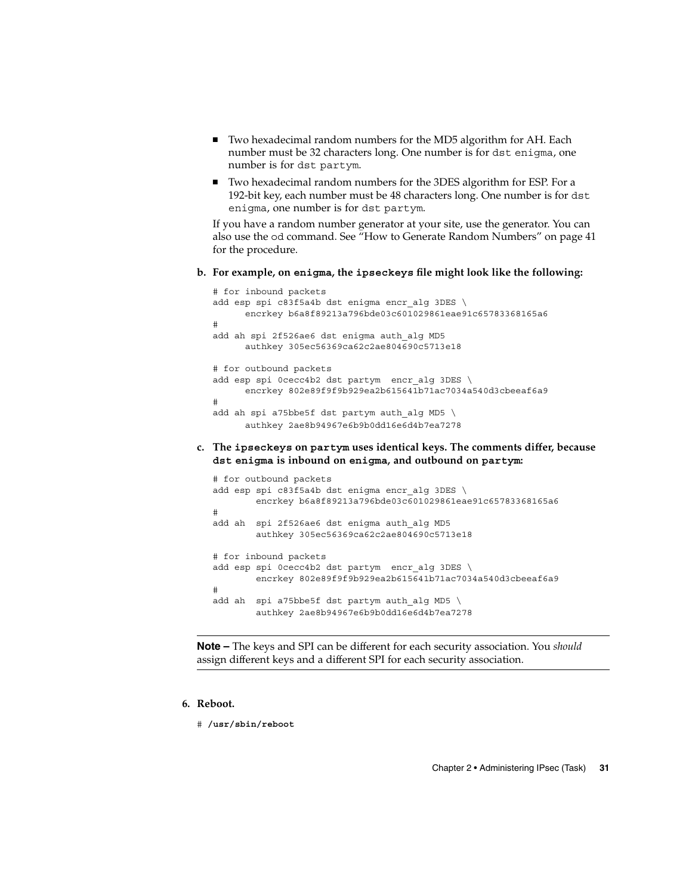- Two hexadecimal random numbers for the MD5 algorithm for AH. Each number must be 32 characters long. One number is for dst enigma, one number is for dst partym.
- Two hexadecimal random numbers for the 3DES algorithm for ESP. For a 192-bit key, each number must be 48 characters long. One number is for dst enigma, one number is for dst partym.

If you have a random number generator at your site, use the generator. You can also use the od command. See ["How to Generate Random Numbers"](#page-40-0) on page 41 for the procedure.

#### **b. For example, on enigma, the ipseckeys file might look like the following:**

```
# for inbound packets
add esp spi c83f5a4b dst enigma encr alg 3DES \
     encrkey b6a8f89213a796bde03c601029861eae91c65783368165a6
#
add ah spi 2f526ae6 dst enigma auth_alg MD5
     authkey 305ec56369ca62c2ae804690c5713e18
# for outbound packets
add esp spi 0cecc4b2 dst partym encr_alg 3DES \
     encrkey 802e89f9f9b929ea2b615641b71ac7034a540d3cbeeaf6a9
#
add ah spi a75bbe5f dst partym auth_alg MD5 \
      authkey 2ae8b94967e6b9b0dd16e6d4b7ea7278
```
**c. The ipseckeys on partym uses identical keys. The comments differ, because dst enigma is inbound on enigma, and outbound on partym:**

```
# for outbound packets
add esp spi c83f5a4b dst enigma encr_alg 3DES \
        encrkey b6a8f89213a796bde03c601029861eae91c65783368165a6
#
add ah spi 2f526ae6 dst enigma auth_alg MD5
        authkey 305ec56369ca62c2ae804690c5713e18
# for inbound packets
add esp spi 0cecc4b2 dst partym encr_alg 3DES \
        encrkey 802e89f9f9b929ea2b615641b71ac7034a540d3cbeeaf6a9
#
add ah spi a75bbe5f dst partym auth_alg MD5 \
        authkey 2ae8b94967e6b9b0dd16e6d4b7ea7278
```
**Note –** The keys and SPI can be different for each security association. You *should* assign different keys and a different SPI for each security association.

#### **6. Reboot.**

# **/usr/sbin/reboot**

Chapter 2 • Administering IPsec (Task) **31**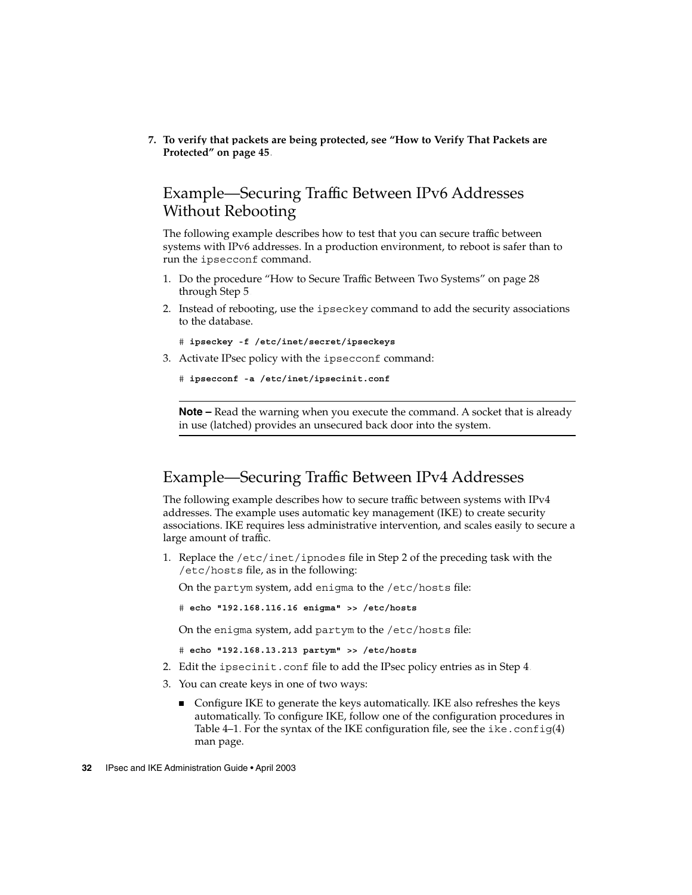**7. To verify that packets are being protected, see ["How to Verify That Packets are](#page-44-0) Protected" [on page 45.](#page-44-0)**

### Example—Securing Traffic Between IPv6 Addresses Without Rebooting

The following example describes how to test that you can secure traffic between systems with IPv6 addresses. In a production environment, to reboot is safer than to run the ipsecconf command.

- 1. Do the procedure ["How to Secure Traffic Between Two Systems"](#page-27-0) on page 28 through [Step 5.](#page-28-0)
- 2. Instead of rebooting, use the ipseckey command to add the security associations to the database.

```
# ipseckey -f /etc/inet/secret/ipseckeys
```
3. Activate IPsec policy with the ipsecconf command:

```
# ipsecconf -a /etc/inet/ipsecinit.conf
```
**Note –** Read the warning when you execute the command. A socket that is already in use (latched) provides an unsecured back door into the system.

### Example—Securing Traffic Between IPv4 Addresses

The following example describes how to secure traffic between systems with IPv4 addresses. The example uses automatic key management (IKE) to create security associations. IKE requires less administrative intervention, and scales easily to secure a large amount of traffic.

1. Replace the /etc/inet/ipnodes file in [Step 2](#page-28-0) of the preceding task with the /etc/hosts file, as in the following:

On the partym system, add enigma to the /etc/hosts file:

```
# echo "192.168.116.16 enigma" >> /etc/hosts
```
On the enigma system, add partym to the /etc/hosts file:

```
# echo "192.168.13.213 partym" >> /etc/hosts
```
- 2. Edit the ipsecinit.conf file to add the IPsec policy entries as in [Step 4.](#page-28-0)
- 3. You can create keys in one of two ways:
	- Configure IKE to generate the keys automatically. IKE also refreshes the keys automatically. To configure IKE, follow one of the configuration procedures in Table  $4-1$ . For the syntax of the IKE configuration file, see the ike.config(4) man page.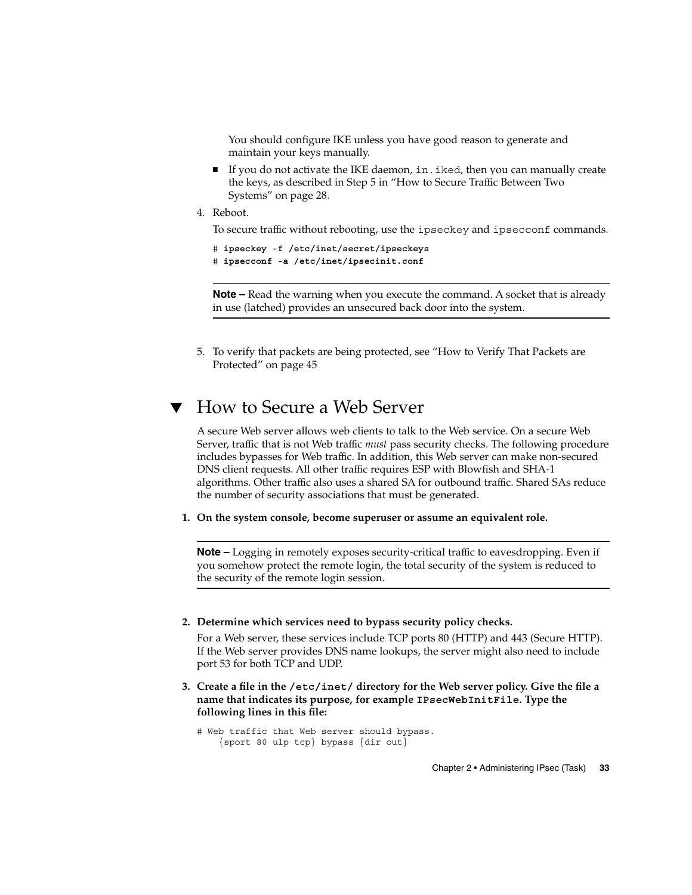<span id="page-32-0"></span>You should configure IKE unless you have good reason to generate and maintain your keys manually.

- If you do not activate the IKE daemon,  $\text{in.i.}$  is detection, then you can manually create the keys, as described in [Step 5](#page-28-0) in ["How to Secure Traffic Between Two](#page-27-0) Systems" [on page 28.](#page-27-0)
- 4. Reboot.

To secure traffic without rebooting, use the ipseckey and ipsecconf commands.

```
# ipseckey -f /etc/inet/secret/ipseckeys
# ipsecconf -a /etc/inet/ipsecinit.conf
```
**Note** – Read the warning when you execute the command. A socket that is already in use (latched) provides an unsecured back door into the system.

5. To verify that packets are being protected, see ["How to Verify That Packets are](#page-44-0) Protected" [on page 45.](#page-44-0)

## ▼ How to Secure a Web Server

A secure Web server allows web clients to talk to the Web service. On a secure Web Server, traffic that is not Web traffic *must* pass security checks. The following procedure includes bypasses for Web traffic. In addition, this Web server can make non-secured DNS client requests. All other traffic requires ESP with Blowfish and SHA-1 algorithms. Other traffic also uses a shared SA for outbound traffic. Shared SAs reduce the number of security associations that must be generated.

**1. On the system console, become superuser or assume an equivalent role.**

**Note –** Logging in remotely exposes security-critical traffic to eavesdropping. Even if you somehow protect the remote login, the total security of the system is reduced to the security of the remote login session.

**2. Determine which services need to bypass security policy checks.**

For a Web server, these services include TCP ports 80 (HTTP) and 443 (Secure HTTP). If the Web server provides DNS name lookups, the server might also need to include port 53 for both TCP and UDP.

**3. Create a file in the /etc/inet/ directory for the Web server policy. Give the file a name that indicates its purpose, for example IPsecWebInitFile. Type the following lines in this file:**

```
# Web traffic that Web server should bypass.
    {sport 80 ulp tcp} bypass {dir out}
```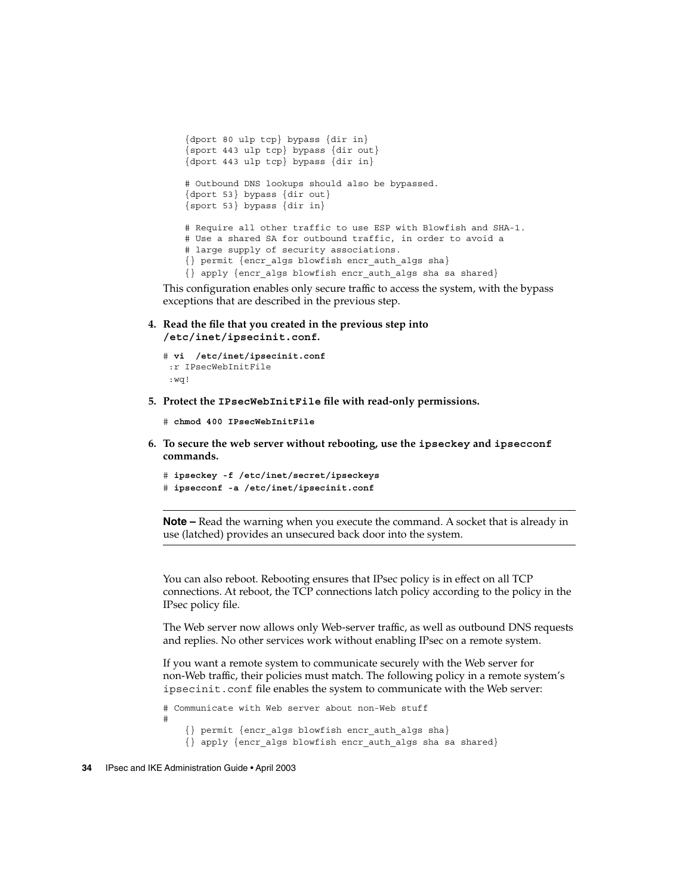```
{dport 80 ulp tcp} bypass {dir in}
{sport 443 ulp tcp} bypass {dir out}
{dport 443 ulp tcp} bypass {dir in}
# Outbound DNS lookups should also be bypassed.
{dport 53} bypass {dir out}
{sport 53} bypass {dir in}
# Require all other traffic to use ESP with Blowfish and SHA-1.
# Use a shared SA for outbound traffic, in order to avoid a
# large supply of security associations.
{} permit {encr_algs blowfish encr_auth_algs sha}
{} apply {encr_algs blowfish encr_auth_algs sha sa shared}
```
This configuration enables only secure traffic to access the system, with the bypass exceptions that are described in the previous step.

**4. Read the file that you created in the previous step into /etc/inet/ipsecinit.conf.**

```
# vi /etc/inet/ipsecinit.conf
:r IPsecWebInitFile
:wq!
```
**5. Protect the IPsecWebInitFile file with read-only permissions.**

```
# chmod 400 IPsecWebInitFile
```
**6. To secure the web server without rebooting, use the ipseckey and ipsecconf commands.**

```
# ipseckey -f /etc/inet/secret/ipseckeys
# ipsecconf -a /etc/inet/ipsecinit.conf
```
**Note –** Read the warning when you execute the command. A socket that is already in use (latched) provides an unsecured back door into the system.

You can also reboot. Rebooting ensures that IPsec policy is in effect on all TCP connections. At reboot, the TCP connections latch policy according to the policy in the IPsec policy file.

The Web server now allows only Web-server traffic, as well as outbound DNS requests and replies. No other services work without enabling IPsec on a remote system.

If you want a remote system to communicate securely with the Web server for non-Web traffic, their policies must match. The following policy in a remote system's ipsecinit.conf file enables the system to communicate with the Web server:

```
# Communicate with Web server about non-Web stuff
#
    {} permit {encr_algs blowfish encr_auth_algs sha}
   {} apply {encr_algs blowfish encr_auth_algs sha sa shared}
```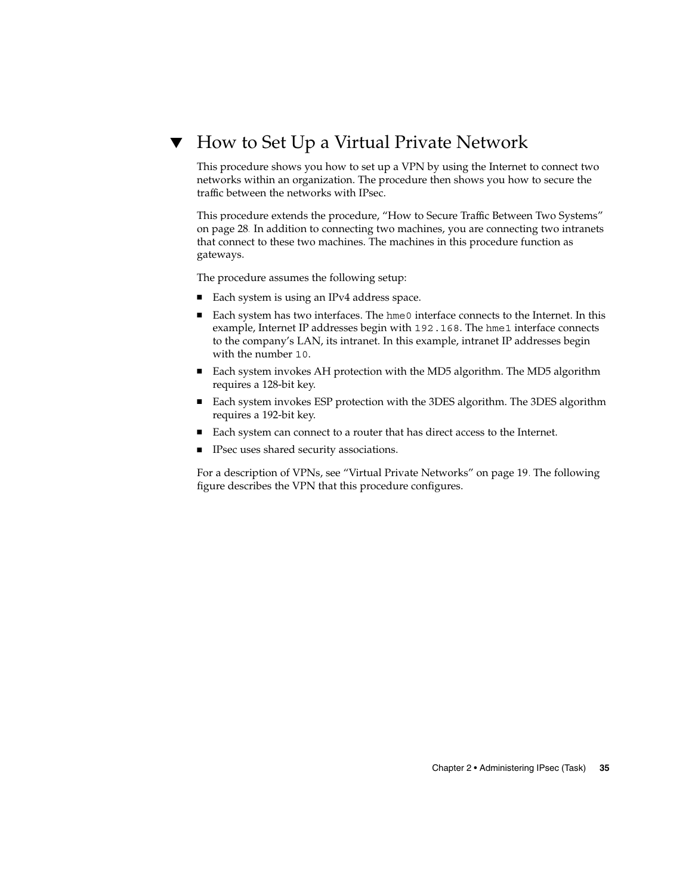## <span id="page-34-0"></span>▼ How to Set Up a Virtual Private Network

This procedure shows you how to set up a VPN by using the Internet to connect two networks within an organization. The procedure then shows you how to secure the traffic between the networks with IPsec.

This procedure extends the procedure, ["How to Secure Traffic Between Two Systems"](#page-27-0) [on page 28.](#page-27-0) In addition to connecting two machines, you are connecting two intranets that connect to these two machines. The machines in this procedure function as gateways.

The procedure assumes the following setup:

- Each system is using an IPv4 address space.
- Each system has two interfaces. The hme0 interface connects to the Internet. In this example, Internet IP addresses begin with 192.168. The hme1 interface connects to the company's LAN, its intranet. In this example, intranet IP addresses begin with the number 10.
- Each system invokes AH protection with the MD5 algorithm. The MD5 algorithm requires a 128-bit key.
- Each system invokes ESP protection with the 3DES algorithm. The 3DES algorithm requires a 192-bit key.
- Each system can connect to a router that has direct access to the Internet.
- IPsec uses shared security associations.

For a description of VPNs, see ["Virtual Private Networks"](#page-18-0) on page 19. The following figure describes the VPN that this procedure configures.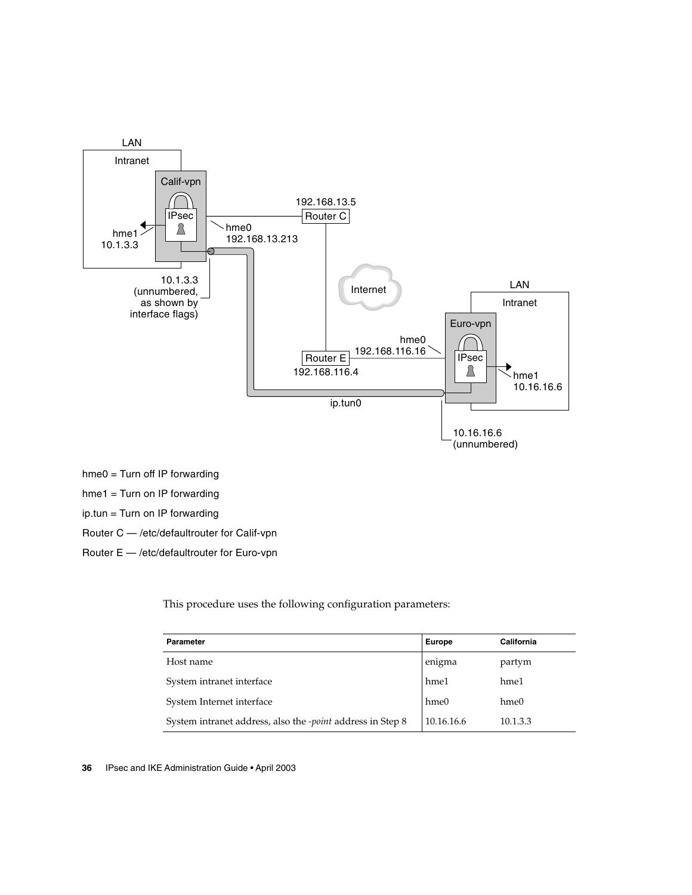

hme0 = Turn off IP forwarding

- hme1 = Turn on IP forwarding
- ip.tun = Turn on IP forwarding
- Router C /etc/defaultrouter for Calif-vpn
- Router E /etc/defaultrouter for Euro-vpn

This procedure uses the following configuration parameters:

| Parameter                                                         | <b>Europe</b> | California |
|-------------------------------------------------------------------|---------------|------------|
| Host name                                                         | enigma        | partym     |
| System intranet interface                                         | hme1          | hme1       |
| System Internet interface                                         | hme0          | hme0       |
| System intranet address, also the <i>-point</i> address in Step 8 | 10.16.16.6    | 10.1.3.3   |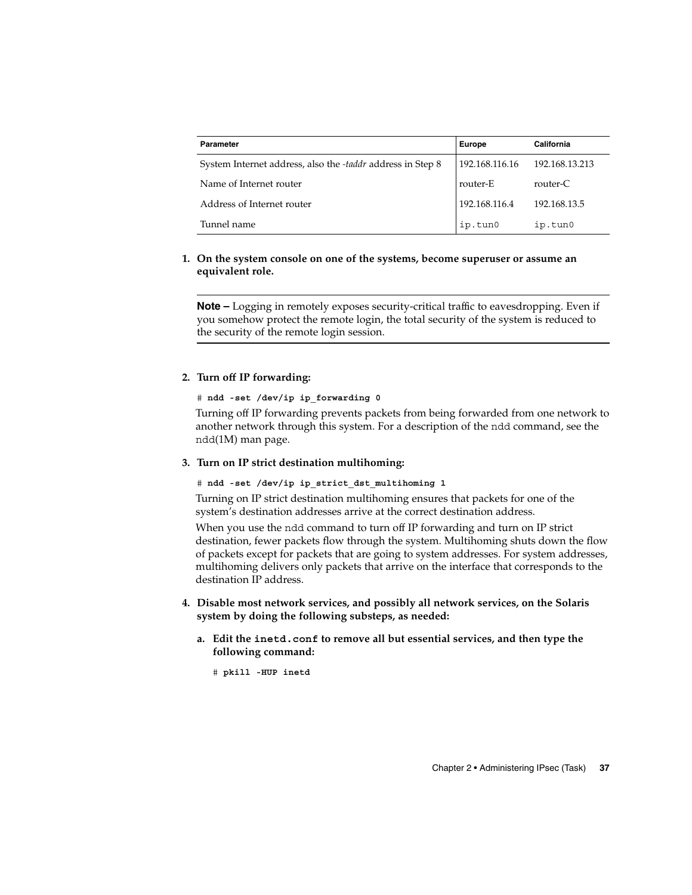| <b>Parameter</b>                                           | <b>Europe</b>  | California     |
|------------------------------------------------------------|----------------|----------------|
| System Internet address, also the -taddr address in Step 8 | 192.168.116.16 | 192.168.13.213 |
| Name of Internet router                                    | router-E       | router-C       |
| Address of Internet router                                 | 192.168.116.4  | 192.168.13.5   |
| Tunnel name                                                | ip.tun0        | ip.tun0        |

### **1. On the system console on one of the systems, become superuser or assume an equivalent role.**

**Note –** Logging in remotely exposes security-critical traffic to eavesdropping. Even if you somehow protect the remote login, the total security of the system is reduced to the security of the remote login session.

### **2. Turn off IP forwarding:**

### # **ndd -set /dev/ip ip\_forwarding 0**

Turning off IP forwarding prevents packets from being forwarded from one network to another network through this system. For a description of the ndd command, see the ndd(1M) man page.

### **3. Turn on IP strict destination multihoming:**

#### # **ndd -set /dev/ip ip\_strict\_dst\_multihoming 1**

Turning on IP strict destination multihoming ensures that packets for one of the system's destination addresses arrive at the correct destination address.

When you use the ndd command to turn off IP forwarding and turn on IP strict destination, fewer packets flow through the system. Multihoming shuts down the flow of packets except for packets that are going to system addresses. For system addresses, multihoming delivers only packets that arrive on the interface that corresponds to the destination IP address.

- **4. Disable most network services, and possibly all network services, on the Solaris system by doing the following substeps, as needed:**
	- **a. Edit the inetd.conf to remove all but essential services, and then type the following command:**

# **pkill -HUP inetd**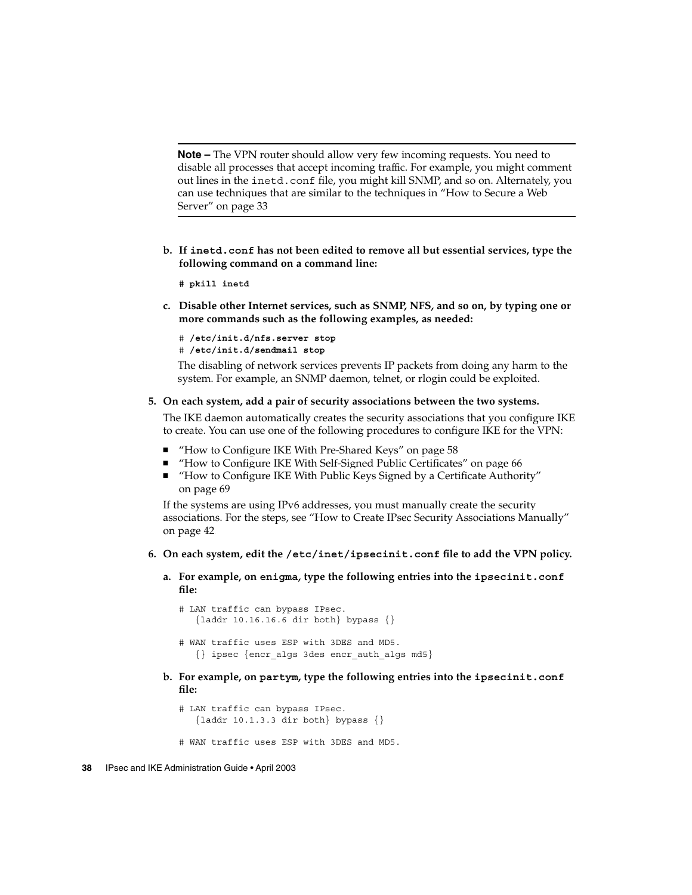**Note –** The VPN router should allow very few incoming requests. You need to disable all processes that accept incoming traffic. For example, you might comment out lines in the inetd.conf file, you might kill SNMP, and so on. Alternately, you can use techniques that are similar to the techniques in ["How to Secure a Web](#page-32-0) Server" [on page 33.](#page-32-0)

- **b. If inetd.conf has not been edited to remove all but essential services, type the following command on a command line:**
	- **# pkill inetd**
- **c. Disable other Internet services, such as SNMP, NFS, and so on, by typing one or more commands such as the following examples, as needed:**
	- # **/etc/init.d/nfs.server stop**
	- # **/etc/init.d/sendmail stop**

The disabling of network services prevents IP packets from doing any harm to the system. For example, an SNMP daemon, telnet, or rlogin could be exploited.

#### **5. On each system, add a pair of security associations between the two systems.**

The IKE daemon automatically creates the security associations that you configure IKE to create. You can use one of the following procedures to configure IKE for the VPN:

- ["How to Configure IKE With Pre-Shared Keys"](#page-57-0) on page 58
- ["How to Configure IKE With Self-Signed Public Certificates"](#page-65-0) on page 66
- ["How to Configure IKE With Public Keys Signed by a Certificate Authority"](#page-68-0) [on page 69](#page-68-0)

If the systems are using IPv6 addresses, you must manually create the security associations. For the steps, see ["How to Create IPsec Security Associations Manually"](#page-41-0) [on page 42.](#page-41-0)

- **6. On each system, edit the /etc/inet/ipsecinit.conf file to add the VPN policy.**
	- **a. For example, on enigma, type the following entries into the ipsecinit.conf file:**

```
# LAN traffic can bypass IPsec.
   {laddr 10.16.16.6 dir both} bypass {}
# WAN traffic uses ESP with 3DES and MD5.
   {} ipsec {encr_algs 3des encr_auth_algs md5}
```
**b. For example, on partym, type the following entries into the ipsecinit.conf file:**

```
# LAN traffic can bypass IPsec.
   {laddr 10.1.3.3 dir both} bypass {}
```
# WAN traffic uses ESP with 3DES and MD5.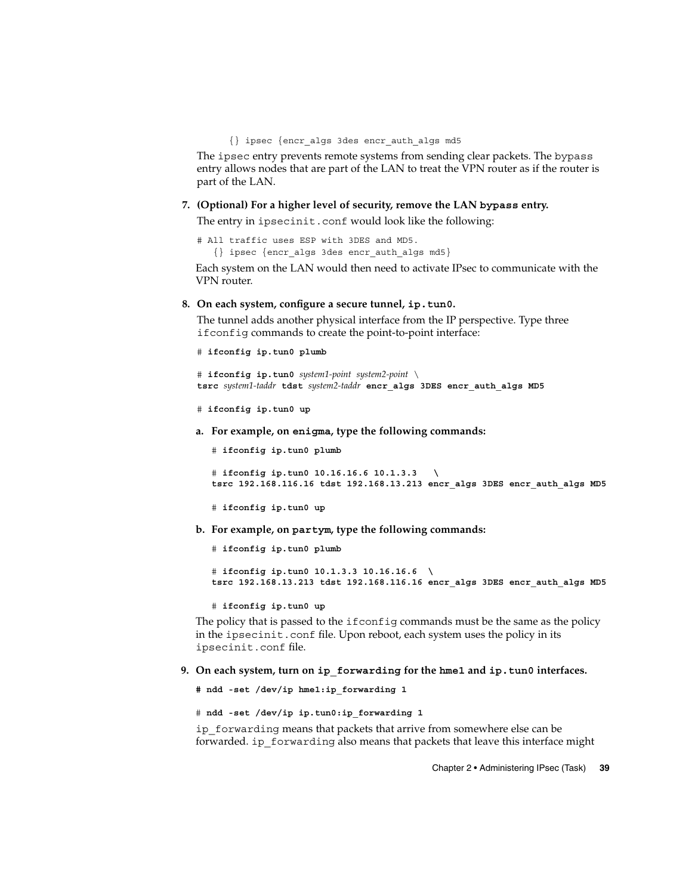{} ipsec {encr\_algs 3des encr\_auth\_algs md5

<span id="page-38-0"></span>The ipsec entry prevents remote systems from sending clear packets. The bypass entry allows nodes that are part of the LAN to treat the VPN router as if the router is part of the LAN.

### **7. (Optional) For a higher level of security, remove the LAN bypass entry.**

The entry in ipsecinit.conf would look like the following:

# All traffic uses ESP with 3DES and MD5. {} ipsec {encr\_algs 3des encr\_auth\_algs md5}

Each system on the LAN would then need to activate IPsec to communicate with the VPN router.

### **8. On each system, configure a secure tunnel, ip.tun0.**

The tunnel adds another physical interface from the IP perspective. Type three ifconfig commands to create the point-to-point interface:

```
# ifconfig ip.tun0 plumb
```

```
# ifconfig ip.tun0 system1-point system2-point \
tsrc system1-taddr tdst system2-taddr encr_algs 3DES encr_auth_algs MD5
```
- # **ifconfig ip.tun0 up**
- **a. For example, on enigma, type the following commands:**

```
# ifconfig ip.tun0 plumb
```
# **ifconfig ip.tun0 10.16.16.6 10.1.3.3 \ tsrc 192.168.116.16 tdst 192.168.13.213 encr\_algs 3DES encr\_auth\_algs MD5**

# **ifconfig ip.tun0 up**

- **b. For example, on partym, type the following commands:**
	- # **ifconfig ip.tun0 plumb**

```
# ifconfig ip.tun0 10.1.3.3 10.16.16.6 \
tsrc 192.168.13.213 tdst 192.168.116.16 encr_algs 3DES encr_auth_algs MD5
```
# **ifconfig ip.tun0 up**

The policy that is passed to the ifconfig commands must be the same as the policy in the ipsecinit.conf file. Upon reboot, each system uses the policy in its ipsecinit.conf file.

### **9. On each system, turn on ip\_forwarding for the hme1 and ip.tun0 interfaces.**

```
# ndd -set /dev/ip hme1:ip_forwarding 1
```
# **ndd -set /dev/ip ip.tun0:ip\_forwarding 1**

ip forwarding means that packets that arrive from somewhere else can be forwarded. ip\_forwarding also means that packets that leave this interface might

Chapter 2 • Administering IPsec (Task) **39**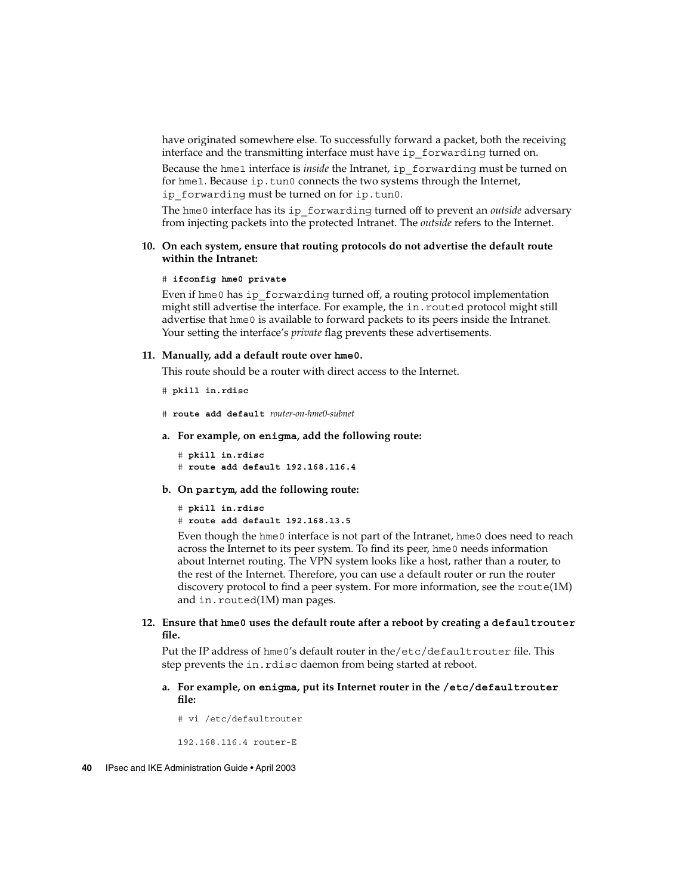have originated somewhere else. To successfully forward a packet, both the receiving interface and the transmitting interface must have ip\_forwarding turned on.

Because the hme1 interface is *inside* the Intranet, ip forwarding must be turned on for hme1. Because ip.tun0 connects the two systems through the Internet, ip forwarding must be turned on for ip.tun0.

The hme0 interface has its ip\_forwarding turned off to prevent an *outside* adversary from injecting packets into the protected Intranet. The *outside* refers to the Internet.

### **10. On each system, ensure that routing protocols do not advertise the default route within the Intranet:**

### # **ifconfig hme0 private**

Even if hme0 has ip forwarding turned off, a routing protocol implementation might still advertise the interface. For example, the in.routed protocol might still advertise that hme0 is available to forward packets to its peers inside the Intranet. Your setting the interface's *private* flag prevents these advertisements.

### **11. Manually, add a default route over hme0.**

This route should be a router with direct access to the Internet.

- # **pkill in.rdisc**
- # **route add default** *router-on-hme0-subnet*
- **a. For example, on enigma, add the following route:**

```
# pkill in.rdisc
# route add default 192.168.116.4
```
### **b. On partym, add the following route:**

```
# pkill in.rdisc
```

```
# route add default 192.168.13.5
```
Even though the hme0 interface is not part of the Intranet, hme0 does need to reach across the Internet to its peer system. To find its peer, hme0 needs information about Internet routing. The VPN system looks like a host, rather than a router, to the rest of the Internet. Therefore, you can use a default router or run the router discovery protocol to find a peer system. For more information, see the route(1M) and in.routed(1M) man pages.

### **12. Ensure that hme0 uses the default route after a reboot by creating a defaultrouter file.**

Put the IP address of hme0's default router in the/etc/defaultrouter file. This step prevents the in.rdisc daemon from being started at reboot.

**a. For example, on enigma, put its Internet router in the /etc/defaultrouter file:**

# vi /etc/defaultrouter

192.168.116.4 router-E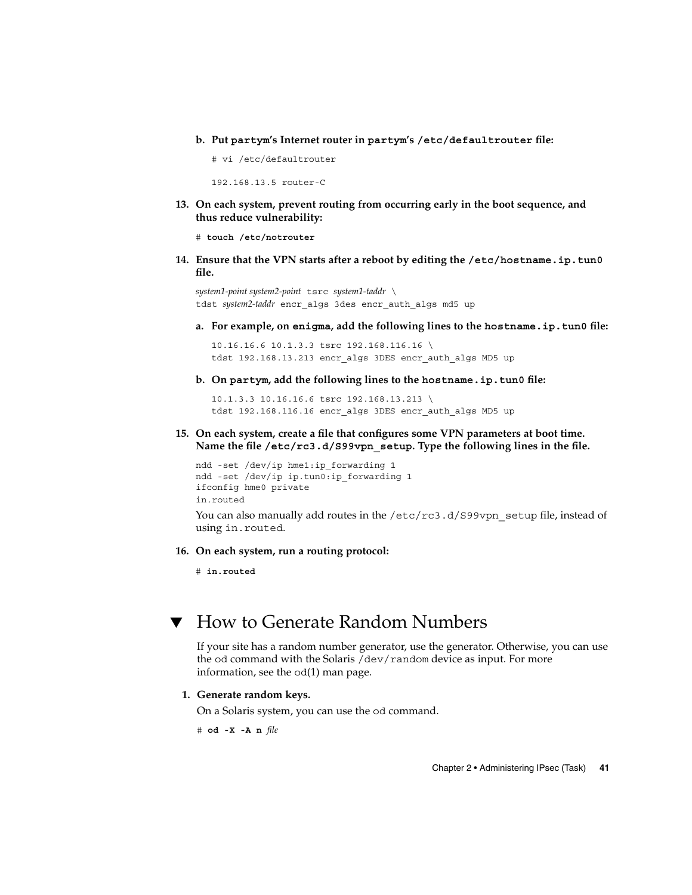<span id="page-40-0"></span>**b. Put partym's Internet router in partym's /etc/defaultrouter file:**

# vi /etc/defaultrouter

192.168.13.5 router-C

**13. On each system, prevent routing from occurring early in the boot sequence, and thus reduce vulnerability:**

# **touch /etc/notrouter**

**14. Ensure that the VPN starts after a reboot by editing the /etc/hostname.ip.tun0 file.**

*system1-point system2-point* tsrc *system1-taddr* \ tdst *system2-taddr* encr\_algs 3des encr\_auth\_algs md5 up

**a. For example, on enigma, add the following lines to the hostname.ip.tun0 file:**

10.16.16.6 10.1.3.3 tsrc 192.168.116.16 \ tdst 192.168.13.213 encr algs 3DES encr auth algs MD5 up

**b. On partym, add the following lines to the hostname.ip.tun0 file:**

10.1.3.3 10.16.16.6 tsrc 192.168.13.213 \ tdst 192.168.116.16 encr\_algs 3DES encr\_auth\_algs MD5 up

**15. On each system, create a file that configures some VPN parameters at boot time. Name the file /etc/rc3.d/S99vpn\_setup. Type the following lines in the file.**

```
ndd -set /dev/ip hme1:ip_forwarding 1
ndd -set /dev/ip ip.tun0:ip_forwarding 1
ifconfig hme0 private
in.routed
```
You can also manually add routes in the /etc/rc3.d/S99vpn setup file, instead of using in.routed.

#### **16. On each system, run a routing protocol:**

# **in.routed**

### **EXECUTE: How to Generate Random Numbers**

If your site has a random number generator, use the generator. Otherwise, you can use the od command with the Solaris /dev/random device as input. For more information, see the od(1) man page.

### **1. Generate random keys.**

On a Solaris system, you can use the od command.

# **od -X -A n** *file*

Chapter 2 • Administering IPsec (Task) **41**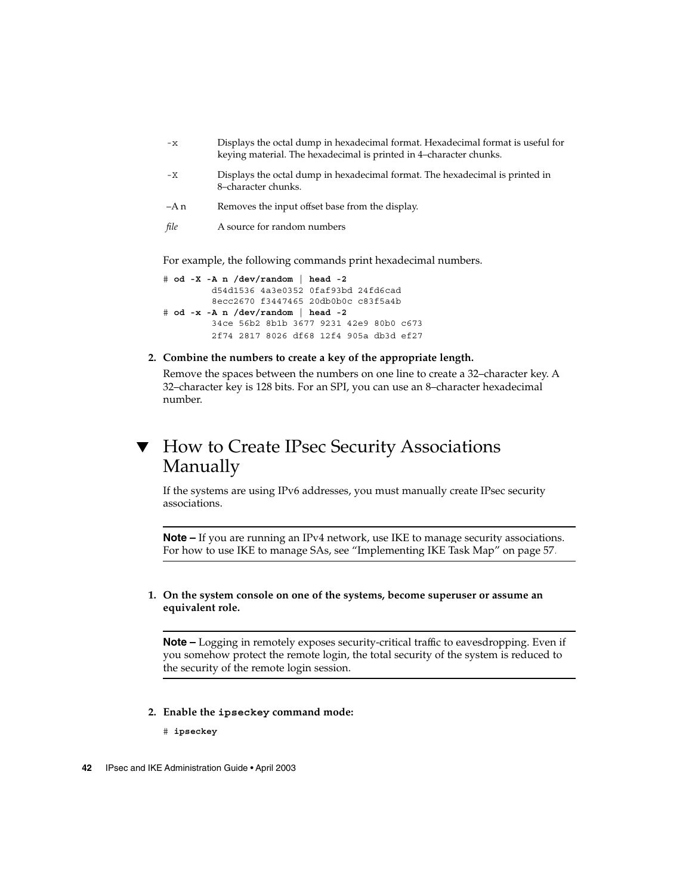- <span id="page-41-0"></span>-x Displays the octal dump in hexadecimal format. Hexadecimal format is useful for keying material. The hexadecimal is printed in 4–character chunks.
- -X Displays the octal dump in hexadecimal format. The hexadecimal is printed in 8–character chunks.
- –A n Removes the input offset base from the display.
- *file* A source for random numbers

For example, the following commands print hexadecimal numbers.

```
# od -X -A n /dev/random | head -2
        d54d1536 4a3e0352 0faf93bd 24fd6cad
        8ecc2670 f3447465 20db0b0c c83f5a4b
# od -x -A n /dev/random | head -2
        34ce 56b2 8b1b 3677 9231 42e9 80b0 c673
        2f74 2817 8026 df68 12f4 905a db3d ef27
```
**2. Combine the numbers to create a key of the appropriate length.**

Remove the spaces between the numbers on one line to create a 32–character key. A 32–character key is 128 bits. For an SPI, you can use an 8–character hexadecimal number.

# ▼ How to Create IPsec Security Associations Manually

If the systems are using IPv6 addresses, you must manually create IPsec security associations.

**Note –** If you are running an IPv4 network, use IKE to manage security associations. For how to use IKE to manage SAs, see ["Implementing IKE Task Map"](#page-56-0) on page 57.

**1. On the system console on one of the systems, become superuser or assume an equivalent role.**

**Note –** Logging in remotely exposes security-critical traffic to eavesdropping. Even if you somehow protect the remote login, the total security of the system is reduced to the security of the remote login session.

- **2. Enable the ipseckey command mode:**
	- # **ipseckey**
- **42** IPsec and IKE Administration Guide April 2003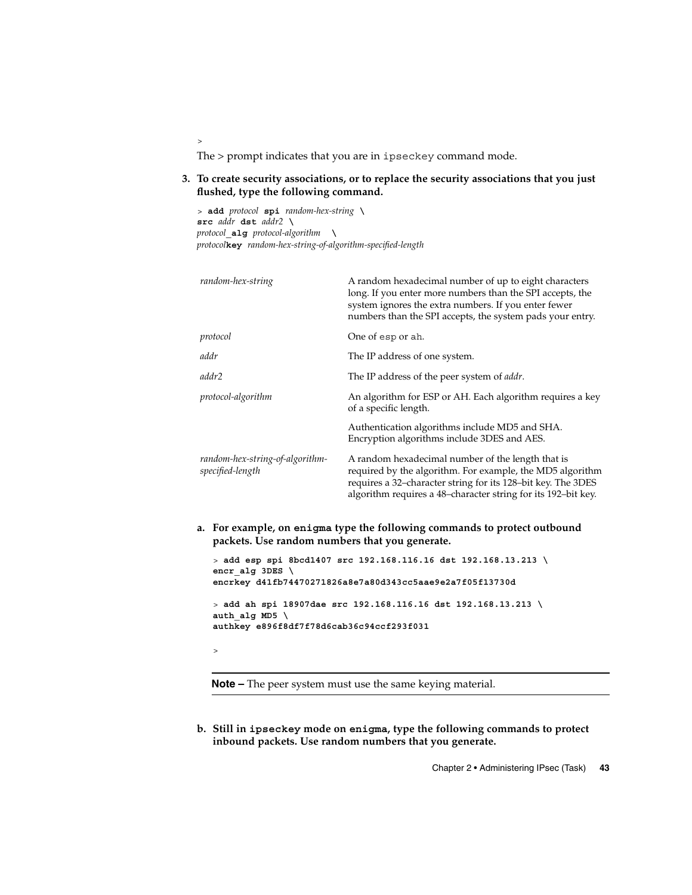The > prompt indicates that you are in ipseckey command mode.

**3. To create security associations, or to replace the security associations that you just flushed, type the following command.**

> **add** *protocol* **spi** *random-hex-string* **\ src** *addr* **dst** *addr2* **\** *protocol***\_alg** *protocol-algorithm* **\** *protocol***key** *random-hex-string-of-algorithm-specified-length*

| random-hex-string                                   | A random hexadecimal number of up to eight characters<br>long. If you enter more numbers than the SPI accepts, the<br>system ignores the extra numbers. If you enter fewer<br>numbers than the SPI accepts, the system pads your entry.         |
|-----------------------------------------------------|-------------------------------------------------------------------------------------------------------------------------------------------------------------------------------------------------------------------------------------------------|
| protocol                                            | One of esp or ah.                                                                                                                                                                                                                               |
| addr                                                | The IP address of one system.                                                                                                                                                                                                                   |
| addr2                                               | The IP address of the peer system of <i>addr</i> .                                                                                                                                                                                              |
| protocol-algorithm                                  | An algorithm for ESP or AH. Each algorithm requires a key<br>of a specific length.                                                                                                                                                              |
|                                                     | Authentication algorithms include MD5 and SHA.<br>Encryption algorithms include 3DES and AES.                                                                                                                                                   |
| random-hex-string-of-algorithm-<br>specified-length | A random hexadecimal number of the length that is<br>required by the algorithm. For example, the MD5 algorithm<br>requires a 32-character string for its 128-bit key. The 3DES<br>algorithm requires a 48–character string for its 192–bit key. |

**a. For example, on enigma type the following commands to protect outbound packets. Use random numbers that you generate.**

```
> add esp spi 8bcd1407 src 192.168.116.16 dst 192.168.13.213 \
encr_alg 3DES \
encrkey d41fb74470271826a8e7a80d343cc5aae9e2a7f05f13730d
> add ah spi 18907dae src 192.168.116.16 dst 192.168.13.213 \
auth_alg MD5 \
authkey e896f8df7f78d6cab36c94ccf293f031
>
```
**Note –** The peer system must use the same keying material.

**b. Still in ipseckey mode on enigma, type the following commands to protect inbound packets. Use random numbers that you generate.**

 $\overline{a}$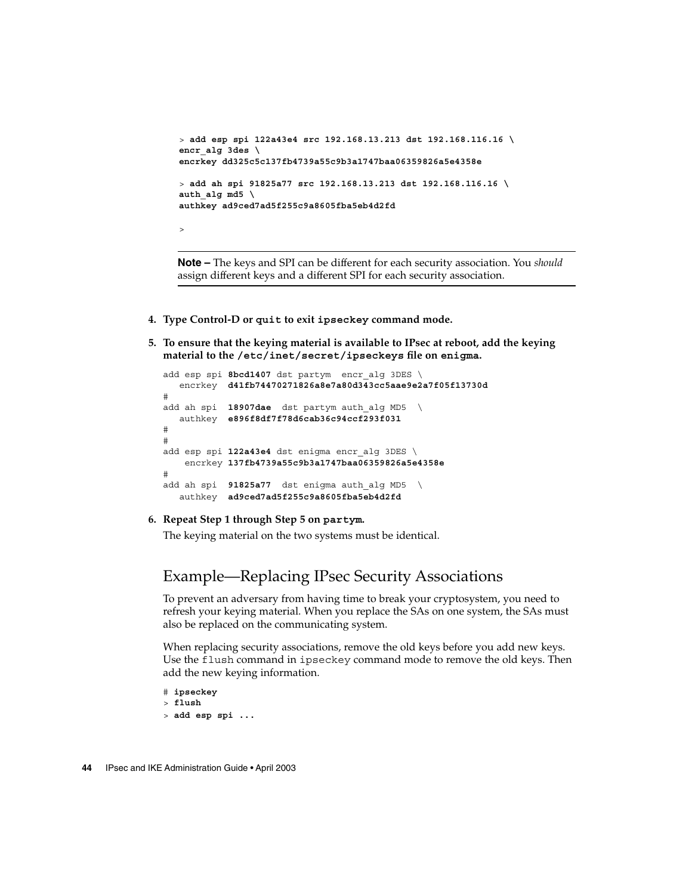```
> add esp spi 122a43e4 src 192.168.13.213 dst 192.168.116.16 \
encr_alg 3des \
encrkey dd325c5c137fb4739a55c9b3a1747baa06359826a5e4358e
> add ah spi 91825a77 src 192.168.13.213 dst 192.168.116.16 \
auth alg md5 \setminusauthkey ad9ced7ad5f255c9a8605fba5eb4d2fd
>
```
**Note –** The keys and SPI can be different for each security association. You *should* assign different keys and a different SPI for each security association.

- **4. Type Control-D or quit to exit ipseckey command mode.**
- **5. To ensure that the keying material is available to IPsec at reboot, add the keying material to the /etc/inet/secret/ipseckeys file on enigma.**

```
add esp spi 8bcd1407 dst partym encr_alg 3DES \
  encrkey d41fb74470271826a8e7a80d343cc5aae9e2a7f05f13730d
#
add ah spi 18907dae dst partym auth_alg MD5 \
  authkey e896f8df7f78d6cab36c94ccf293f031
#
#
add esp spi 122a43e4 dst enigma encr_alg 3DES \
   encrkey 137fb4739a55c9b3a1747baa06359826a5e4358e
#
add ah spi 91825a77 dst enigma auth_alg MD5 \
  authkey ad9ced7ad5f255c9a8605fba5eb4d2fd
```
**6. Repeat [Step 1](#page-41-0) through Step 5 on partym.**

The keying material on the two systems must be identical.

### Example—Replacing IPsec Security Associations

To prevent an adversary from having time to break your cryptosystem, you need to refresh your keying material. When you replace the SAs on one system, the SAs must also be replaced on the communicating system.

When replacing security associations, remove the old keys before you add new keys. Use the flush command in ipseckey command mode to remove the old keys. Then add the new keying information.

```
# ipseckey
> flush
> add esp spi ...
```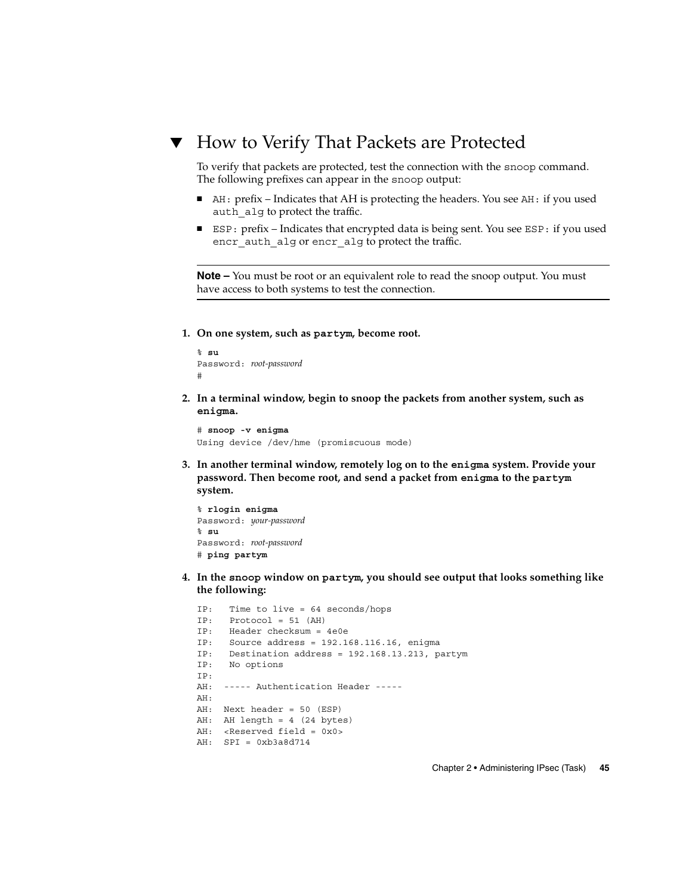### ▼ How to Verify That Packets are Protected

To verify that packets are protected, test the connection with the snoop command. The following prefixes can appear in the snoop output:

- AH: prefix Indicates that AH is protecting the headers. You see AH: if you used auth alg to protect the traffic.
- ESP: prefix Indicates that encrypted data is being sent. You see ESP: if you used encr\_auth\_alg or encr\_alg to protect the traffic.

**Note –** You must be root or an equivalent role to read the snoop output. You must have access to both systems to test the connection.

**1. On one system, such as partym, become root.**

```
% su
Password: root-password
#
```
**2. In a terminal window, begin to snoop the packets from another system, such as enigma.**

```
# snoop -v enigma
Using device /dev/hme (promiscuous mode)
```
**3. In another terminal window, remotely log on to the enigma system. Provide your password. Then become root, and send a packet from enigma to the partym system.**

```
% rlogin enigma
Password: your-password
% su
Password: root-password
# ping partym
```
**4. In the snoop window on partym, you should see output that looks something like the following:**

```
IP: Time to live = 64 seconds/hops
IP: Protocol = 51 (AH)
IP: Header checksum = 4e0e
IP: Source address = 192.168.116.16, enigma
IP: Destination address = 192.168.13.213, partym
IP: No options
IP:
AH: ----- Authentication Header -----
AH:
AH: Next header = 50 (ESP)
AH: AH length = 4 (24 bytes)
AH: <Reserved field = 0x0>
AH: SPI = 0xb3a8d714
```
Chapter 2 • Administering IPsec (Task) **45**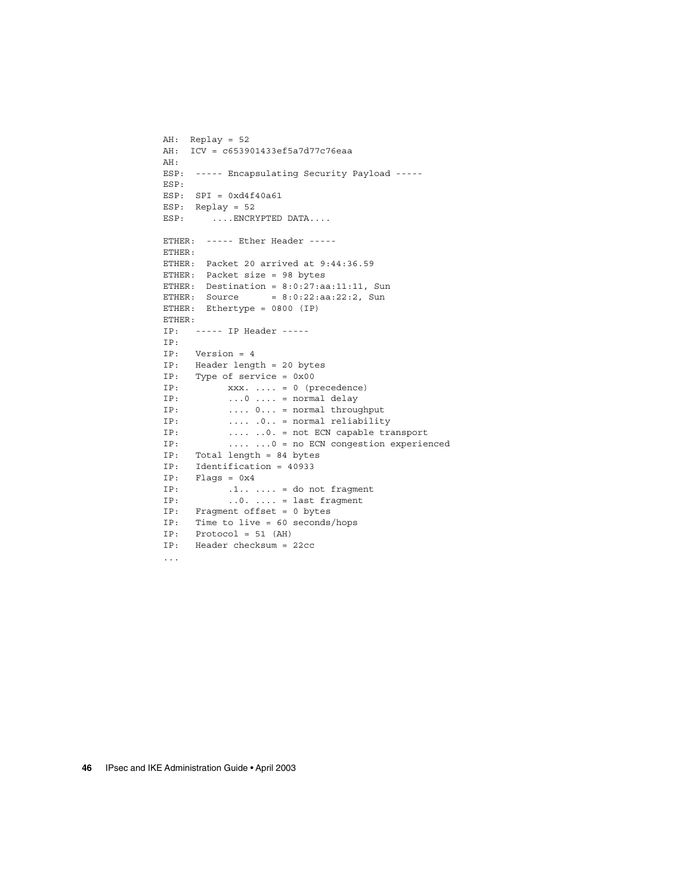```
AH: Replay = 52
AH: ICV = c653901433ef5a7d77c76eaa
AH:
ESP: ----- Encapsulating Security Payload -----
ESP:
ESP: SPI = 0xd4f40a61
ESP: Replay = 52
ESP: ....ENCRYPTED DATA....
ETHER: ----- Ether Header -----
ETHER:
ETHER: Packet 20 arrived at 9:44:36.59
ETHER: Packet size = 98 bytes
ETHER: Destination = 8:0:27:aa:11:11, Sun
ETHER: Source = 8:0:22:aa:22:2, Sun
ETHER: Ethertype = 0800 (IP)
ETHER:
IP: ----- IP Header -----
IP:
IP: Version = 4
IP: Header length = 20 bytes
IP: Type of service = 0x00
IP: xxx. .... = 0 (precedence)
IP: \ldots 0 \ldots = normal delay
IP: .... 0... = normal throughput
IP: .... .0.. = normal reliability
IP: .... ..0. = not ECN capable transport
IP: .... ...0 = no ECN congestion experienced
IP: Total length = 84 bytes
IP: Identification = 40933
IP: Flags = 0x4
IP: .1.. .... = do not fragment
IP: ..0. .... = last fragment
IP: Fragment offset = 0 bytes
IP: Time to live = 60 seconds/hops
IP: Protocol = 51 (AH)
IP: Header checksum = 22cc
...
```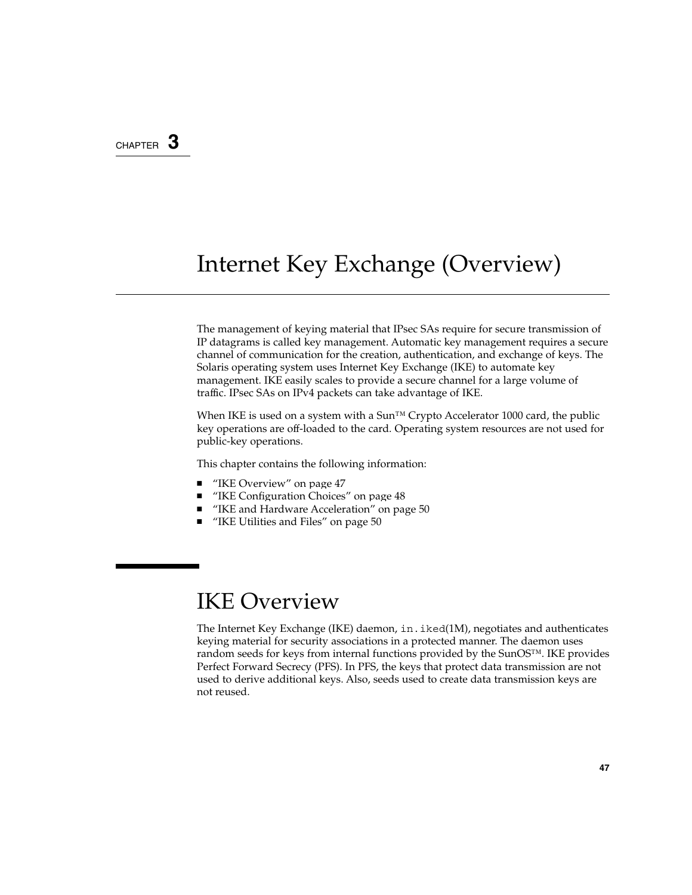# <span id="page-46-0"></span>CHAPTER **3**

# Internet Key Exchange (Overview)

The management of keying material that IPsec SAs require for secure transmission of IP datagrams is called key management. Automatic key management requires a secure channel of communication for the creation, authentication, and exchange of keys. The Solaris operating system uses Internet Key Exchange (IKE) to automate key management. IKE easily scales to provide a secure channel for a large volume of traffic. IPsec SAs on IPv4 packets can take advantage of IKE.

When IKE is used on a system with a Sun™ Crypto Accelerator 1000 card, the public key operations are off-loaded to the card. Operating system resources are not used for public-key operations.

This chapter contains the following information:

- "IKE Overview" on page 47
- ["IKE Configuration Choices"](#page-47-0) on page 48
- ["IKE and Hardware Acceleration"](#page-49-0) on page 50
- ["IKE Utilities and Files"](#page-49-0) on page 50

# IKE Overview

The Internet Key Exchange (IKE) daemon, in.iked(1M), negotiates and authenticates keying material for security associations in a protected manner. The daemon uses random seeds for keys from internal functions provided by the SunOS™. IKE provides Perfect Forward Secrecy (PFS). In PFS, the keys that protect data transmission are not used to derive additional keys. Also, seeds used to create data transmission keys are not reused.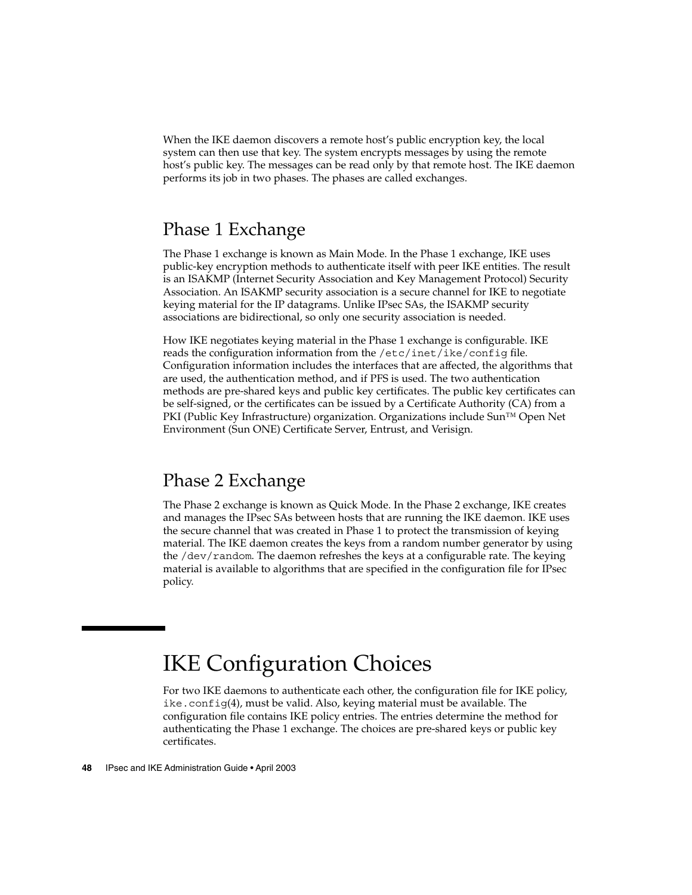<span id="page-47-0"></span>When the IKE daemon discovers a remote host's public encryption key, the local system can then use that key. The system encrypts messages by using the remote host's public key. The messages can be read only by that remote host. The IKE daemon performs its job in two phases. The phases are called exchanges.

# Phase 1 Exchange

The Phase 1 exchange is known as Main Mode. In the Phase 1 exchange, IKE uses public-key encryption methods to authenticate itself with peer IKE entities. The result is an ISAKMP (Internet Security Association and Key Management Protocol) Security Association. An ISAKMP security association is a secure channel for IKE to negotiate keying material for the IP datagrams. Unlike IPsec SAs, the ISAKMP security associations are bidirectional, so only one security association is needed.

How IKE negotiates keying material in the Phase 1 exchange is configurable. IKE reads the configuration information from the /etc/inet/ike/config file. Configuration information includes the interfaces that are affected, the algorithms that are used, the authentication method, and if PFS is used. The two authentication methods are pre-shared keys and public key certificates. The public key certificates can be self-signed, or the certificates can be issued by a [Certificate Authority \(CA\)](#page-76-0) from a [PKI](#page-78-0) (Public Key Infrastructure) organization. Organizations include Sun™ Open Net Environment (Sun ONE) Certificate Server, Entrust, and Verisign.

# Phase 2 Exchange

The Phase 2 exchange is known as Quick Mode. In the Phase 2 exchange, IKE creates and manages the IPsec SAs between hosts that are running the IKE daemon. IKE uses the secure channel that was created in Phase 1 to protect the transmission of keying material. The IKE daemon creates the keys from a random number generator by using the /dev/random. The daemon refreshes the keys at a configurable rate. The keying material is available to algorithms that are specified in the configuration file for IPsec policy.

# IKE Configuration Choices

For two IKE daemons to authenticate each other, the configuration file for IKE policy, ike.config(4), must be valid. Also, keying material must be available. The configuration file contains IKE policy entries. The entries determine the method for authenticating the Phase 1 exchange. The choices are pre-shared keys or public key certificates.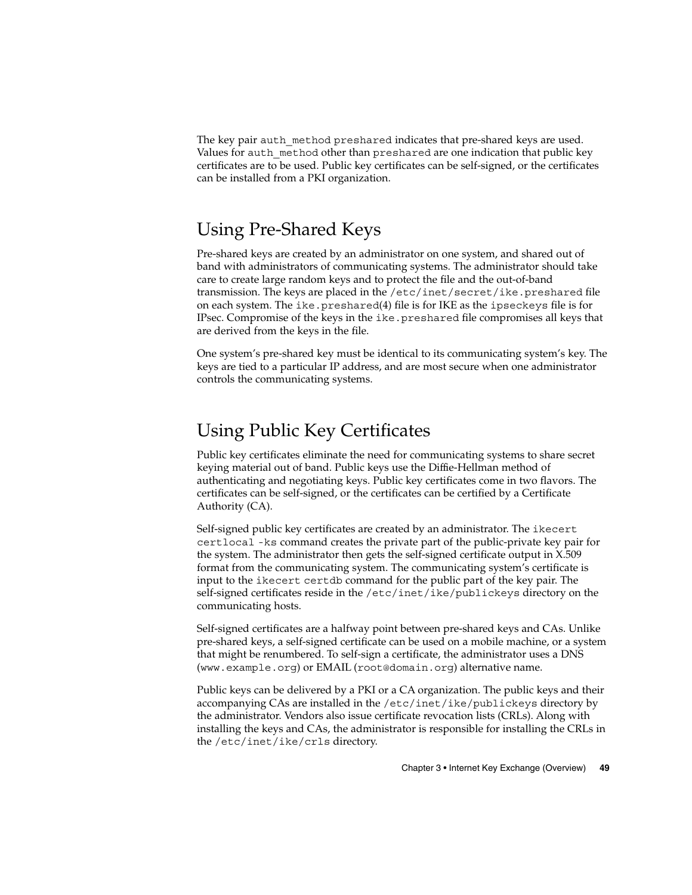<span id="page-48-0"></span>The key pair auth method preshared indicates that pre-shared keys are used. Values for auth method other than preshared are one indication that public key certificates are to be used. Public key certificates can be self-signed, or the certificates can be installed from a PKI organization.

# Using Pre-Shared Keys

Pre-shared keys are created by an administrator on one system, and shared out of band with administrators of communicating systems. The administrator should take care to create large random keys and to protect the file and the out-of-band transmission. The keys are placed in the /etc/inet/secret/ike.preshared file on each system. The ike.preshared(4) file is for IKE as the ipseckeys file is for IPsec. Compromise of the keys in the ike.preshared file compromises all keys that are derived from the keys in the file.

One system's pre-shared key must be identical to its communicating system's key. The keys are tied to a particular IP address, and are most secure when one administrator controls the communicating systems.

# Using Public Key Certificates

Public key certificates eliminate the need for communicating systems to share secret keying material out of band. Public keys use the Diffie-Hellman method of authenticating and negotiating keys. Public key certificates come in two flavors. The certificates can be self-signed, or the certificates can be certified by a Certificate Authority (CA).

Self-signed public key certificates are created by an administrator. The ikecert certlocal -ks command creates the private part of the public-private key pair for the system. The administrator then gets the self-signed certificate output in X.509 format from the communicating system. The communicating system's certificate is input to the ikecert certdb command for the public part of the key pair. The self-signed certificates reside in the /etc/inet/ike/publickeys directory on the communicating hosts.

Self-signed certificates are a halfway point between pre-shared keys and CAs. Unlike pre-shared keys, a self-signed certificate can be used on a mobile machine, or a system that might be renumbered. To self-sign a certificate, the administrator uses a DNS (www.example.org) or EMAIL (root@domain.org) alternative name.

Public keys can be delivered by a PKI or a CA organization. The public keys and their accompanying CAs are installed in the /etc/inet/ike/publickeys directory by the administrator. Vendors also issue certificate revocation lists (CRLs). Along with installing the keys and CAs, the administrator is responsible for installing the CRLs in the /etc/inet/ike/crls directory.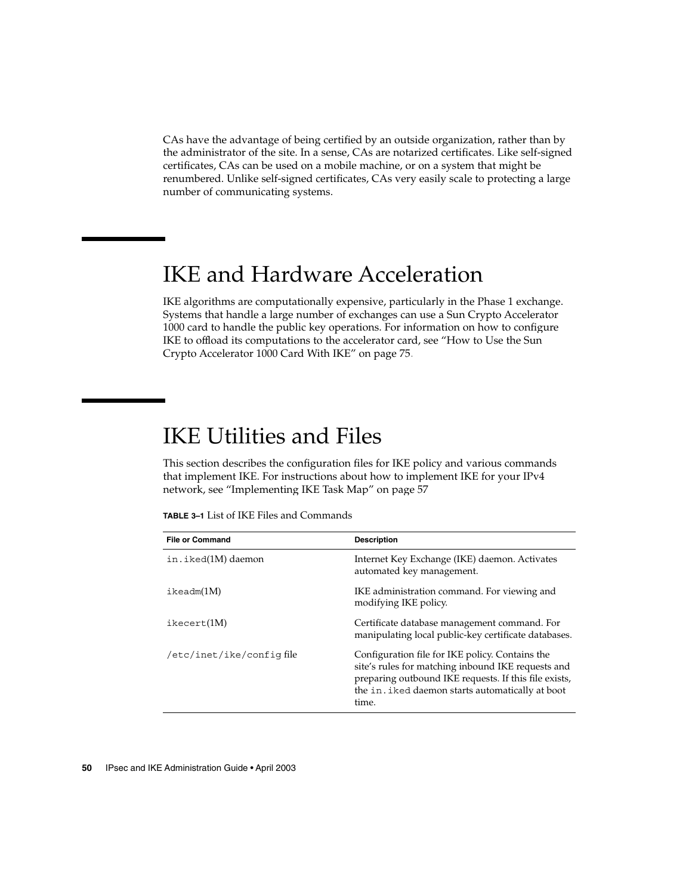<span id="page-49-0"></span>CAs have the advantage of being certified by an outside organization, rather than by the administrator of the site. In a sense, CAs are notarized certificates. Like self-signed certificates, CAs can be used on a mobile machine, or on a system that might be renumbered. Unlike self-signed certificates, CAs very easily scale to protecting a large number of communicating systems.

# IKE and Hardware Acceleration

IKE algorithms are computationally expensive, particularly in the Phase 1 exchange. Systems that handle a large number of exchanges can use a Sun Crypto Accelerator 1000 card to handle the public key operations. For information on how to configure IKE to offload its computations to the accelerator card, see ["How to Use the Sun](#page-74-0) [Crypto Accelerator 1000 Card With IKE"](#page-74-0) on page 75.

# IKE Utilities and Files

This section describes the configuration files for IKE policy and various commands that implement IKE. For instructions about how to implement IKE for your IPv4 network, see ["Implementing IKE Task Map"](#page-56-0) on page 57.

| <b>File or Command</b>   | <b>Description</b>                                                                                                                                                                                                          |
|--------------------------|-----------------------------------------------------------------------------------------------------------------------------------------------------------------------------------------------------------------------------|
| in.iked(1M) daemon       | Internet Key Exchange (IKE) daemon. Activates<br>automated key management.                                                                                                                                                  |
| $i$ keadm $(1M)$         | IKE administration command. For viewing and<br>modifying IKE policy.                                                                                                                                                        |
| ikecert(1M)              | Certificate database management command. For<br>manipulating local public-key certificate databases.                                                                                                                        |
| /etc/inet/ike/confiqfile | Configuration file for IKE policy. Contains the<br>site's rules for matching inbound IKE requests and<br>preparing outbound IKE requests. If this file exists,<br>the in. iked daemon starts automatically at boot<br>time. |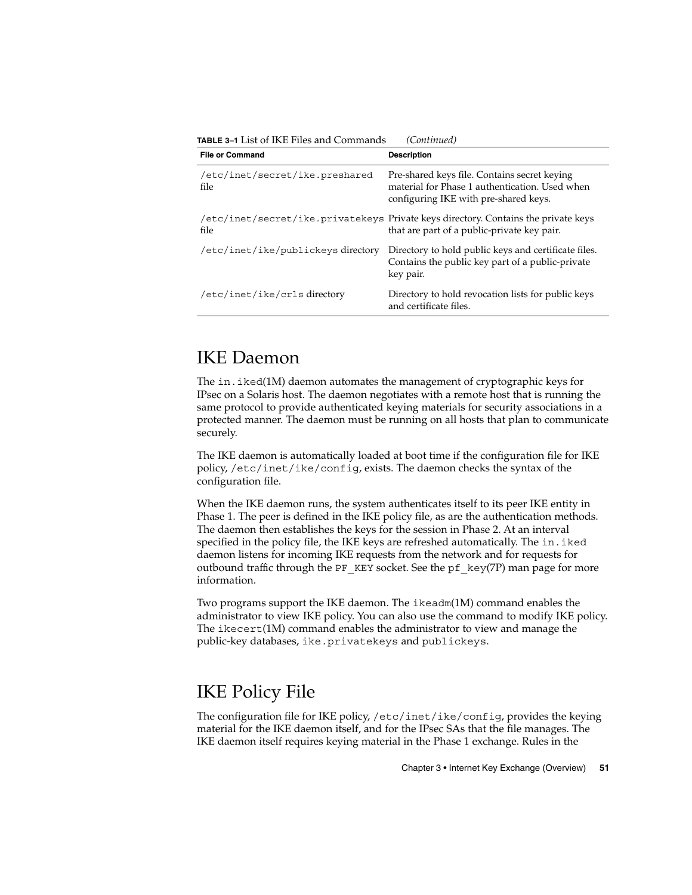| <b>File or Command</b>                 | <b>Description</b>                                                                                                                      |
|----------------------------------------|-----------------------------------------------------------------------------------------------------------------------------------------|
| /etc/inet/secret/ike.preshared<br>file | Pre-shared keys file. Contains secret keying<br>material for Phase 1 authentication. Used when<br>configuring IKE with pre-shared keys. |
| file                                   | /etc/inet/secret/ike.privatekeys Private keys directory. Contains the private keys<br>that are part of a public-private key pair.       |
| /etc/inet/ike/publickeys directory     | Directory to hold public keys and certificate files.<br>Contains the public key part of a public-private<br>key pair.                   |
| /etc/inet/ike/crlsdirectory            | Directory to hold revocation lists for public keys<br>and certificate files.                                                            |

**TABLE 3–1** List of IKE Files and Commands *(Continued)*

# IKE Daemon

The in.iked(1M) daemon automates the management of cryptographic keys for IPsec on a Solaris host. The daemon negotiates with a remote host that is running the same protocol to provide authenticated keying materials for security associations in a protected manner. The daemon must be running on all hosts that plan to communicate securely.

The IKE daemon is automatically loaded at boot time if the configuration file for IKE policy, /etc/inet/ike/config, exists. The daemon checks the syntax of the configuration file.

When the IKE daemon runs, the system authenticates itself to its peer IKE entity in Phase 1. The peer is defined in the IKE policy file, as are the authentication methods. The daemon then establishes the keys for the session in Phase 2. At an interval specified in the policy file, the IKE keys are refreshed automatically. The in.iked daemon listens for incoming IKE requests from the network and for requests for outbound traffic through the PF\_KEY socket. See the pf\_key(7P) man page for more information.

Two programs support the IKE daemon. The ikeadm(1M) command enables the administrator to view IKE policy. You can also use the command to modify IKE policy. The ikecert(1M) command enables the administrator to view and manage the public-key databases, ike.privatekeys and publickeys.

## IKE Policy File

The configuration file for IKE policy, /etc/inet/ike/config, provides the keying material for the IKE daemon itself, and for the IPsec SAs that the file manages. The IKE daemon itself requires keying material in the Phase 1 exchange. Rules in the

Chapter 3 • Internet Key Exchange (Overview) **51**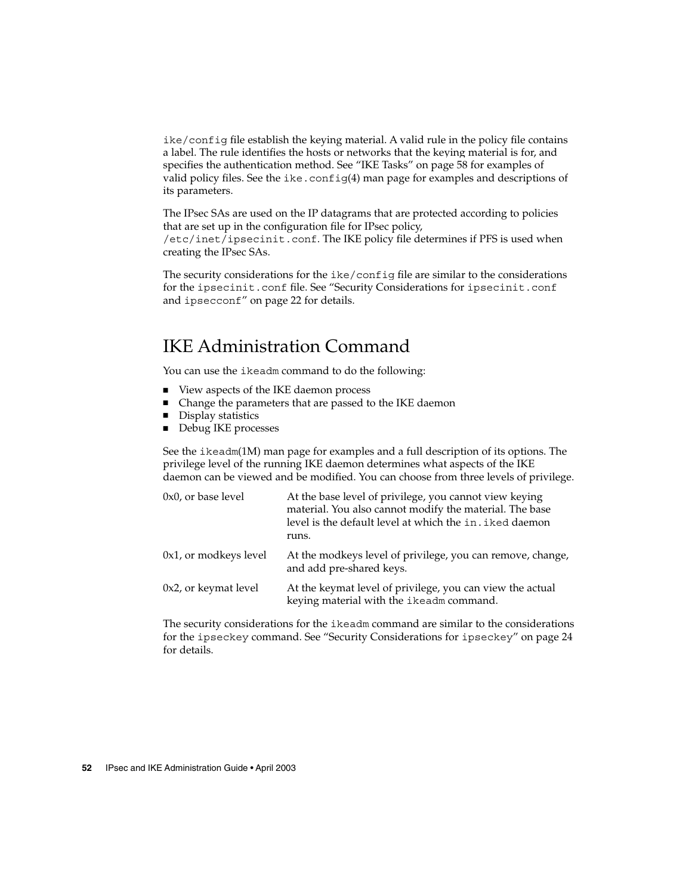ike/config file establish the keying material. A valid rule in the policy file contains a label. The rule identifies the hosts or networks that the keying material is for, and specifies the authentication method. See ["IKE Tasks"](#page-57-0) on page 58 for examples of valid policy files. See the ike.config(4) man page for examples and descriptions of its parameters.

The IPsec SAs are used on the IP datagrams that are protected according to policies that are set up in the configuration file for IPsec policy, /etc/inet/ipsecinit.conf. The IKE policy file determines if PFS is used when creating the IPsec SAs.

The security considerations for the ike/config file are similar to the considerations for the ipsecinit.conf file. See ["Security Considerations for](#page-21-0) ipsecinit.conf and [ipsecconf](#page-21-0)" on page 22 for details.

# IKE Administration Command

You can use the ikeadm command to do the following:

- View aspects of the IKE daemon process
- Change the parameters that are passed to the IKE daemon
- Display statistics
- Debug IKE processes

See the ikeadm(1M) man page for examples and a full description of its options. The privilege level of the running IKE daemon determines what aspects of the IKE daemon can be viewed and be modified. You can choose from three levels of privilege.

| $0x0$ , or base level    | At the base level of privilege, you cannot view keying<br>material. You also cannot modify the material. The base<br>level is the default level at which the in, iked daemon<br>runs. |
|--------------------------|---------------------------------------------------------------------------------------------------------------------------------------------------------------------------------------|
| $0x1$ , or modkeys level | At the modkeys level of privilege, you can remove, change,<br>and add pre-shared keys.                                                                                                |
| $0x2$ , or keymat level  | At the keymat level of privilege, you can view the actual<br>keying material with the ikeadm command.                                                                                 |

The security considerations for the ikeadm command are similar to the considerations for the ipseckey command. See ["Security Considerations for](#page-23-0) ipseckey" on page 24 for details.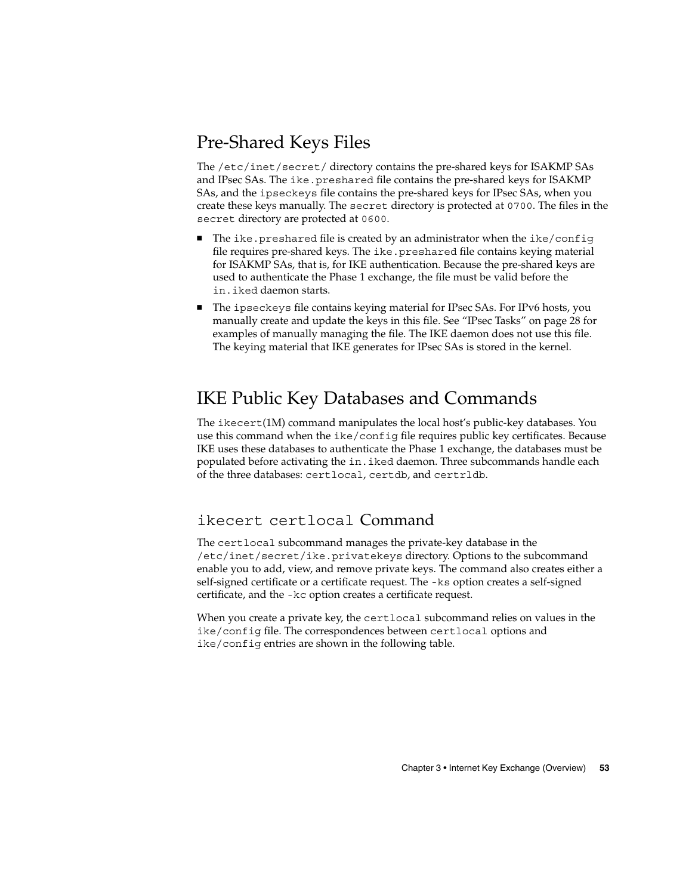# Pre-Shared Keys Files

The /etc/inet/secret/ directory contains the pre-shared keys for ISAKMP SAs and IPsec SAs. The ike.preshared file contains the pre-shared keys for ISAKMP SAs, and the ipseckeys file contains the pre-shared keys for IPsec SAs, when you create these keys manually. The secret directory is protected at 0700. The files in the secret directory are protected at 0600.

- The ike.preshared file is created by an administrator when the ike/config file requires pre-shared keys. The ike.preshared file contains keying material for ISAKMP SAs, that is, for IKE authentication. Because the pre-shared keys are used to authenticate the Phase 1 exchange, the file must be valid before the in.iked daemon starts.
- The ipseckeys file contains keying material for IPsec SAs. For IPv6 hosts, you manually create and update the keys in this file. See ["IPsec Tasks"](#page-27-0) on page 28 for examples of manually managing the file. The IKE daemon does not use this file. The keying material that IKE generates for IPsec SAs is stored in the kernel.

# IKE Public Key Databases and Commands

The ikecert(1M) command manipulates the local host's public-key databases. You use this command when the ike/config file requires public key certificates. Because IKE uses these databases to authenticate the Phase 1 exchange, the databases must be populated before activating the in.iked daemon. Three subcommands handle each of the three databases: certlocal, certdb, and certrldb.

### ikecert certlocal Command

The certlocal subcommand manages the private-key database in the /etc/inet/secret/ike.privatekeys directory. Options to the subcommand enable you to add, view, and remove private keys. The command also creates either a self-signed certificate or a certificate request. The -ks option creates a self-signed certificate, and the -kc option creates a certificate request.

When you create a private key, the certlocal subcommand relies on values in the ike/config file. The correspondences between certlocal options and ike/config entries are shown in the following table.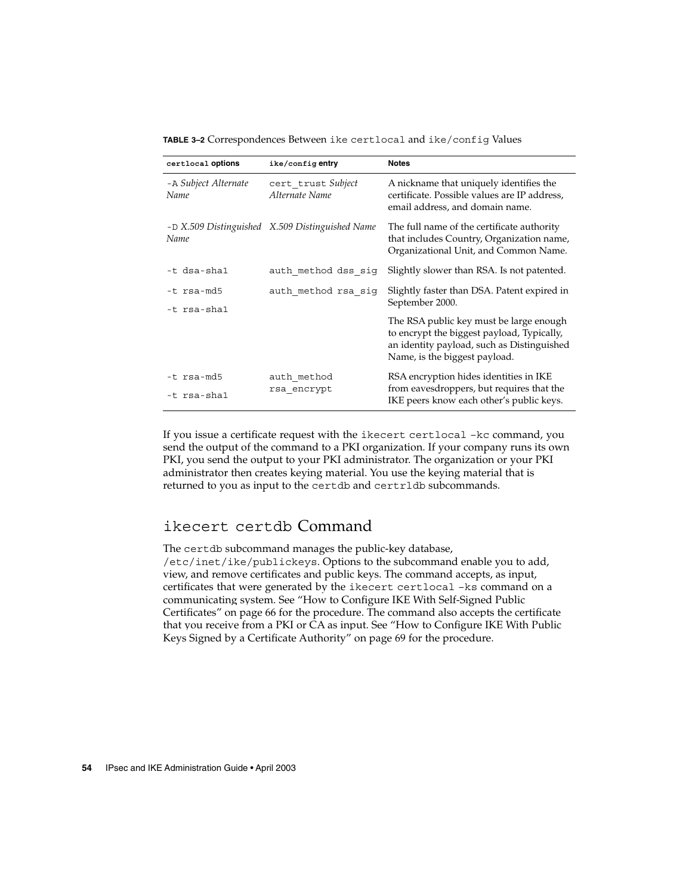**TABLE 3–2** Correspondences Between ike certlocal and ike/config Values

| certlocal options            | ike/configentry                                 | <b>Notes</b>                                                                                                                                                         |
|------------------------------|-------------------------------------------------|----------------------------------------------------------------------------------------------------------------------------------------------------------------------|
| -A Subject Alternate<br>Name | cert trust Subject<br>Alternate Name            | A nickname that uniquely identifies the<br>certificate. Possible values are IP address,<br>email address, and domain name.                                           |
| Name                         | -D X.509 Distinguished X.509 Distinguished Name | The full name of the certificate authority<br>that includes Country, Organization name,<br>Organizational Unit, and Common Name.                                     |
| -t dsa-sha1                  | auth method dss sig                             | Slightly slower than RSA. Is not patented.                                                                                                                           |
| -t rsa-md5<br>-t rsa-shal    | auth method rsa sig                             | Slightly faster than DSA. Patent expired in<br>September 2000.                                                                                                       |
|                              |                                                 | The RSA public key must be large enough<br>to encrypt the biggest payload, Typically,<br>an identity payload, such as Distinguished<br>Name, is the biggest payload. |
| -t rsa-md5                   | auth method                                     | RSA encryption hides identities in IKE                                                                                                                               |
| -t rsa-shal                  | rsa encrypt                                     | from eavesdroppers, but requires that the<br>IKE peers know each other's public keys.                                                                                |

If you issue a certificate request with the ikecert certlocal –kc command, you send the output of the command to a PKI organization. If your company runs its own PKI, you send the output to your PKI administrator. The organization or your PKI administrator then creates keying material. You use the keying material that is returned to you as input to the certdb and certrldb subcommands.

### ikecert certdb Command

The certdb subcommand manages the public-key database, /etc/inet/ike/publickeys. Options to the subcommand enable you to add, view, and remove certificates and public keys. The command accepts, as input, certificates that were generated by the ikecert certlocal –ks command on a communicating system. See ["How to Configure IKE With Self-Signed Public](#page-65-0) [Certificates"](#page-65-0) on page 66 for the procedure. The command also accepts the certificate that you receive from a PKI or CA as input. See ["How to Configure IKE With Public](#page-68-0) [Keys Signed by a Certificate Authority"](#page-68-0) on page 69 for the procedure.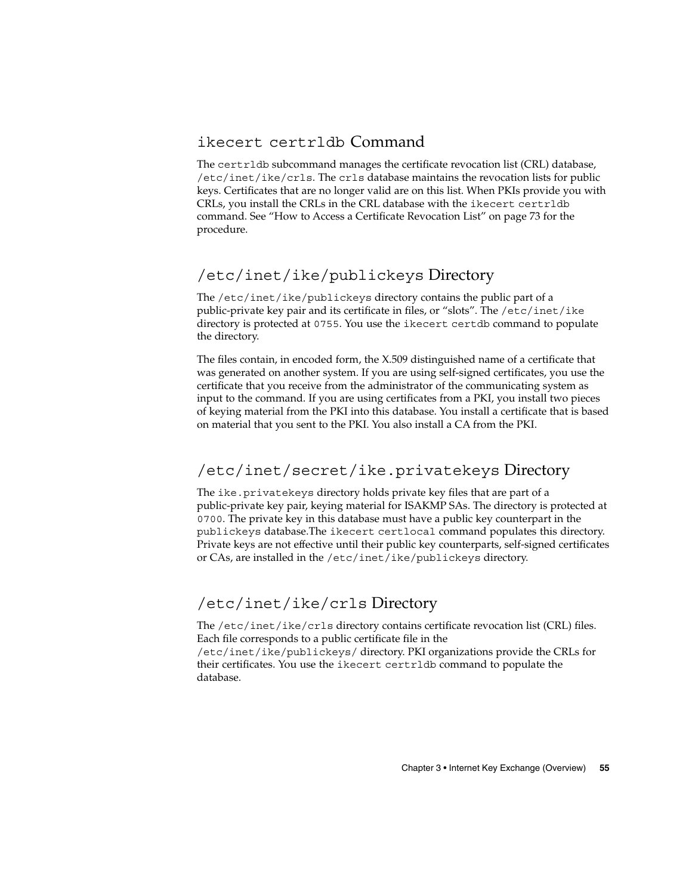### ikecert certrldb Command

The certrldb subcommand manages the certificate revocation list (CRL) database, /etc/inet/ike/crls. The crls database maintains the revocation lists for public keys. Certificates that are no longer valid are on this list. When PKIs provide you with CRLs, you install the CRLs in the CRL database with the ikecert certrldb command. See ["How to Access a Certificate Revocation List"](#page-72-0) on page 73 for the procedure.

### /etc/inet/ike/publickeys Directory

The /etc/inet/ike/publickeys directory contains the public part of a public-private key pair and its certificate in files, or "slots". The /etc/inet/ike directory is protected at 0755. You use the ikecert certdb command to populate the directory.

The files contain, in encoded form, the X.509 distinguished name of a certificate that was generated on another system. If you are using self-signed certificates, you use the certificate that you receive from the administrator of the communicating system as input to the command. If you are using certificates from a PKI, you install two pieces of keying material from the PKI into this database. You install a certificate that is based on material that you sent to the PKI. You also install a CA from the PKI.

### /etc/inet/secret/ike.privatekeys Directory

The ike.privatekeys directory holds private key files that are part of a public-private key pair, keying material for ISAKMP SAs. The directory is protected at 0700. The private key in this database must have a public key counterpart in the publickeys database.The ikecert certlocal command populates this directory. Private keys are not effective until their public key counterparts, self-signed certificates or CAs, are installed in the /etc/inet/ike/publickeys directory.

### /etc/inet/ike/crls Directory

The /etc/inet/ike/crls directory contains certificate revocation list (CRL) files. Each file corresponds to a public certificate file in the /etc/inet/ike/publickeys/ directory. PKI organizations provide the CRLs for their certificates. You use the ikecert certrldb command to populate the database.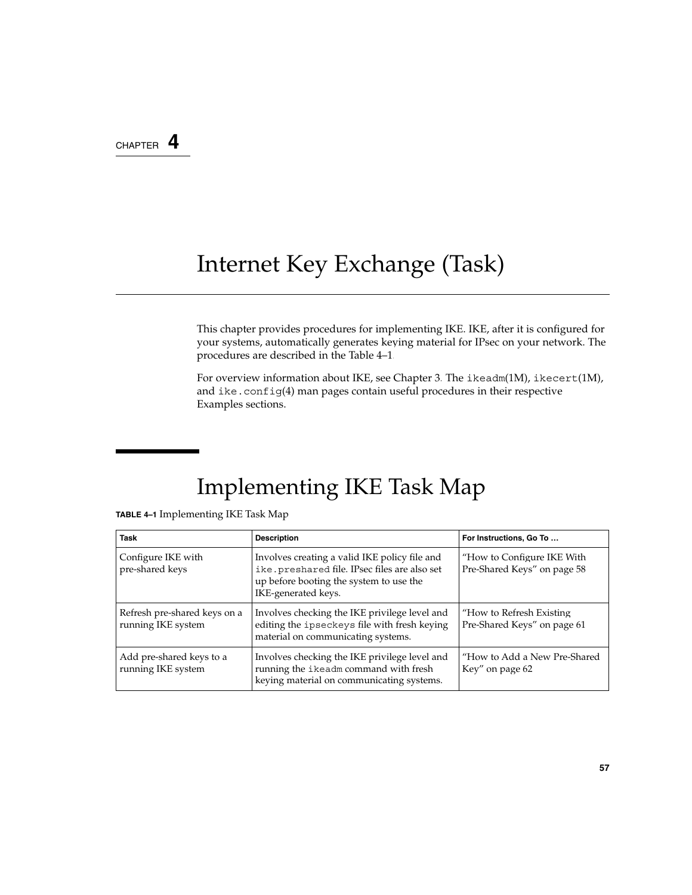# <span id="page-56-0"></span>CHAPTER **4**

# Internet Key Exchange (Task)

This chapter provides procedures for implementing IKE. IKE, after it is configured for your systems, automatically generates keying material for IPsec on your network. The procedures are described in the Table 4–1.

For overview information about IKE, see [Chapter 3.](#page-46-0) The ikeadm(1M), ikecert(1M), and ike.config(4) man pages contain useful procedures in their respective Examples sections.

# Implementing IKE Task Map

**TABLE 4–1** Implementing IKE Task Map

| Task                                               | <b>Description</b>                                                                                                                                              | For Instructions, Go To                                   |
|----------------------------------------------------|-----------------------------------------------------------------------------------------------------------------------------------------------------------------|-----------------------------------------------------------|
| Configure IKE with<br>pre-shared keys              | Involves creating a valid IKE policy file and<br>ike.preshared file. IPsec files are also set<br>up before booting the system to use the<br>IKE-generated keys. | "How to Configure IKE With<br>Pre-Shared Keys" on page 58 |
| Refresh pre-shared keys on a<br>running IKE system | Involves checking the IKE privilege level and<br>editing the ipseckeys file with fresh keying<br>material on communicating systems.                             | "How to Refresh Existing"<br>Pre-Shared Keys" on page 61  |
| Add pre-shared keys to a<br>running IKE system     | Involves checking the IKE privilege level and<br>running the ikeadm command with fresh<br>keying material on communicating systems.                             | "How to Add a New Pre-Shared<br>Key" on page 62           |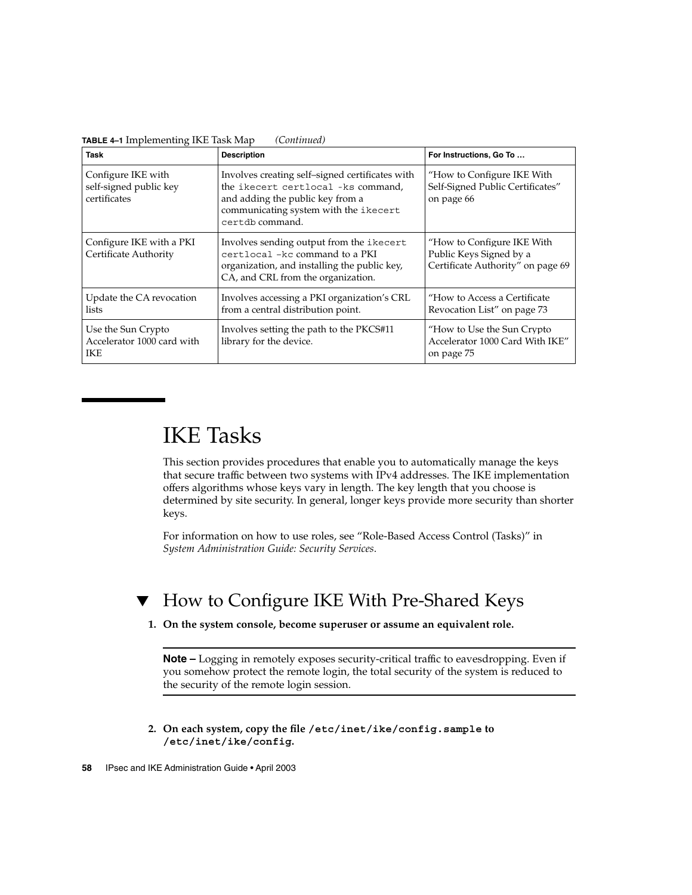| <b>Task</b>                                                  | <b>Description</b>                                                                                                                                                                     | For Instructions, Go To                                                                    |
|--------------------------------------------------------------|----------------------------------------------------------------------------------------------------------------------------------------------------------------------------------------|--------------------------------------------------------------------------------------------|
| Configure IKE with<br>self-signed public key<br>certificates | Involves creating self-signed certificates with<br>the ikecert certlocal -ks command,<br>and adding the public key from a<br>communicating system with the ikecert<br>cert.db command. | "How to Configure IKE With<br>Self-Signed Public Certificates"<br>on page 66               |
| Configure IKE with a PKI<br>Certificate Authority            | Involves sending output from the ikecert<br>certlocal-kc command to a PKI<br>organization, and installing the public key,<br>CA, and CRL from the organization.                        | "How to Configure IKE With<br>Public Keys Signed by a<br>Certificate Authority" on page 69 |
| Update the CA revocation<br>lists                            | Involves accessing a PKI organization's CRL<br>from a central distribution point.                                                                                                      | "How to Access a Certificate<br>Revocation List" on page 73                                |
| Use the Sun Crypto<br>Accelerator 1000 card with<br>IKE      | Involves setting the path to the PKCS#11<br>library for the device.                                                                                                                    | "How to Use the Sun Crypto"<br>Accelerator 1000 Card With IKE"<br>on page 75               |

<span id="page-57-0"></span>**TABLE 4–1** Implementing IKE Task Map *(Continued)*

# IKE Tasks

This section provides procedures that enable you to automatically manage the keys that secure traffic between two systems with IPv4 addresses. The IKE implementation offers algorithms whose keys vary in length. The key length that you choose is determined by site security. In general, longer keys provide more security than shorter keys.

For information on how to use roles, see "Role-Based Access Control (Tasks)" in *System Administration Guide: Security Services*.

# ▼ How to Configure IKE With Pre-Shared Keys

**1. On the system console, become superuser or assume an equivalent role.**

**Note –** Logging in remotely exposes security-critical traffic to eavesdropping. Even if you somehow protect the remote login, the total security of the system is reduced to the security of the remote login session.

**2. On each system, copy the file /etc/inet/ike/config.sample to /etc/inet/ike/config.**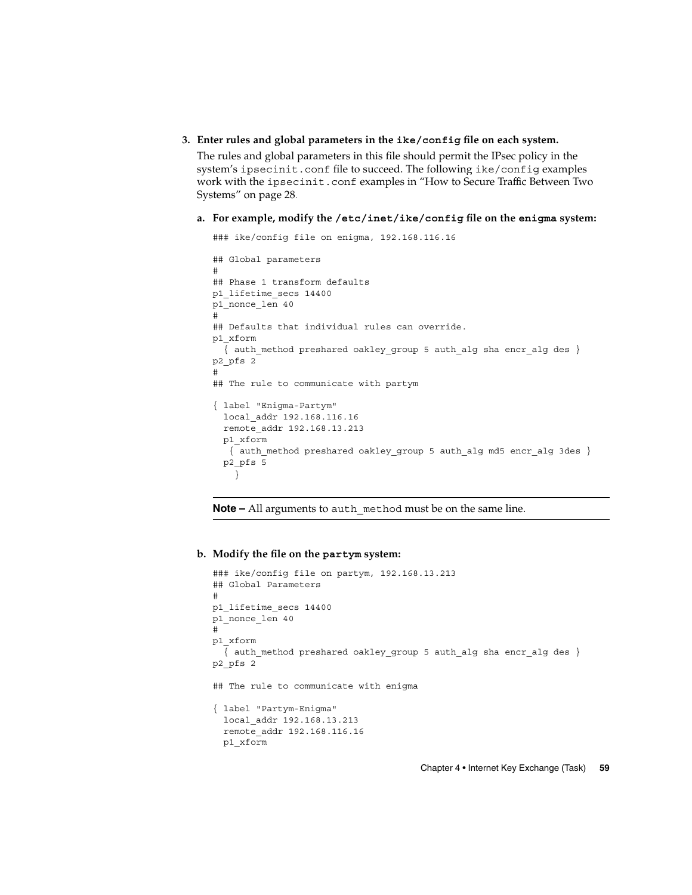<span id="page-58-0"></span>**3. Enter rules and global parameters in the ike/config file on each system.**

The rules and global parameters in this file should permit the IPsec policy in the system's ipsecinit.conf file to succeed. The following ike/config examples work with the ipsecinit.conf examples in ["How to Secure Traffic Between Two](#page-27-0) Systems" [on page 28.](#page-27-0)

**a. For example, modify the /etc/inet/ike/config file on the enigma system:**

```
### ike/config file on enigma, 192.168.116.16
## Global parameters
#
## Phase 1 transform defaults
p1_lifetime_secs 14400
p1_nonce_len 40
#
## Defaults that individual rules can override.
p1_xform
 { auth_method preshared oakley_group 5 auth_alg sha encr_alg des }
p2_pfs 2
#
## The rule to communicate with partym
{ label "Enigma-Partym"
 local_addr 192.168.116.16
 remote_addr 192.168.13.213
 p1_xform
   { auth method preshared oakley group 5 auth alg md5 encr alg 3des }
 p2_pfs 5
   }
```
**Note** – All arguments to auth method must be on the same line.

#### **b. Modify the file on the partym system:**

```
### ike/config file on partym, 192.168.13.213
## Global Parameters
#
p1_lifetime_secs 14400
p1_nonce_len 40
#
p1_xform
 { auth_method preshared oakley_group 5 auth_alg sha encr_alg des }
p2_pfs 2
## The rule to communicate with enigma
{ label "Partym-Enigma"
 local_addr 192.168.13.213
 remote_addr 192.168.116.16
 p1_xform
```
Chapter 4 • Internet Key Exchange (Task) **59**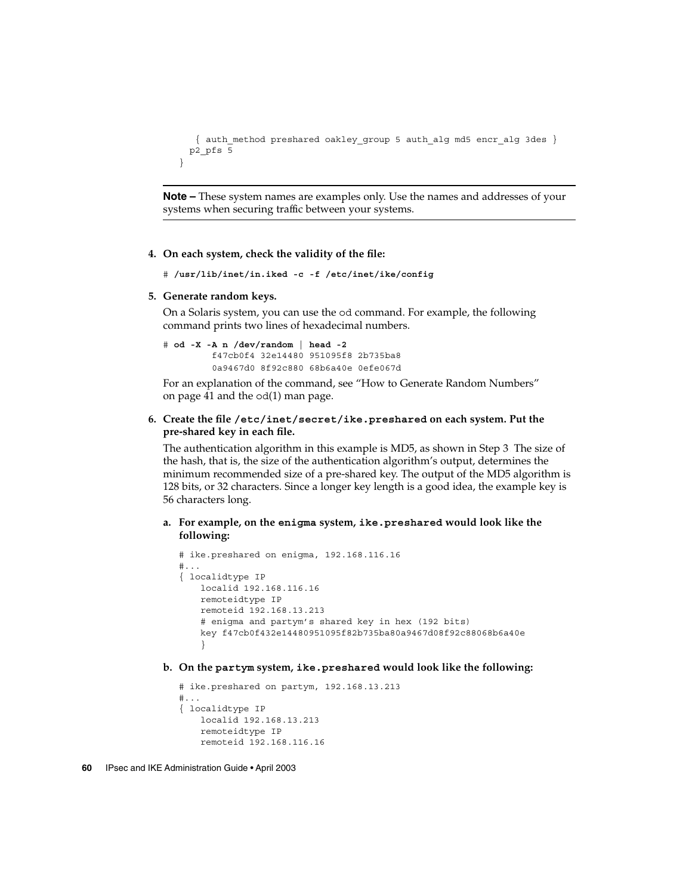```
{ auth_method preshared oakley_group 5 auth_alg md5 encr_alg 3des }
 p2_pfs 5
}
```
**Note –** These system names are examples only. Use the names and addresses of your systems when securing traffic between your systems.

**4. On each system, check the validity of the file:**

```
# /usr/lib/inet/in.iked -c -f /etc/inet/ike/config
```
**5. Generate random keys.**

On a Solaris system, you can use the od command. For example, the following command prints two lines of hexadecimal numbers.

```
# od -X -A n /dev/random | head -2
        f47cb0f4 32e14480 951095f8 2b735ba8
        0a9467d0 8f92c880 68b6a40e 0efe067d
```
For an explanation of the command, see ["How to Generate Random Numbers"](#page-40-0) [on page 41](#page-40-0) and the od(1) man page.

**6. Create the file /etc/inet/secret/ike.preshared on each system. Put the pre-shared key in each file.**

The authentication algorithm in this example is MD5, as shown in [Step 3.](#page-58-0) The size of the hash, that is, the size of the authentication algorithm's output, determines the minimum recommended size of a pre-shared key. The output of the MD5 algorithm is 128 bits, or 32 characters. Since a longer key length is a good idea, the example key is 56 characters long.

**a. For example, on the enigma system, ike.preshared would look like the following:**

```
# ike.preshared on enigma, 192.168.116.16
#...
{ localidtype IP
   localid 192.168.116.16
   remoteidtype IP
   remoteid 192.168.13.213
    # enigma and partym's shared key in hex (192 bits)
    key f47cb0f432e14480951095f82b735ba80a9467d08f92c88068b6a40e
    }
```
**b. On the partym system, ike.preshared would look like the following:**

```
# ike.preshared on partym, 192.168.13.213
#...
{ localidtype IP
   localid 192.168.13.213
   remoteidtype IP
   remoteid 192.168.116.16
```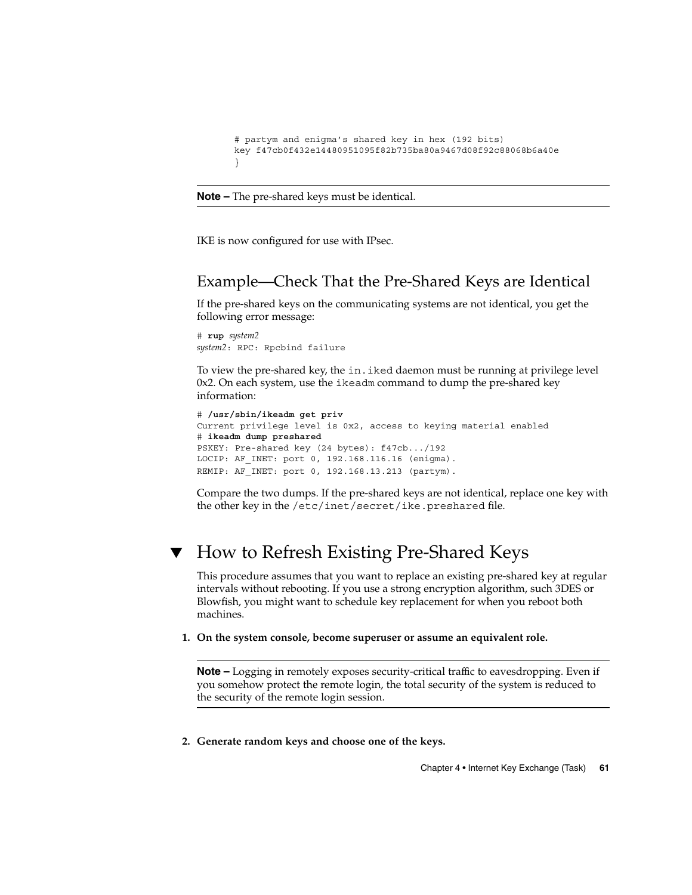```
# partym and enigma's shared key in hex (192 bits)
key f47cb0f432e14480951095f82b735ba80a9467d08f92c88068b6a40e
}
```
**Note –** The pre-shared keys must be identical.

IKE is now configured for use with IPsec.

### Example—Check That the Pre-Shared Keys are Identical

If the pre-shared keys on the communicating systems are not identical, you get the following error message:

# **rup** *system2 system2*: RPC: Rpcbind failure

To view the pre-shared key, the in.iked daemon must be running at privilege level 0x2. On each system, use the ikeadm command to dump the pre-shared key information:

```
# /usr/sbin/ikeadm get priv
Current privilege level is 0x2, access to keying material enabled
# ikeadm dump preshared
PSKEY: Pre-shared key (24 bytes): f47cb.../192
LOCIP: AF_INET: port 0, 192.168.116.16 (enigma).
REMIP: AF INET: port 0, 192.168.13.213 (partym).
```
Compare the two dumps. If the pre-shared keys are not identical, replace one key with the other key in the /etc/inet/secret/ike.preshared file.

# How to Refresh Existing Pre-Shared Keys

This procedure assumes that you want to replace an existing pre-shared key at regular intervals without rebooting. If you use a strong encryption algorithm, such 3DES or Blowfish, you might want to schedule key replacement for when you reboot both machines.

**1. On the system console, become superuser or assume an equivalent role.**

**Note –** Logging in remotely exposes security-critical traffic to eavesdropping. Even if you somehow protect the remote login, the total security of the system is reduced to the security of the remote login session.

**2. Generate random keys and choose one of the keys.**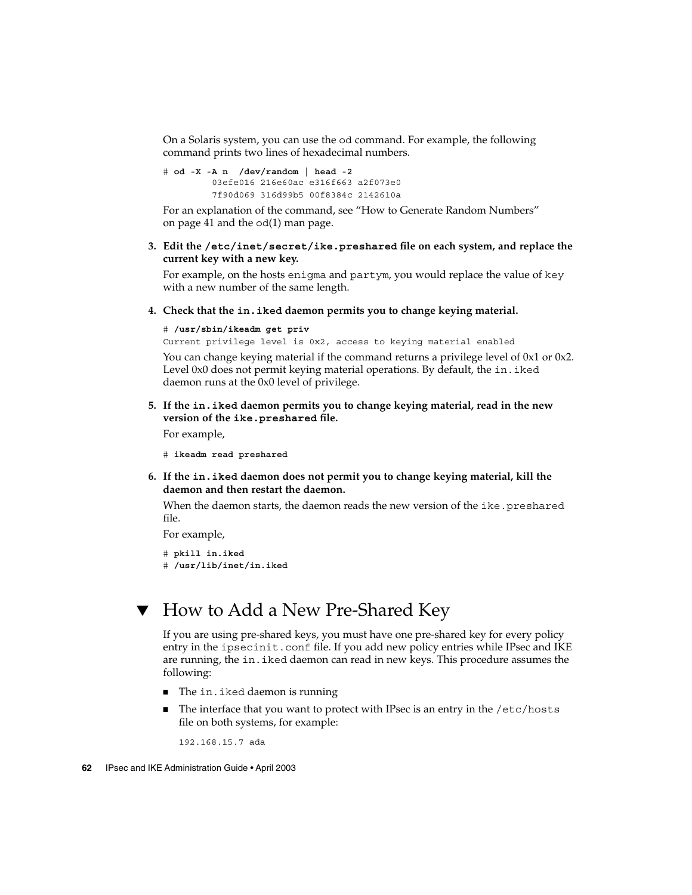<span id="page-61-0"></span>On a Solaris system, you can use the od command. For example, the following command prints two lines of hexadecimal numbers.

# **od -X -A n /dev/random | head -2** 03efe016 216e60ac e316f663 a2f073e0 7f90d069 316d99b5 00f8384c 2142610a

For an explanation of the command, see ["How to Generate Random Numbers"](#page-40-0) [on page 41](#page-40-0) and the od(1) man page.

**3. Edit the /etc/inet/secret/ike.preshared file on each system, and replace the current key with a new key.**

For example, on the hosts enigma and partym, you would replace the value of key with a new number of the same length.

**4. Check that the in.iked daemon permits you to change keying material.**

# **/usr/sbin/ikeadm get priv** Current privilege level is 0x2, access to keying material enabled

You can change keying material if the command returns a privilege level of 0x1 or 0x2. Level 0x0 does not permit keying material operations. By default, the in. iked daemon runs at the 0x0 level of privilege.

**5. If the in.iked daemon permits you to change keying material, read in the new version of the ike.preshared file.**

For example,

# **ikeadm read preshared**

**6. If the in.iked daemon does not permit you to change keying material, kill the daemon and then restart the daemon.**

When the daemon starts, the daemon reads the new version of the ike.preshared file.

For example,

```
# pkill in.iked
# /usr/lib/inet/in.iked
```
# ▼ How to Add a New Pre-Shared Key

If you are using pre-shared keys, you must have one pre-shared key for every policy entry in the ipsecinit.conf file. If you add new policy entries while IPsec and IKE are running, the in.iked daemon can read in new keys. This procedure assumes the following:

- The in. iked daemon is running
- The interface that you want to protect with IPsec is an entry in the /etc/hosts file on both systems, for example:

192.168.15.7 ada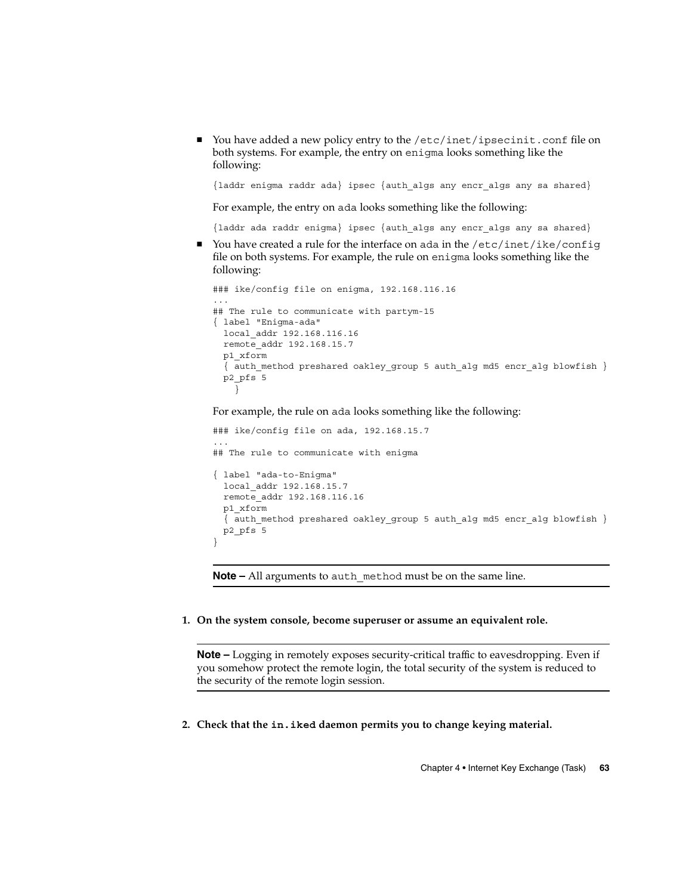■ You have added a new policy entry to the /etc/inet/ipsecinit.conf file on both systems. For example, the entry on enigma looks something like the following:

{laddr enigma raddr ada} ipsec {auth\_algs any encr\_algs any sa shared}

For example, the entry on ada looks something like the following:

{laddr ada raddr enigma} ipsec {auth\_algs any encr\_algs any sa shared}

■ You have created a rule for the interface on ada in the /etc/inet/ike/config file on both systems. For example, the rule on enigma looks something like the following:

```
### ike/config file on enigma, 192.168.116.16
...
## The rule to communicate with partym-15
{ label "Enigma-ada"
 local_addr 192.168.116.16
 remote_addr 192.168.15.7
 p1_xform
 { auth_method preshared oakley_group 5 auth_alg md5 encr_alg blowfish }
 p2_pfs 5
   }
```
For example, the rule on ada looks something like the following:

```
### ike/config file on ada, 192.168.15.7
...
## The rule to communicate with enigma
{ label "ada-to-Enigma"
 local_addr 192.168.15.7
 remote_addr 192.168.116.16
 p1_xform
  { auth method preshared oakley group 5 auth alg md5 encr alg blowfish }
 p2_pfs 5
}
```
**Note –** All arguments to auth\_method must be on the same line.

### **1. On the system console, become superuser or assume an equivalent role.**

**Note –** Logging in remotely exposes security-critical traffic to eavesdropping. Even if you somehow protect the remote login, the total security of the system is reduced to the security of the remote login session.

**2. Check that the in.iked daemon permits you to change keying material.**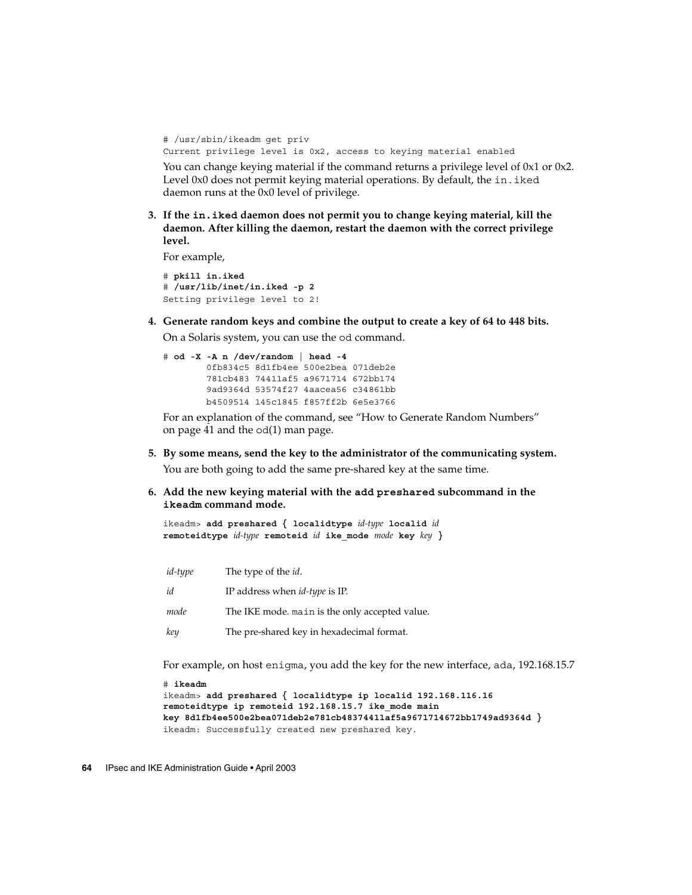# /usr/sbin/ikeadm get priv

Current privilege level is 0x2, access to keying material enabled

You can change keying material if the command returns a privilege level of 0x1 or 0x2. Level 0x0 does not permit keying material operations. By default, the in.iked daemon runs at the 0x0 level of privilege.

**3. If the in.iked daemon does not permit you to change keying material, kill the daemon. After killing the daemon, restart the daemon with the correct privilege level.**

For example,

```
# pkill in.iked
# /usr/lib/inet/in.iked -p 2
Setting privilege level to 2!
```
**4. Generate random keys and combine the output to create a key of 64 to 448 bits.**

On a Solaris system, you can use the od command.

```
# od -X -A n /dev/random | head -4
       0fb834c5 8d1fb4ee 500e2bea 071deb2e
       781cb483 74411af5 a9671714 672bb174
       9ad9364d 53574f27 4aacea56 c34861bb
       b4509514 145c1845 f857ff2b 6e5e3766
```
For an explanation of the command, see ["How to Generate Random Numbers"](#page-40-0) [on page 41](#page-40-0) and the od(1) man page.

**5. By some means, send the key to the administrator of the communicating system.**

You are both going to add the same pre-shared key at the same time.

**6. Add the new keying material with the add preshared subcommand in the ikeadm command mode.**

ikeadm> **add preshared { localidtype** *id-type* **localid** *id* **remoteidtype** *id-type* **remoteid** *id* **ike\_mode** *mode* **key** *key* **}**

| id-type | The type of the <i>id</i> .                    |
|---------|------------------------------------------------|
| id      | IP address when <i>id-type</i> is IP.          |
| mode    | The IKE mode. main is the only accepted value. |
| key     | The pre-shared key in hexadecimal format.      |

For example, on host enigma, you add the key for the new interface, ada, 192.168.15.7

```
# ikeadm
ikeadm> add preshared { localidtype ip localid 192.168.116.16
remoteidtype ip remoteid 192.168.15.7 ike_mode main
key 8d1fb4ee500e2bea071deb2e781cb48374411af5a9671714672bb1749ad9364d }
ikeadm: Successfully created new preshared key.
```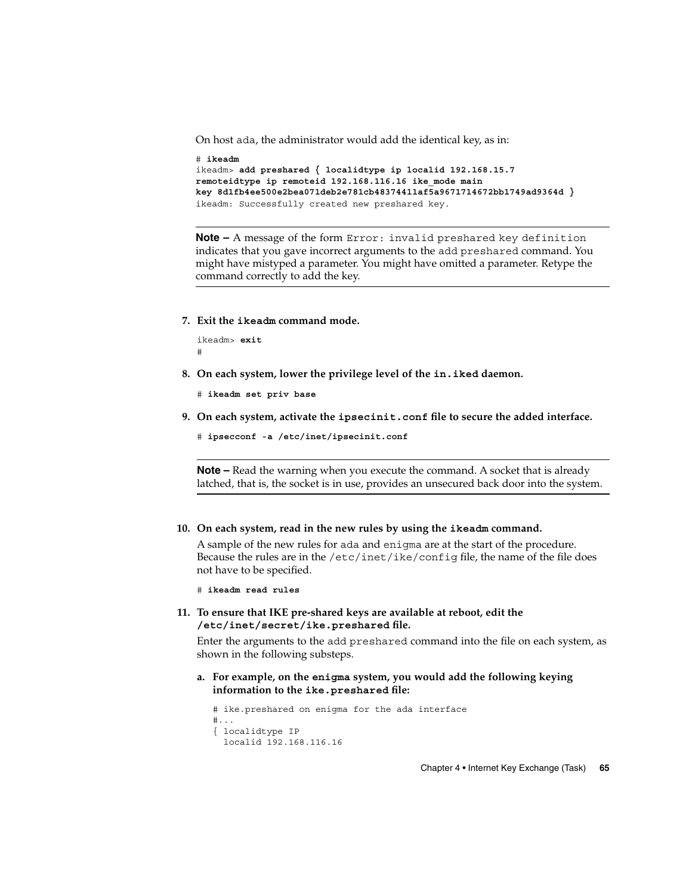On host ada, the administrator would add the identical key, as in:

```
# ikeadm
ikeadm> add preshared { localidtype ip localid 192.168.15.7
remoteidtype ip remoteid 192.168.116.16 ike_mode main
key 8d1fb4ee500e2bea071deb2e781cb48374411af5a9671714672bb1749ad9364d }
ikeadm: Successfully created new preshared key.
```
**Note –** A message of the form Error: invalid preshared key definition indicates that you gave incorrect arguments to the add preshared command. You might have mistyped a parameter. You might have omitted a parameter. Retype the command correctly to add the key.

**7. Exit the ikeadm command mode.**

```
ikeadm> exit
#
```
- **8. On each system, lower the privilege level of the in.iked daemon.**
	- # **ikeadm set priv base**
- **9. On each system, activate the ipsecinit.conf file to secure the added interface.**

```
# ipsecconf -a /etc/inet/ipsecinit.conf
```
**Note –** Read the warning when you execute the command. A socket that is already latched, that is, the socket is in use, provides an unsecured back door into the system.

**10. On each system, read in the new rules by using the ikeadm command.**

A sample of the new rules for ada and enigma are at the start of the procedure. Because the rules are in the /etc/inet/ike/config file, the name of the file does not have to be specified.

```
# ikeadm read rules
```
**11. To ensure that IKE pre-shared keys are available at reboot, edit the /etc/inet/secret/ike.preshared file.**

Enter the arguments to the add preshared command into the file on each system, as shown in the following substeps.

**a. For example, on the enigma system, you would add the following keying information to the ike.preshared file:**

```
# ike.preshared on enigma for the ada interface
#...
{ localidtype IP
 localid 192.168.116.16
```
Chapter 4 • Internet Key Exchange (Task) **65**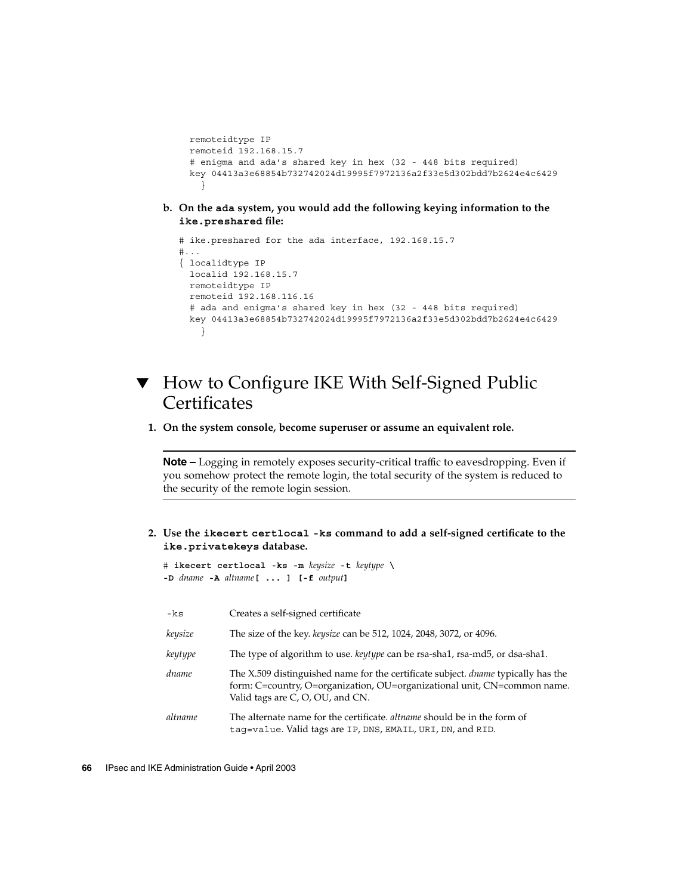```
remoteidtype IP
remoteid 192.168.15.7
# enigma and ada's shared key in hex (32 - 448 bits required)
key 04413a3e68854b732742024d19995f7972136a2f33e5d302bdd7b2624e4c6429
  }
```
**b. On the ada system, you would add the following keying information to the ike.preshared file:**

```
# ike.preshared for the ada interface, 192.168.15.7
#...
{ localidtype IP
 localid 192.168.15.7
 remoteidtype IP
 remoteid 192.168.116.16
  # ada and enigma's shared key in hex (32 - 448 bits required)
 key 04413a3e68854b732742024d19995f7972136a2f33e5d302bdd7b2624e4c6429
   }
```
# ▼ How to Configure IKE With Self-Signed Public **Certificates**

**1. On the system console, become superuser or assume an equivalent role.**

**Note –** Logging in remotely exposes security-critical traffic to eavesdropping. Even if you somehow protect the remote login, the total security of the system is reduced to the security of the remote login session.

**2. Use the ikecert certlocal -ks command to add a self-signed certificate to the ike.privatekeys database.**

```
# ikecert certlocal -ks -m keysize -t keytype \
-D dname -A altname[ ... ] [-f output]
```

| -ks     | Creates a self-signed certificate                                                                                                                                                                        |
|---------|----------------------------------------------------------------------------------------------------------------------------------------------------------------------------------------------------------|
| keysize | The size of the key. <i>keysize</i> can be 512, 1024, 2048, 3072, or 4096.                                                                                                                               |
| keytype | The type of algorithm to use. <i>keytype</i> can be rsa-sha1, rsa-md5, or dsa-sha1.                                                                                                                      |
| dname   | The X.509 distinguished name for the certificate subject. <i>duame</i> typically has the<br>form: C=country, O=organization, OU=organizational unit, CN=common name.<br>Valid tags are C, O, OU, and CN. |
| altname | The alternate name for the certificate. <i>altname</i> should be in the form of<br>tag=value. Valid tags are IP, DNS, EMAIL, URI, DN, and RID.                                                           |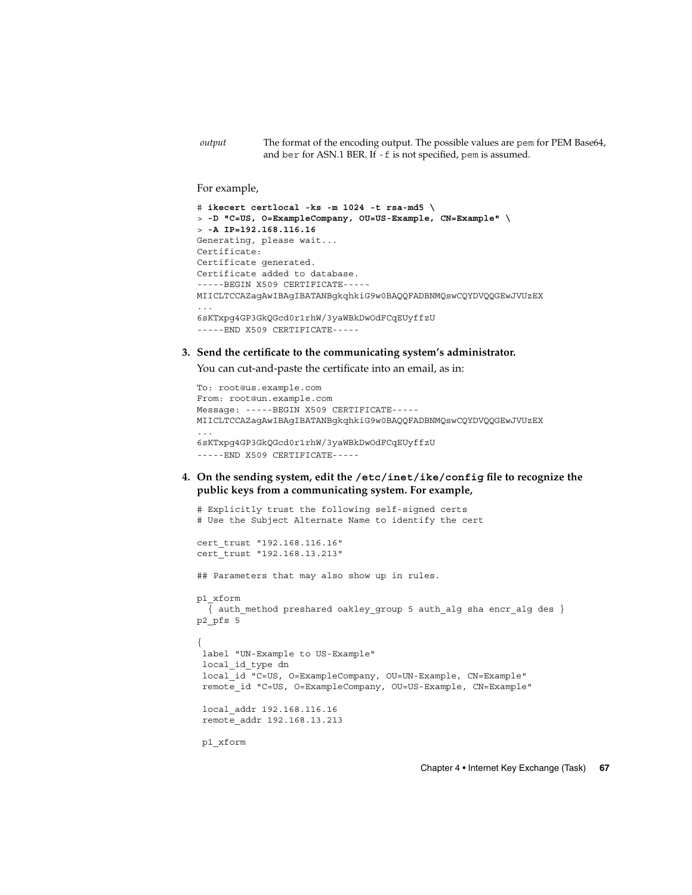*output* The format of the encoding output. The possible values are pem for PEM Base64, and ber for ASN.1 BER. If -f is not specified, pem is assumed.

#### For example,

```
# ikecert certlocal -ks -m 1024 -t rsa-md5 \
> -D "C=US, O=ExampleCompany, OU=US-Example, CN=Example" \
> -A IP=192.168.116.16
Generating, please wait...
Certificate:
Certificate generated.
Certificate added to database.
-----BEGIN X509 CERTIFICATE-----
MIICLTCCAZagAwIBAgIBATANBgkqhkiG9w0BAQQFADBNMQswCQYDVQQGEwJVUzEX
...
6sKTxpg4GP3GkQGcd0r1rhW/3yaWBkDwOdFCqEUyffzU
-----END X509 CERTIFICATE-----
```
### **3. Send the certificate to the communicating system's administrator.**

You can cut-and-paste the certificate into an email, as in:

```
To: root@us.example.com
From: root@un.example.com
Message: -----BEGIN X509 CERTIFICATE-----
MIICLTCCAZagAwIBAgIBATANBgkqhkiG9w0BAQQFADBNMQswCQYDVQQGEwJVUzEX
...
6sKTxpg4GP3GkQGcd0r1rhW/3yaWBkDwOdFCqEUyffzU
-----END X509 CERTIFICATE-----
```
**4. On the sending system, edit the /etc/inet/ike/config file to recognize the public keys from a communicating system. For example,**

```
# Explicitly trust the following self-signed certs
# Use the Subject Alternate Name to identify the cert
cert_trust "192.168.116.16"
cert_trust "192.168.13.213"
## Parameters that may also show up in rules.
p1_xform
 { auth_method preshared oakley_group 5 auth_alg sha encr_alg des }
p2_pfs 5
{
label "UN-Example to US-Example"
local_id_type dn
local_id "C=US, O=ExampleCompany, OU=UN-Example, CN=Example"
remote id "C=US, O=ExampleCompany, OU=US-Example, CN=Example"
local_addr 192.168.116.16
remote_addr 192.168.13.213
p1_xform
```
Chapter 4 • Internet Key Exchange (Task) **67**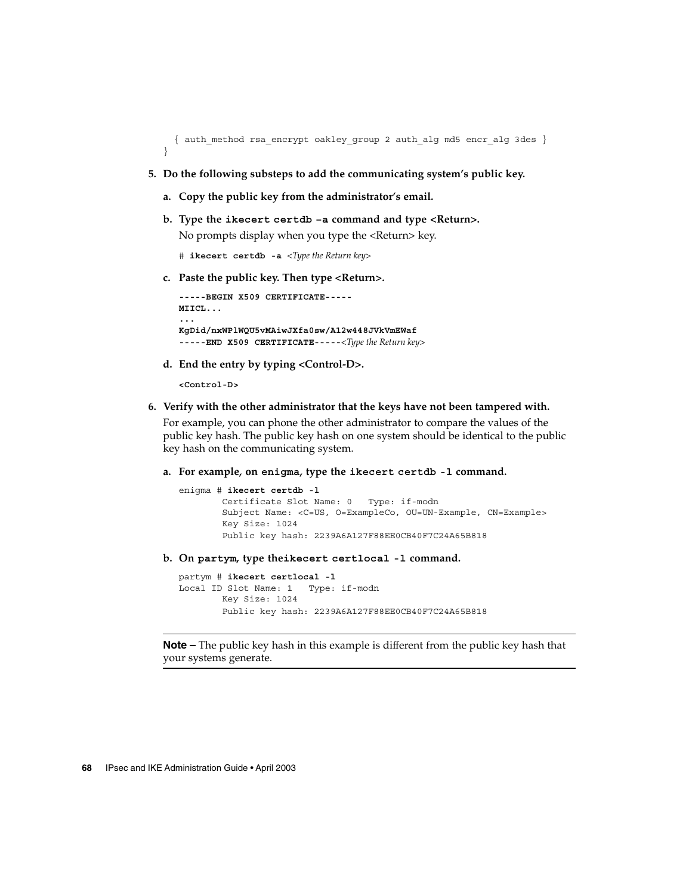```
\{ auth method rsa encrypt oakley group 2 auth alg md5 encr alg 3des \}}
```
### **5. Do the following substeps to add the communicating system's public key.**

- **a. Copy the public key from the administrator's email.**
- **b. Type the ikecert certdb –a command and type <Return>.**

No prompts display when you type the <Return> key.

- # **ikecert certdb -a** *<Type the Return key>*
- **c. Paste the public key. Then type <Return>.**

```
-----BEGIN X509 CERTIFICATE-----
MIICL...
...
KgDid/nxWPlWQU5vMAiwJXfa0sw/A12w448JVkVmEWaf
-----END X509 CERTIFICATE-----<Type the Return key>
```
**d. End the entry by typing <Control-D>.**

**<Control-D>**

#### **6. Verify with the other administrator that the keys have not been tampered with.**

For example, you can phone the other administrator to compare the values of the public key hash. The public key hash on one system should be identical to the public key hash on the communicating system.

**a. For example, on enigma, type the ikecert certdb -l command.**

```
enigma # ikecert certdb -l
       Certificate Slot Name: 0 Type: if-modn
       Subject Name: <C=US, O=ExampleCo, OU=UN-Example, CN=Example>
       Key Size: 1024
       Public key hash: 2239A6A127F88EE0CB40F7C24A65B818
```
**b. On partym, type theikecert certlocal -l command.**

```
partym # ikecert certlocal -l
Local ID Slot Name: 1 Type: if-modn
       Key Size: 1024
        Public key hash: 2239A6A127F88EE0CB40F7C24A65B818
```
**Note –** The public key hash in this example is different from the public key hash that your systems generate.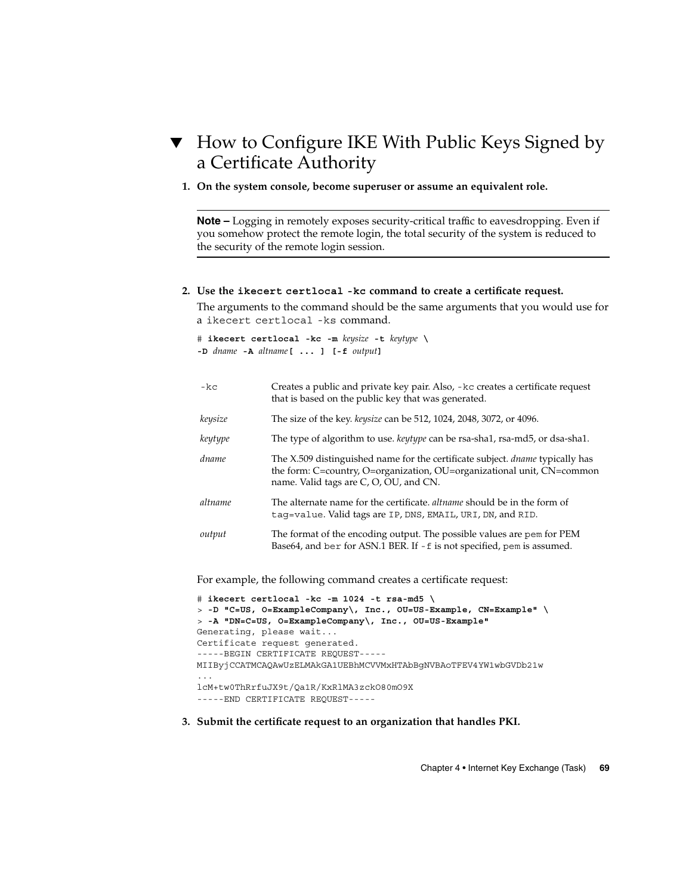# <span id="page-68-0"></span>▼ How to Configure IKE With Public Keys Signed by a Certificate Authority

**1. On the system console, become superuser or assume an equivalent role.**

**Note –** Logging in remotely exposes security-critical traffic to eavesdropping. Even if you somehow protect the remote login, the total security of the system is reduced to the security of the remote login session.

#### **2. Use the ikecert certlocal -kc command to create a certificate request.**

The arguments to the command should be the same arguments that you would use for a ikecert certlocal -ks command.

```
# ikecert certlocal -kc -m keysize -t keytype \
-D dname -A altname[ ... ] [-f output]
```

| $-kc$   | Creates a public and private key pair. Also, -kc creates a certificate request<br>that is based on the public key that was generated.                                                                    |
|---------|----------------------------------------------------------------------------------------------------------------------------------------------------------------------------------------------------------|
| keysize | The size of the key. <i>keysize</i> can be 512, 1024, 2048, 3072, or 4096.                                                                                                                               |
| keytype | The type of algorithm to use. <i>keytype</i> can be rsa-sha1, rsa-md5, or dsa-sha1.                                                                                                                      |
| dname   | The X.509 distinguished name for the certificate subject. <i>dname</i> typically has<br>the form: C=country, O=organization, OU=organizational unit, CN=common<br>name. Valid tags are C, O, OU, and CN. |
| altname | The alternate name for the certificate, <i>altname</i> should be in the form of<br>taq=value. Valid tags are IP, DNS, EMAIL, URI, DN, and RID.                                                           |
| output  | The format of the encoding output. The possible values are pem for PEM<br>Base64, and ber for ASN.1 BER. If -f is not specified, pem is assumed.                                                         |

For example, the following command creates a certificate request:

```
# ikecert certlocal -kc -m 1024 -t rsa-md5 \
> -D "C=US, O=ExampleCompany\, Inc., OU=US-Example, CN=Example" \
> -A "DN=C=US, O=ExampleCompany\, Inc., OU=US-Example"
Generating, please wait...
Certificate request generated.
-----BEGIN CERTIFICATE REQUEST-----
MIIByjCCATMCAQAwUzELMAkGA1UEBhMCVVMxHTAbBgNVBAoTFEV4YW1wbGVDb21w
...
lcM+tw0ThRrfuJX9t/Qa1R/KxRlMA3zckO80mO9X
-----END CERTIFICATE REQUEST-----
```
**3. Submit the certificate request to an organization that handles PKI.**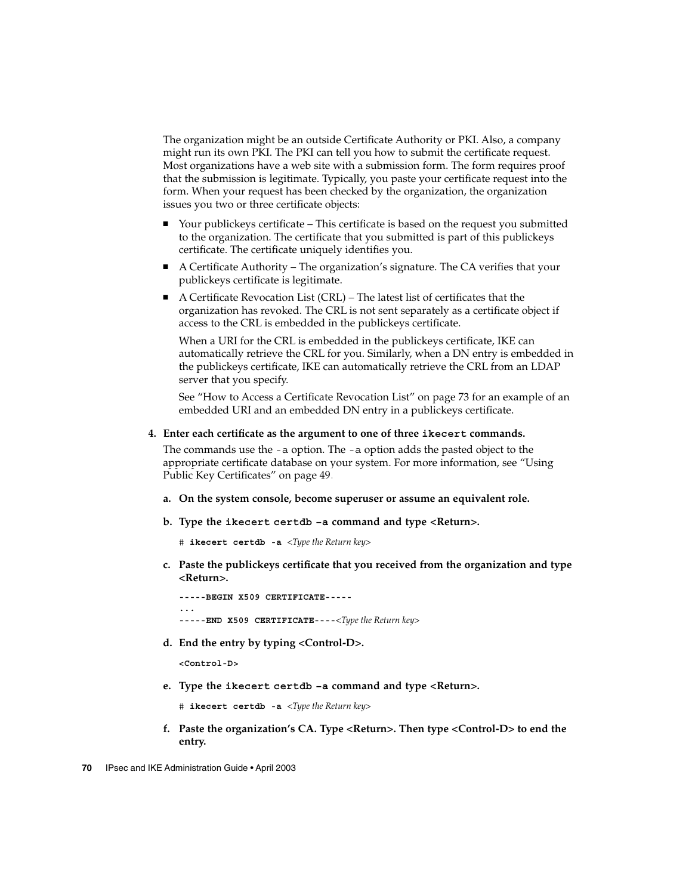The organization might be an outside Certificate Authority or PKI. Also, a company might run its own PKI. The PKI can tell you how to submit the certificate request. Most organizations have a web site with a submission form. The form requires proof that the submission is legitimate. Typically, you paste your certificate request into the form. When your request has been checked by the organization, the organization issues you two or three certificate objects:

- Your publickeys certificate This certificate is based on the request you submitted to the organization. The certificate that you submitted is part of this publickeys certificate. The certificate uniquely identifies you.
- A Certificate Authority The organization's signature. The CA verifies that your publickeys certificate is legitimate.
- A Certificate Revocation List (CRL) The latest list of certificates that the organization has revoked. The CRL is not sent separately as a certificate object if access to the CRL is embedded in the publickeys certificate.

When a URI for the CRL is embedded in the publickeys certificate, IKE can automatically retrieve the CRL for you. Similarly, when a DN entry is embedded in the publickeys certificate, IKE can automatically retrieve the CRL from an LDAP server that you specify.

See ["How to Access a Certificate Revocation List"](#page-72-0) on page 73 for an example of an embedded URI and an embedded DN entry in a publickeys certificate.

#### **4. Enter each certificate as the argument to one of three ikecert commands.**

The commands use the -a option. The -a option adds the pasted object to the appropriate certificate database on your system. For more information, see ["Using](#page-48-0) [Public Key Certificates"](#page-48-0) on page 49.

- **a. On the system console, become superuser or assume an equivalent role.**
- **b. Type the ikecert certdb –a command and type <Return>.**

# **ikecert certdb -a** *<Type the Return key>*

- **c. Paste the publickeys certificate that you received from the organization and type <Return>.**
	- **-----BEGIN X509 CERTIFICATE-----**
	- **-----END X509 CERTIFICATE----***<Type the Return key>*
- **d. End the entry by typing <Control-D>.**

**<Control-D>**

**...**

**e. Type the ikecert certdb –a command and type <Return>.**

# **ikecert certdb -a** *<Type the Return key>*

**f. Paste the organization's CA. Type <Return>. Then type <Control-D> to end the entry.**

**<sup>70</sup>** IPsec and IKE Administration Guide • April 2003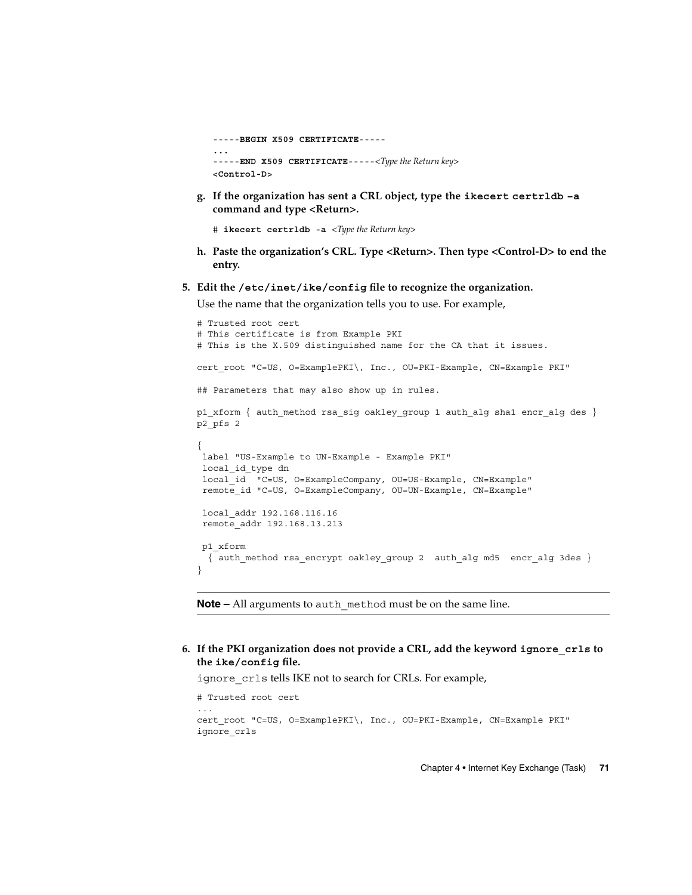```
-----BEGIN X509 CERTIFICATE-----
...
-----END X509 CERTIFICATE-----<Type the Return key>
<Control-D>
```
**g. If the organization has sent a CRL object, type the ikecert certrldb –a command and type <Return>.**

```
# ikecert certrldb -a <Type the Return key>
```
**h. Paste the organization's CRL. Type <Return>. Then type <Control-D> to end the entry.**

### **5. Edit the /etc/inet/ike/config file to recognize the organization.**

Use the name that the organization tells you to use. For example,

```
# Trusted root cert
# This certificate is from Example PKI
# This is the X.509 distinguished name for the CA that it issues.
cert_root "C=US, O=ExamplePKI\, Inc., OU=PKI-Example, CN=Example PKI"
## Parameters that may also show up in rules.
p1 xform { auth method rsa sig oakley group 1 auth alg sha1 encr alg des }
p2_pfs 2
{
label "US-Example to UN-Example - Example PKI"
local_id_type dn
local_id "C=US, O=ExampleCompany, OU=US-Example, CN=Example"
remote_id "C=US, O=ExampleCompany, OU=UN-Example, CN=Example"
local_addr 192.168.116.16
remote_addr 192.168.13.213
p1_xform
  { auth method rsa encrypt oakley group 2 auth alg md5 encr alg 3des }
}
```
**Note** – All arguments to auth method must be on the same line.

### **6. If the PKI organization does not provide a CRL, add the keyword ignore\_crls to the ike/config file.**

ignore crls tells IKE not to search for CRLs. For example,

```
# Trusted root cert
...
cert_root "C=US, O=ExamplePKI\, Inc., OU=PKI-Example, CN=Example PKI"
ignore_crls
```
Chapter 4 • Internet Key Exchange (Task) **71**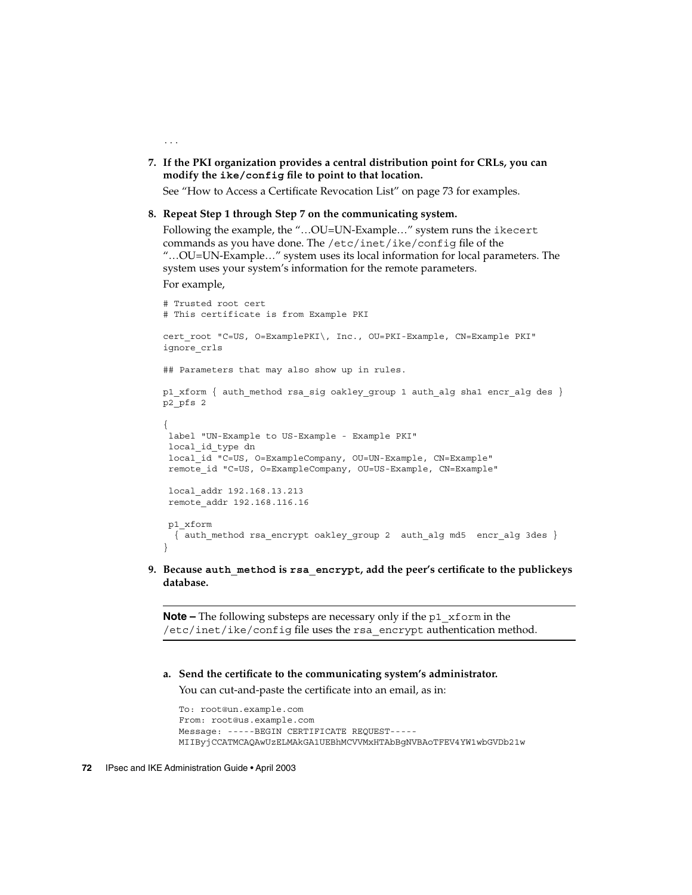...

**7. If the PKI organization provides a central distribution point for CRLs, you can modify the ike/config file to point to that location.**

See ["How to Access a Certificate Revocation List"](#page-72-0) on page 73 for examples.

**8. Repeat [Step 1](#page-68-0) through Step 7 on the communicating system.**

Following the example, the "…OU=UN-Example…" system runs the ikecert commands as you have done. The /etc/inet/ike/config file of the "…OU=UN-Example…" system uses its local information for local parameters. The system uses your system's information for the remote parameters.

For example,

```
# Trusted root cert
# This certificate is from Example PKI
cert_root "C=US, O=ExamplePKI\, Inc., OU=PKI-Example, CN=Example PKI"
ignore_crls
## Parameters that may also show up in rules.
p1_xform { auth_method rsa_sig oakley_group 1 auth_alg sha1 encr_alg des }
p2_pfs 2
{
 label "UN-Example to US-Example - Example PKI"
 local_id_type dn
 local_id "C=US, O=ExampleCompany, OU=UN-Example, CN=Example"
remote id "C=US, O=ExampleCompany, OU=US-Example, CN=Example"
local_addr 192.168.13.213
remote_addr 192.168.116.16
 p1_xform
  { auth_method rsa_encrypt oakley_group 2 auth_alg md5 encr_alg 3des }
}
```
**9. Because auth\_method is rsa\_encrypt, add the peer's certificate to the publickeys database.**

**Note** – The following substeps are necessary only if the p1\_xform in the /etc/inet/ike/config file uses the rsa\_encrypt authentication method.

#### **a. Send the certificate to the communicating system's administrator.**

You can cut-and-paste the certificate into an email, as in:

```
To: root@un.example.com
From: root@us.example.com
Message: -----BEGIN CERTIFICATE REQUEST-----
MIIByjCCATMCAQAwUzELMAkGA1UEBhMCVVMxHTAbBgNVBAoTFEV4YW1wbGVDb21w
```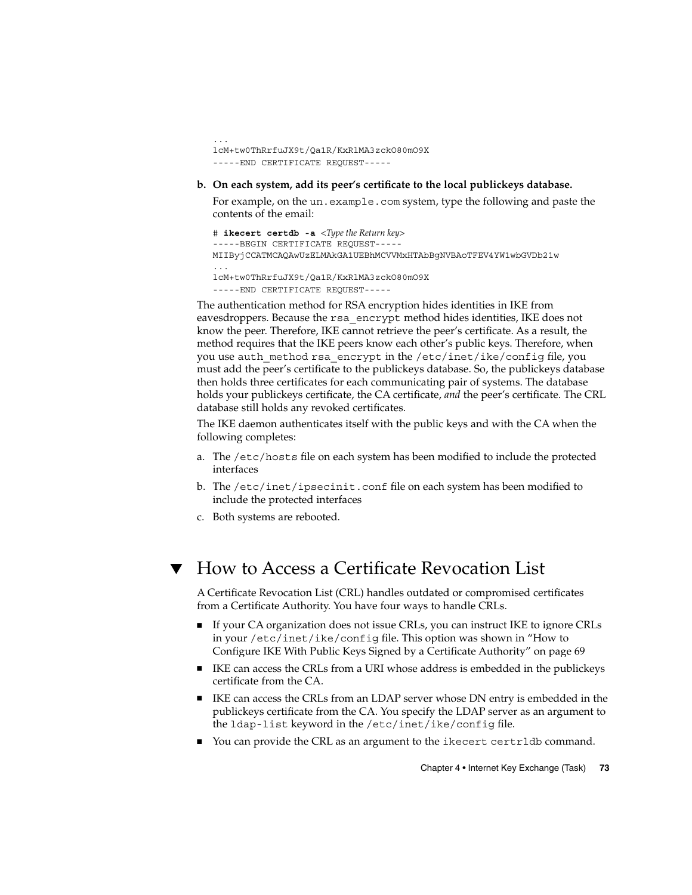<span id="page-72-0"></span>... lcM+tw0ThRrfuJX9t/Qa1R/KxRlMA3zckO80mO9X -----END CERTIFICATE REQUEST-----

**b. On each system, add its peer's certificate to the local publickeys database.**

For example, on the un.example.com system, type the following and paste the contents of the email:

# **ikecert certdb -a** *<Type the Return key>* -----BEGIN CERTIFICATE REQUEST----- MIIByjCCATMCAQAwUzELMAkGA1UEBhMCVVMxHTAbBgNVBAoTFEV4YW1wbGVDb21w ... lcM+tw0ThRrfuJX9t/Qa1R/KxRlMA3zckO80mO9X -----END CERTIFICATE REQUEST-----

The authentication method for RSA encryption hides identities in IKE from eavesdroppers. Because the rsa\_encrypt method hides identities, IKE does not know the peer. Therefore, IKE cannot retrieve the peer's certificate. As a result, the method requires that the IKE peers know each other's public keys. Therefore, when you use auth method rsa encrypt in the /etc/inet/ike/config file, you must add the peer's certificate to the publickeys database. So, the publickeys database then holds three certificates for each communicating pair of systems. The database holds your publickeys certificate, the CA certificate, *and* the peer's certificate. The CRL database still holds any revoked certificates.

The IKE daemon authenticates itself with the public keys and with the CA when the following completes:

- a. The /etc/hosts file on each system has been modified to include the protected interfaces
- b. The /etc/inet/ipsecinit.conf file on each system has been modified to include the protected interfaces
- c. Both systems are rebooted.

# How to Access a Certificate Revocation List

A Certificate Revocation List (CRL) handles outdated or compromised certificates from a Certificate Authority. You have four ways to handle CRLs.

- If your CA organization does not issue CRLs, you can instruct IKE to ignore CRLs in your /etc/inet/ike/config file. This option was shown in ["How to](#page-68-0) [Configure IKE With Public Keys Signed by a Certificate Authority"](#page-68-0) on page 69.
- IKE can access the CRLs from a URI whose address is embedded in the publickeys certificate from the CA.
- IKE can access the CRLs from an LDAP server whose DN entry is embedded in the publickeys certificate from the CA. You specify the LDAP server as an argument to the ldap-list keyword in the /etc/inet/ike/config file.
- You can provide the CRL as an argument to the ikecert certridb command.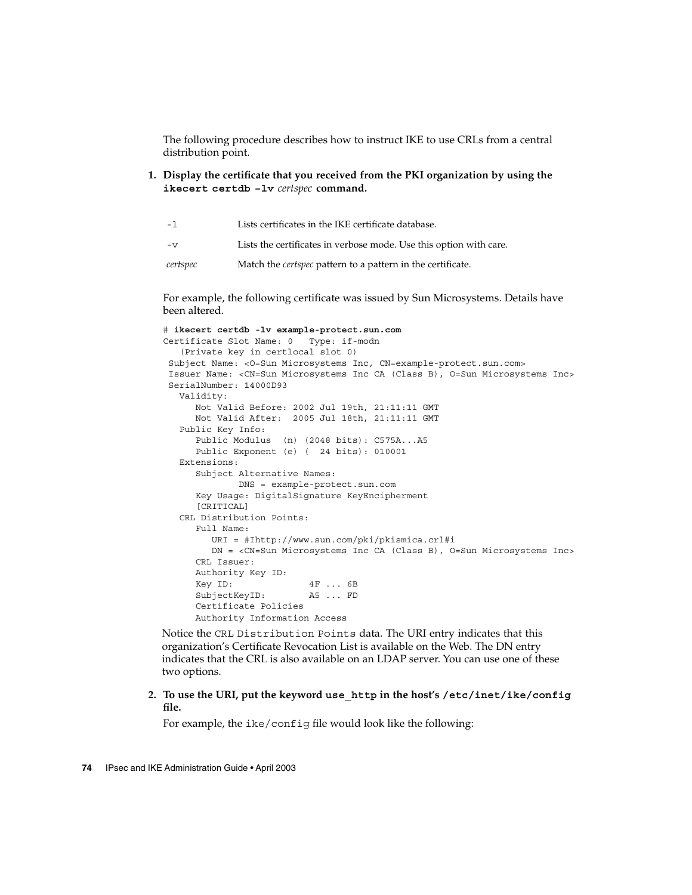<span id="page-73-0"></span>The following procedure describes how to instruct IKE to use CRLs from a central distribution point.

**1. Display the certificate that you received from the PKI organization by using the ikecert certdb –lv** *certspec* **command.**

| $-1$     | Lists certificates in the IKE certificate database.                |
|----------|--------------------------------------------------------------------|
| $-V$     | Lists the certificates in verbose mode. Use this option with care. |
| certspec | Match the <i>certspec</i> pattern to a pattern in the certificate. |

For example, the following certificate was issued by Sun Microsystems. Details have been altered.

```
# ikecert certdb -lv example-protect.sun.com
Certificate Slot Name: 0 Type: if-modn
   (Private key in certlocal slot 0)
Subject Name: <O=Sun Microsystems Inc, CN=example-protect.sun.com>
Issuer Name: <CN=Sun Microsystems Inc CA (Class B), O=Sun Microsystems Inc>
SerialNumber: 14000D93
  Validity:
     Not Valid Before: 2002 Jul 19th, 21:11:11 GMT
     Not Valid After: 2005 Jul 18th, 21:11:11 GMT
  Public Key Info:
     Public Modulus (n) (2048 bits): C575A...A5
     Public Exponent (e) ( 24 bits): 010001
  Extensions:
     Subject Alternative Names:
             DNS = example-protect.sun.com
     Key Usage: DigitalSignature KeyEncipherment
      [CRITICAL]
  CRL Distribution Points:
     Full Name:
        URI = #Ihttp://www.sun.com/pki/pkismica.crl#i
        DN = <CN=Sun Microsystems Inc CA (Class B), O=Sun Microsystems Inc>
     CRL Issuer:
     Authority Key ID:
     Key ID: 4F \ldots 6B<br>SubjectKeyID: A5 \ldots FDSubjectKeyID:
     Certificate Policies
     Authority Information Access
```
Notice the CRL Distribution Points data. The URI entry indicates that this organization's Certificate Revocation List is available on the Web. The DN entry indicates that the CRL is also available on an LDAP server. You can use one of these two options.

**2. To use the URI, put the keyword use\_http in the host's /etc/inet/ike/config file.**

For example, the ike/config file would look like the following: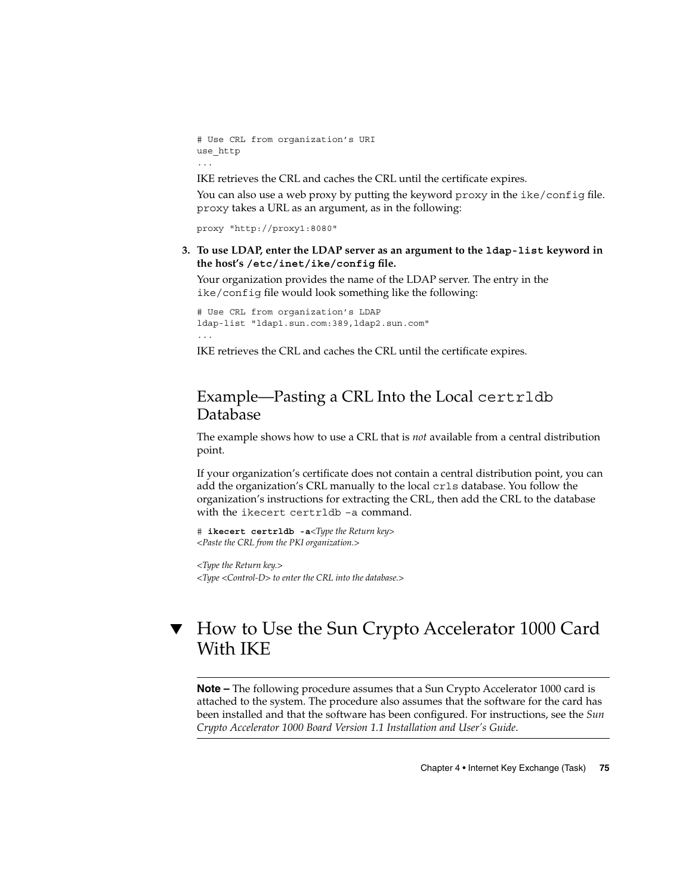<span id="page-74-0"></span># Use CRL from organization's URI use\_http ...

IKE retrieves the CRL and caches the CRL until the certificate expires.

You can also use a web proxy by putting the keyword proxy in the ike/config file. proxy takes a URL as an argument, as in the following:

proxy "http://proxy1:8080"

#### **3. To use LDAP, enter the LDAP server as an argument to the ldap-list keyword in the host's /etc/inet/ike/config file.**

Your organization provides the name of the LDAP server. The entry in the ike/config file would look something like the following:

```
# Use CRL from organization's LDAP
ldap-list "ldap1.sun.com:389,ldap2.sun.com"
...
```
IKE retrieves the CRL and caches the CRL until the certificate expires.

# Example—Pasting a CRL Into the Local certrldb Database

The example shows how to use a CRL that is *not* available from a central distribution point.

If your organization's certificate does not contain a central distribution point, you can add the organization's CRL manually to the local crls database. You follow the organization's instructions for extracting the CRL, then add the CRL to the database with the ikecert certrldb –a command.

# **ikecert certrldb -a***<Type the Return key> <Paste the CRL from the PKI organization.>*

*<Type the Return key.> <Type <Control-D> to enter the CRL into the database.>*

# How to Use the Sun Crypto Accelerator 1000 Card With IKE

**Note –** The following procedure assumes that a Sun Crypto Accelerator 1000 card is attached to the system. The procedure also assumes that the software for the card has been installed and that the software has been configured. For instructions, see the *Sun Crypto Accelerator 1000 Board Version 1.1 Installation and User's Guide*.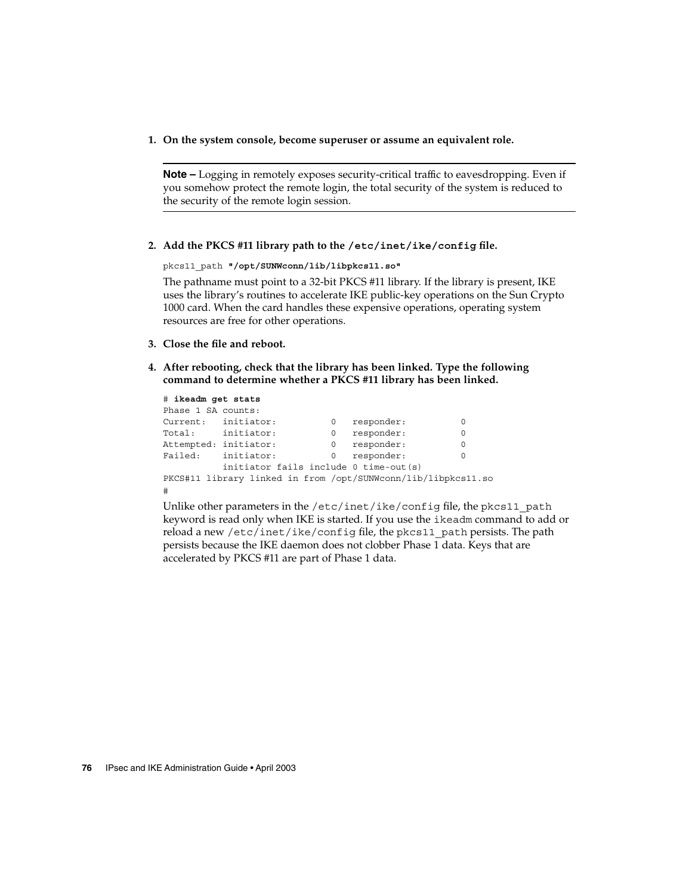<span id="page-75-0"></span>**1. On the system console, become superuser or assume an equivalent role.**

**Note –** Logging in remotely exposes security-critical traffic to eavesdropping. Even if you somehow protect the remote login, the total security of the system is reduced to the security of the remote login session.

#### **2. Add the PKCS #11 library path to the /etc/inet/ike/config file.**

pkcs11\_path **"/opt/SUNWconn/lib/libpkcs11.so"**

The pathname must point to a 32-bit PKCS #11 library. If the library is present, IKE uses the library's routines to accelerate IKE public-key operations on the Sun Crypto 1000 card. When the card handles these expensive operations, operating system resources are free for other operations.

- **3. Close the file and reboot.**
- **4. After rebooting, check that the library has been linked. Type the following command to determine whether a PKCS #11 library has been linked.**

```
# ikeadm get stats
Phase 1 SA counts:
Current: initiator: 0 responder: 0
Total: initiator: 0 responder: 0
Attempted: initiator: 0 0 responder: 0
Failed: initiator: 0 responder: 0
        initiator fails include 0 time-out(s)
PKCS#11 library linked in from /opt/SUNWconn/lib/libpkcs11.so
#
```
Unlike other parameters in the /etc/inet/ike/config file, the pkcs11 path keyword is read only when IKE is started. If you use the ikeadm command to add or reload a new /etc/inet/ike/config file, the pkcs11\_path persists. The path persists because the IKE daemon does not clobber Phase 1 data. Keys that are accelerated by PKCS #11 are part of Phase 1 data.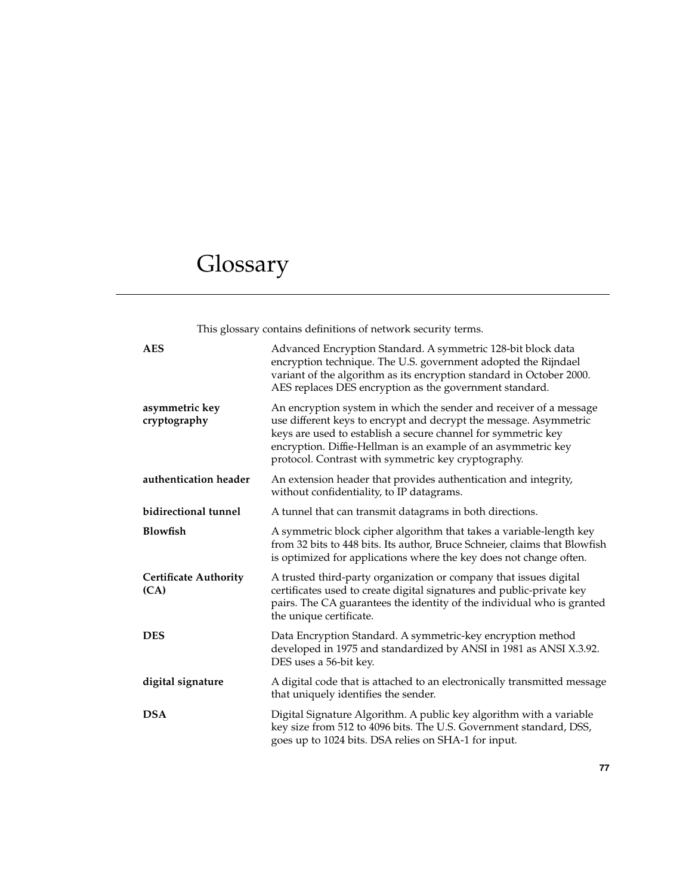# Glossary

This glossary contains definitions of network security terms.

| <b>AES</b>                           | Advanced Encryption Standard. A symmetric 128-bit block data<br>encryption technique. The U.S. government adopted the Rijndael<br>variant of the algorithm as its encryption standard in October 2000.<br>AES replaces DES encryption as the government standard.                                                                |
|--------------------------------------|----------------------------------------------------------------------------------------------------------------------------------------------------------------------------------------------------------------------------------------------------------------------------------------------------------------------------------|
| asymmetric key<br>cryptography       | An encryption system in which the sender and receiver of a message<br>use different keys to encrypt and decrypt the message. Asymmetric<br>keys are used to establish a secure channel for symmetric key<br>encryption. Diffie-Hellman is an example of an asymmetric key<br>protocol. Contrast with symmetric key cryptography. |
| authentication header                | An extension header that provides authentication and integrity,<br>without confidentiality, to IP datagrams.                                                                                                                                                                                                                     |
| bidirectional tunnel                 | A tunnel that can transmit datagrams in both directions.                                                                                                                                                                                                                                                                         |
| Blowfish                             | A symmetric block cipher algorithm that takes a variable-length key<br>from 32 bits to 448 bits. Its author, Bruce Schneier, claims that Blowfish<br>is optimized for applications where the key does not change often.                                                                                                          |
| <b>Certificate Authority</b><br>(CA) | A trusted third-party organization or company that issues digital<br>certificates used to create digital signatures and public-private key<br>pairs. The CA guarantees the identity of the individual who is granted<br>the unique certificate.                                                                                  |
| <b>DES</b>                           | Data Encryption Standard. A symmetric-key encryption method<br>developed in 1975 and standardized by ANSI in 1981 as ANSI X.3.92.<br>DES uses a 56-bit key.                                                                                                                                                                      |
| digital signature                    | A digital code that is attached to an electronically transmitted message<br>that uniquely identifies the sender.                                                                                                                                                                                                                 |
| <b>DSA</b>                           | Digital Signature Algorithm. A public key algorithm with a variable<br>key size from 512 to 4096 bits. The U.S. Government standard, DSS,<br>goes up to 1024 bits. DSA relies on SHA-1 for input.                                                                                                                                |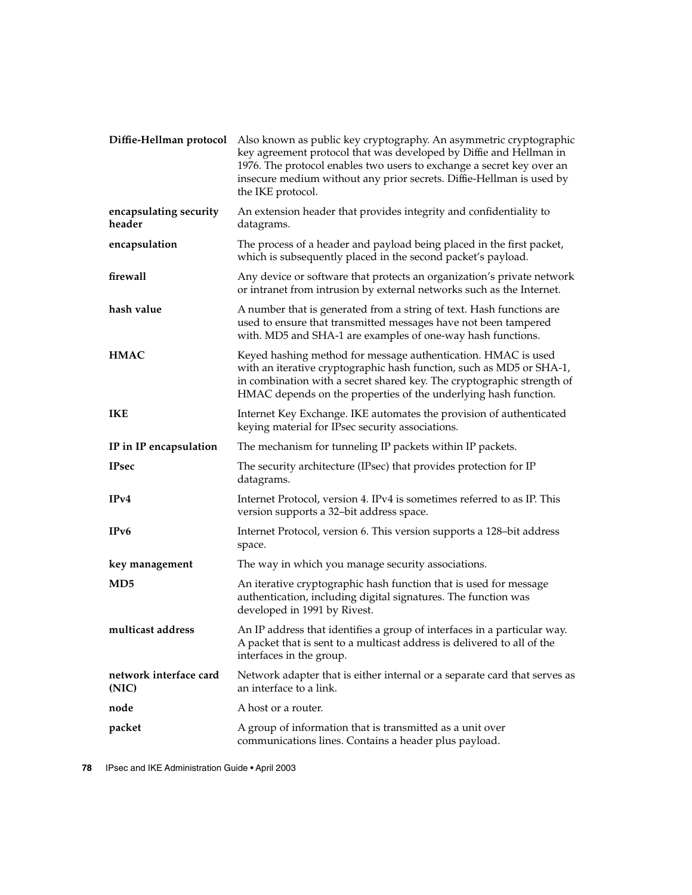| Diffie-Hellman protocol          | Also known as public key cryptography. An asymmetric cryptographic<br>key agreement protocol that was developed by Diffie and Hellman in<br>1976. The protocol enables two users to exchange a secret key over an<br>insecure medium without any prior secrets. Diffie-Hellman is used by<br>the IKE protocol. |
|----------------------------------|----------------------------------------------------------------------------------------------------------------------------------------------------------------------------------------------------------------------------------------------------------------------------------------------------------------|
| encapsulating security<br>header | An extension header that provides integrity and confidentiality to<br>datagrams.                                                                                                                                                                                                                               |
| encapsulation                    | The process of a header and payload being placed in the first packet,<br>which is subsequently placed in the second packet's payload.                                                                                                                                                                          |
| firewall                         | Any device or software that protects an organization's private network<br>or intranet from intrusion by external networks such as the Internet.                                                                                                                                                                |
| hash value                       | A number that is generated from a string of text. Hash functions are<br>used to ensure that transmitted messages have not been tampered<br>with. MD5 and SHA-1 are examples of one-way hash functions.                                                                                                         |
| <b>HMAC</b>                      | Keyed hashing method for message authentication. HMAC is used<br>with an iterative cryptographic hash function, such as MD5 or SHA-1,<br>in combination with a secret shared key. The cryptographic strength of<br>HMAC depends on the properties of the underlying hash function.                             |
| <b>IKE</b>                       | Internet Key Exchange. IKE automates the provision of authenticated<br>keying material for IPsec security associations.                                                                                                                                                                                        |
| IP in IP encapsulation           | The mechanism for tunneling IP packets within IP packets.                                                                                                                                                                                                                                                      |
| <b>IPsec</b>                     | The security architecture (IPsec) that provides protection for IP<br>datagrams.                                                                                                                                                                                                                                |
| IPv4                             | Internet Protocol, version 4. IPv4 is sometimes referred to as IP. This<br>version supports a 32-bit address space.                                                                                                                                                                                            |
| IP <sub>v</sub> 6                | Internet Protocol, version 6. This version supports a 128-bit address<br>space.                                                                                                                                                                                                                                |
| key management                   | The way in which you manage security associations.                                                                                                                                                                                                                                                             |
| MD <sub>5</sub>                  | An iterative cryptographic hash function that is used for message<br>authentication, including digital signatures. The function was<br>developed in 1991 by Rivest.                                                                                                                                            |
| multicast address                | An IP address that identifies a group of interfaces in a particular way.<br>A packet that is sent to a multicast address is delivered to all of the<br>interfaces in the group.                                                                                                                                |
| network interface card<br>(NIC)  | Network adapter that is either internal or a separate card that serves as<br>an interface to a link.                                                                                                                                                                                                           |
| node                             | A host or a router.                                                                                                                                                                                                                                                                                            |
| packet                           | A group of information that is transmitted as a unit over<br>communications lines. Contains a header plus payload.                                                                                                                                                                                             |

**78** IPsec and IKE Administration Guide • April 2003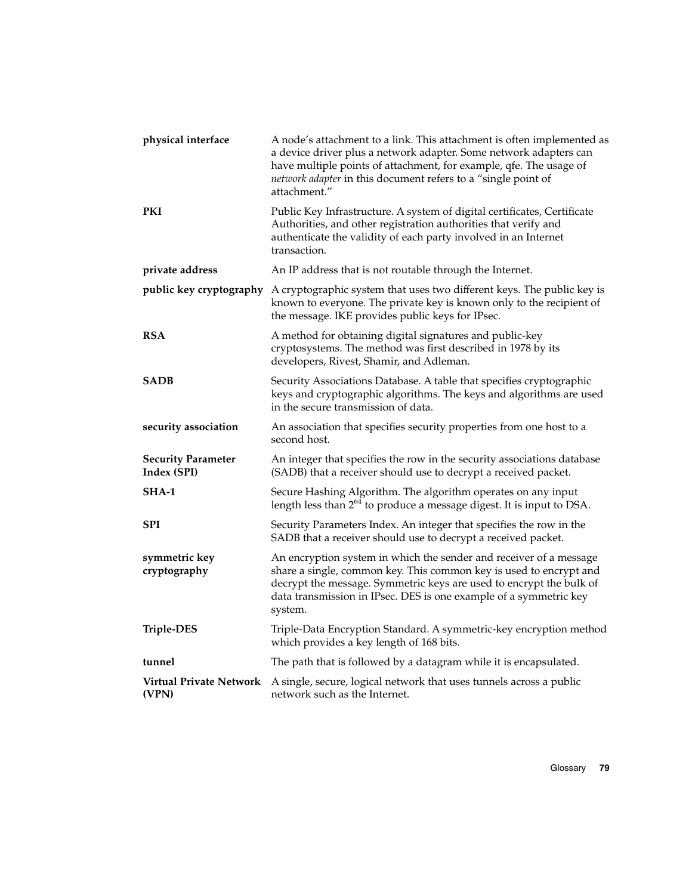<span id="page-78-0"></span>

| physical interface                       | A node's attachment to a link. This attachment is often implemented as<br>a device driver plus a network adapter. Some network adapters can<br>have multiple points of attachment, for example, qfe. The usage of<br>network adapter in this document refers to a "single point of<br>attachment." |
|------------------------------------------|----------------------------------------------------------------------------------------------------------------------------------------------------------------------------------------------------------------------------------------------------------------------------------------------------|
| PKI                                      | Public Key Infrastructure. A system of digital certificates, Certificate<br>Authorities, and other registration authorities that verify and<br>authenticate the validity of each party involved in an Internet<br>transaction.                                                                     |
| private address                          | An IP address that is not routable through the Internet.                                                                                                                                                                                                                                           |
| public key cryptography                  | A cryptographic system that uses two different keys. The public key is<br>known to everyone. The private key is known only to the recipient of<br>the message. IKE provides public keys for IPsec.                                                                                                 |
| <b>RSA</b>                               | A method for obtaining digital signatures and public-key<br>cryptosystems. The method was first described in 1978 by its<br>developers, Rivest, Shamir, and Adleman.                                                                                                                               |
| <b>SADB</b>                              | Security Associations Database. A table that specifies cryptographic<br>keys and cryptographic algorithms. The keys and algorithms are used<br>in the secure transmission of data.                                                                                                                 |
| security association                     | An association that specifies security properties from one host to a<br>second host.                                                                                                                                                                                                               |
| <b>Security Parameter</b><br>Index (SPI) | An integer that specifies the row in the security associations database<br>(SADB) that a receiver should use to decrypt a received packet.                                                                                                                                                         |
| SHA-1                                    | Secure Hashing Algorithm. The algorithm operates on any input<br>length less than $2^{64}$ to produce a message digest. It is input to DSA.                                                                                                                                                        |
| <b>SPI</b>                               | Security Parameters Index. An integer that specifies the row in the<br>SADB that a receiver should use to decrypt a received packet.                                                                                                                                                               |
| symmetric key<br>cryptography            | An encryption system in which the sender and receiver of a message<br>share a single, common key. This common key is used to encrypt and<br>decrypt the message. Symmetric keys are used to encrypt the bulk of<br>data transmission in IPsec. DES is one example of a symmetric key<br>system.    |
| <b>Triple-DES</b>                        | Triple-Data Encryption Standard. A symmetric-key encryption method<br>which provides a key length of 168 bits.                                                                                                                                                                                     |
| tunnel                                   | The path that is followed by a datagram while it is encapsulated.                                                                                                                                                                                                                                  |
| Virtual Private Network<br>(VPN)         | A single, secure, logical network that uses tunnels across a public<br>network such as the Internet.                                                                                                                                                                                               |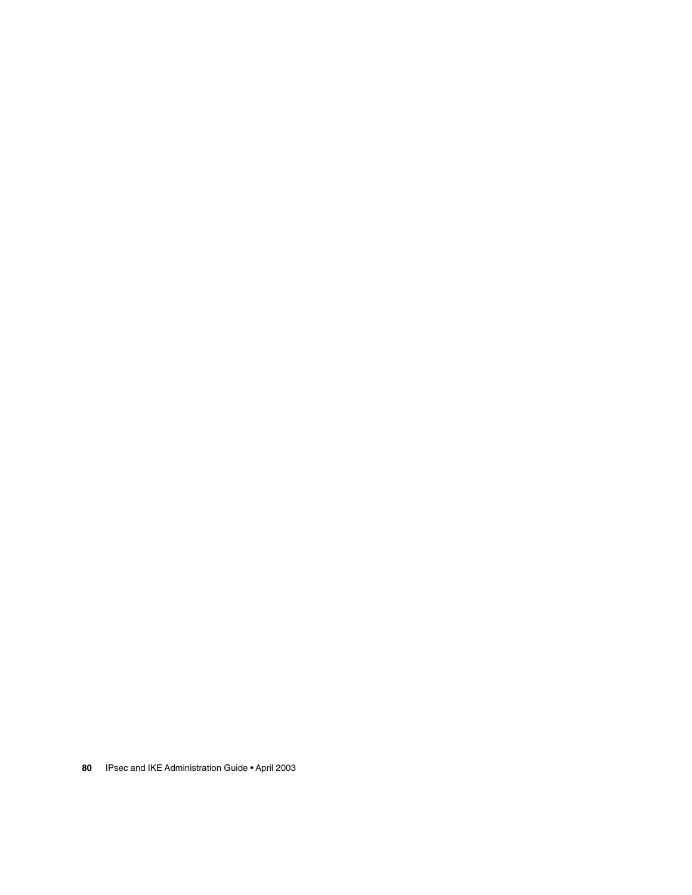IPsec and IKE Administration Guide • April 2003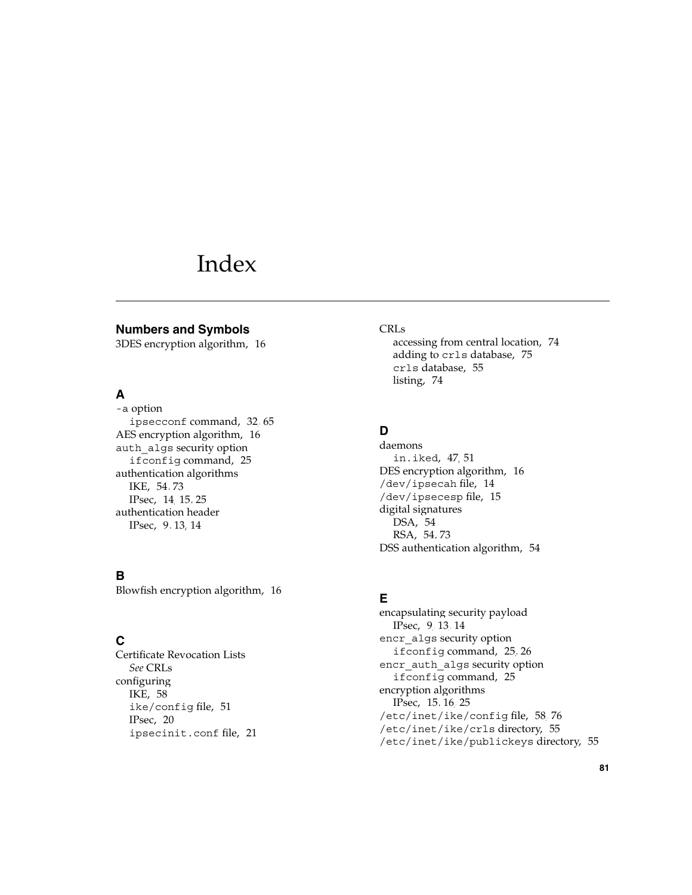# Index

#### **Numbers and Symbols**

3DES encryption algorithm, [16](#page-15-0)

#### **A**

-a option ipsecconf command, [32,](#page-31-0) [65](#page-64-0) AES encryption algorithm, [16](#page-15-0) auth\_algs security option ifconfig command, [25](#page-24-0) authentication algorithms IKE, [54,](#page-53-0) [73](#page-72-0) IPsec, [14,](#page-13-0) [15,](#page-14-0) [25](#page-24-0) authentication header IPsec, [9,](#page-8-0) [13,](#page-12-0) [14](#page-13-0)

# **B**

Blowfish encryption algorithm, [16](#page-15-0)

# **C**

Certificate Revocation Lists *See* CRLs configuring IKE, [58](#page-57-0) ike/config file, [51](#page-50-0) IPsec, [20](#page-19-0) ipsecinit.conf file, [21](#page-20-0) CRLs

accessing from central location, [74](#page-73-0) adding to crls database, [75](#page-74-0) crls database, [55](#page-54-0) listing, [74](#page-73-0)

# **D**

daemons in.iked, [47,](#page-46-0) [51](#page-50-0) DES encryption algorithm, [16](#page-15-0) /dev/ipsecah file, [14](#page-13-0) /dev/ipsecesp file, [15](#page-14-0) digital signatures DSA, [54](#page-53-0) RSA, [54,](#page-53-0) [73](#page-72-0) DSS authentication algorithm, [54](#page-53-0)

#### **E**

encapsulating security payload IPsec, [9,](#page-8-0) [13,](#page-12-0) [14](#page-13-0) encr\_algs security option ifconfig command, [25,](#page-24-0) [26](#page-25-0) encr\_auth\_algs security option ifconfig command, [25](#page-24-0) encryption algorithms IPsec, [15,](#page-14-0) [16,](#page-15-0) [25](#page-24-0) /etc/inet/ike/config file, [58,](#page-57-0) [76](#page-75-0) /etc/inet/ike/crls directory, [55](#page-54-0) /etc/inet/ike/publickeys directory, [55](#page-54-0)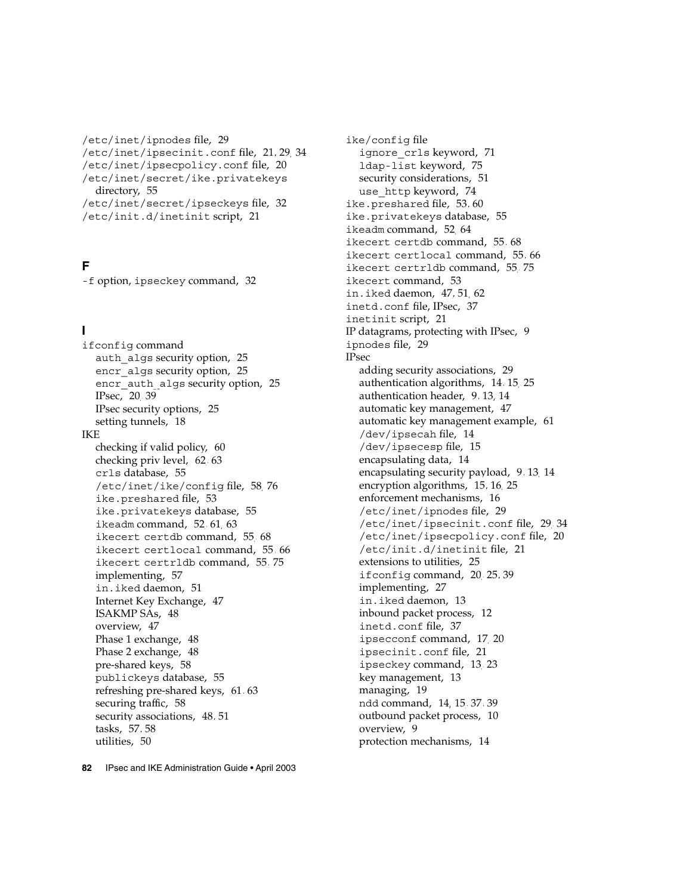/etc/inet/ipnodes file, [29](#page-28-0) /etc/inet/ipsecinit.conf file, [21,](#page-20-0) [29,](#page-28-0) [34](#page-33-0) /etc/inet/ipsecpolicy.conf file, [20](#page-19-0) /etc/inet/secret/ike.privatekeys directory, [55](#page-54-0) /etc/inet/secret/ipseckeys file, [32](#page-31-0) /etc/init.d/inetinit script, [21](#page-20-0)

#### **F**

-f option, ipseckey command, [32](#page-31-0)

# **I**

ifconfig command auth algs security option, [25](#page-24-0) encr\_algs security option, [25](#page-24-0) encr auth algs security option, [25](#page-24-0) IPsec, [20,](#page-19-0) [39](#page-38-0) IPsec security options, [25](#page-24-0) setting tunnels, [18](#page-17-0) IKE checking if valid policy, [60](#page-59-0) checking priv level, [62,](#page-61-0) [63](#page-62-0) crls database, [55](#page-54-0) /etc/inet/ike/config file, [58,](#page-57-0) [76](#page-75-0) ike.preshared file, [53](#page-52-0) ike.privatekeys database, [55](#page-54-0) ikeadm command, [52,](#page-51-0) [61,](#page-60-0) [63](#page-62-0) ikecert certdb command, [55,](#page-54-0) [68](#page-67-0) ikecert certlocal command, [55,](#page-54-0) [66](#page-65-0) ikecert certrldb command, [55,](#page-54-0) [75](#page-74-0) implementing, [57](#page-56-0) in.iked daemon, [51](#page-50-0) Internet Key Exchange, [47](#page-46-0) ISAKMP SAs, [48](#page-47-0) overview, [47](#page-46-0) Phase 1 exchange, [48](#page-47-0) Phase 2 exchange, [48](#page-47-0) pre-shared keys, [58](#page-57-0) publickeys database, [55](#page-54-0) refreshing pre-shared keys, [61,](#page-60-0) [63](#page-62-0) securing traffic, [58](#page-57-0) security associations, [48,](#page-47-0) [51](#page-50-0) tasks, [57,](#page-56-0) [58](#page-57-0) utilities, [50](#page-49-0)

ike/config file ignore\_crls keyword, [71](#page-70-0) ldap-list keyword, [75](#page-74-0) security considerations, [51](#page-50-0) use\_http keyword, [74](#page-73-0) ike.preshared file, [53,](#page-52-0) [60](#page-59-0) ike.privatekeys database, [55](#page-54-0) ikeadm command, [52,](#page-51-0) [64](#page-63-0) ikecert certdb command, [55,](#page-54-0) [68](#page-67-0) ikecert certlocal command, [55,](#page-54-0) [66](#page-65-0) ikecert certrldb command, [55,](#page-54-0) [75](#page-74-0) ikecert command, [53](#page-52-0) in.iked daemon, [47,](#page-46-0) [51,](#page-50-0) [62](#page-61-0) inetd.conf file, IPsec, [37](#page-36-0) inetinit script, [21](#page-20-0) IP datagrams, protecting with IPsec, [9](#page-8-0) ipnodes file, [29](#page-28-0) IPsec adding security associations, [29](#page-28-0) authentication algorithms, [14,](#page-13-0) [15,](#page-14-0) [25](#page-24-0) authentication header, [9,](#page-8-0) [13,](#page-12-0) [14](#page-13-0) automatic key management, [47](#page-46-0) automatic key management example, [61](#page-60-0) /dev/ipsecah file, [14](#page-13-0) /dev/ipsecesp file, [15](#page-14-0) encapsulating data, [14](#page-13-0) encapsulating security payload, [9,](#page-8-0) [13,](#page-12-0) [14](#page-13-0) encryption algorithms, [15,](#page-14-0) [16,](#page-15-0) [25](#page-24-0) enforcement mechanisms, [16](#page-15-0) /etc/inet/ipnodes file, [29](#page-28-0) /etc/inet/ipsecinit.conf file, [29,](#page-28-0) [34](#page-33-0) /etc/inet/ipsecpolicy.conf file, [20](#page-19-0) /etc/init.d/inetinit file, [21](#page-20-0) extensions to utilities, [25](#page-24-0) ifconfig command, [20,](#page-19-0) [25,](#page-24-0) [39](#page-38-0) implementing, [27](#page-26-0) in.iked daemon, [13](#page-12-0) inbound packet process, [12](#page-11-0) inetd.conf file, [37](#page-36-0) ipsecconf command, [17,](#page-16-0) [20](#page-19-0) ipsecinit.conf file, [21](#page-20-0) ipseckey command, [13,](#page-12-0) [23](#page-22-0) key management, [13](#page-12-0) managing, [19](#page-18-0) ndd command, [14,](#page-13-0) [15,](#page-14-0) [37,](#page-36-0) [39](#page-38-0) outbound packet process, [10](#page-9-0) overview, [9](#page-8-0) protection mechanisms, [14](#page-13-0)

**82** IPsec and IKE Administration Guide • April 2003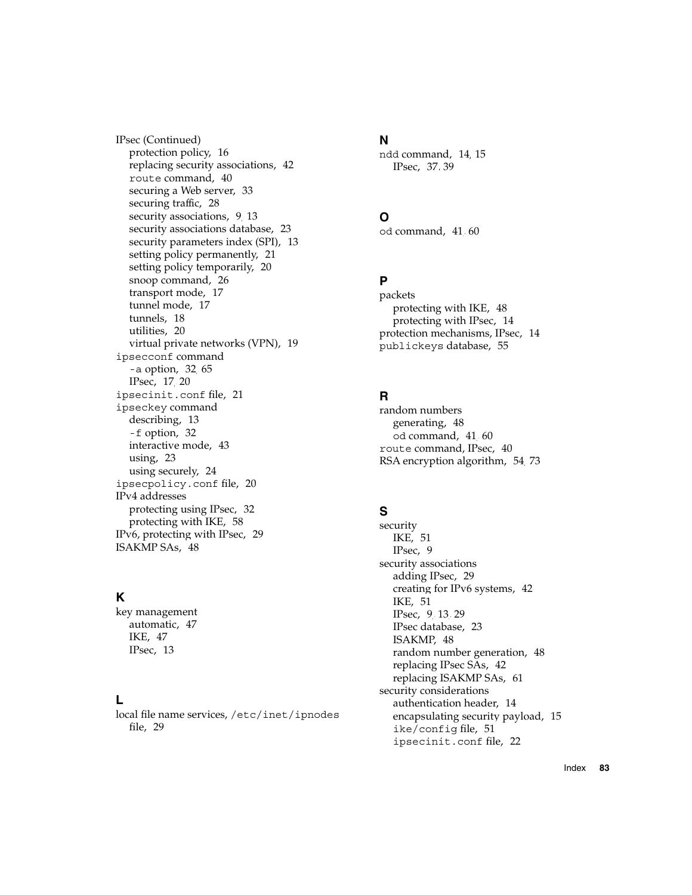IPsec (Continued) protection policy, [16](#page-15-0) replacing security associations, [42](#page-41-0) route command, [40](#page-39-0) securing a Web server, [33](#page-32-0) securing traffic, [28](#page-27-0) security associations, [9,](#page-8-0) [13](#page-12-0) security associations database, [23](#page-22-0) security parameters index (SPI), [13](#page-12-0) setting policy permanently, [21](#page-20-0) setting policy temporarily, [20](#page-19-0) snoop command, [26](#page-25-0) transport mode, [17](#page-16-0) tunnel mode, [17](#page-16-0) tunnels, [18](#page-17-0) utilities, [20](#page-19-0) virtual private networks (VPN), [19](#page-18-0) ipsecconf command -a option, [32,](#page-31-0) [65](#page-64-0) IPsec, [17,](#page-16-0) [20](#page-19-0) ipsecinit.conf file, [21](#page-20-0) ipseckey command describing, [13](#page-12-0) -f option, [32](#page-31-0) interactive mode, [43](#page-42-0) using, [23](#page-22-0) using securely, [24](#page-23-0) ipsecpolicy.conf file, [20](#page-19-0) IPv4 addresses protecting using IPsec, [32](#page-31-0) protecting with IKE, [58](#page-57-0) IPv6, protecting with IPsec, [29](#page-28-0) ISAKMP SAs, [48](#page-47-0)

# **K**

key management automatic, [47](#page-46-0) IKE, [47](#page-46-0) IPsec, [13](#page-12-0)

# **L**

local file name services, /etc/inet/ipnodes file, [29](#page-28-0)

#### **N**

ndd command, [14,](#page-13-0) [15](#page-14-0) IPsec, [37,](#page-36-0) [39](#page-38-0)

# **O**

od command, [41,](#page-40-0) [60](#page-59-0)

# **P**

packets protecting with IKE, [48](#page-47-0) protecting with IPsec, [14](#page-13-0) protection mechanisms, IPsec, [14](#page-13-0) publickeys database, [55](#page-54-0)

# **R**

random numbers generating, [48](#page-47-0) od command, [41,](#page-40-0) [60](#page-59-0) route command, IPsec, [40](#page-39-0) RSA encryption algorithm, [54,](#page-53-0) [73](#page-72-0)

# **S**

security IKE, [51](#page-50-0) IPsec, [9](#page-8-0) security associations adding IPsec, [29](#page-28-0) creating for IPv6 systems, [42](#page-41-0) IKE, [51](#page-50-0) IPsec, [9,](#page-8-0) [13,](#page-12-0) [29](#page-28-0) IPsec database, [23](#page-22-0) ISAKMP, [48](#page-47-0) random number generation, [48](#page-47-0) replacing IPsec SAs, [42](#page-41-0) replacing ISAKMP SAs, [61](#page-60-0) security considerations authentication header, [14](#page-13-0) encapsulating security payload, [15](#page-14-0) ike/config file, [51](#page-50-0) ipsecinit.conf file, [22](#page-21-0)